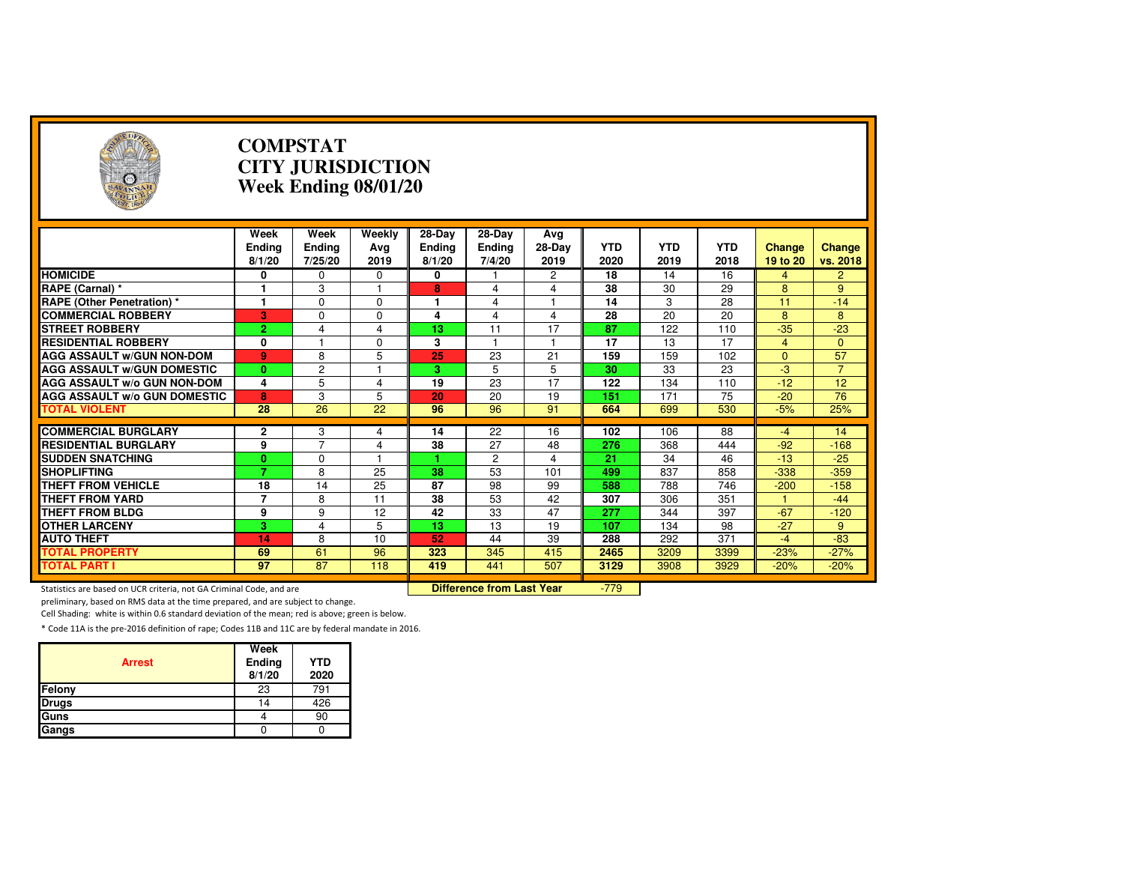| $(\neg)$                                                            |                                 | <b>COMPSTAT</b><br><b>CITY JURISDICTION</b><br>Week Ending 08/01/20 |                       |                                     |                                  |                       |                    |                    |                    |                           |                    |  |
|---------------------------------------------------------------------|---------------------------------|---------------------------------------------------------------------|-----------------------|-------------------------------------|----------------------------------|-----------------------|--------------------|--------------------|--------------------|---------------------------|--------------------|--|
|                                                                     | Week<br><b>Ending</b><br>8/1/20 | Week<br><b>Ending</b><br>7/25/20                                    | Weekly<br>Ava<br>2019 | $28-Dav$<br><b>Ending</b><br>8/1/20 | 28-Day<br>Ending<br>7/4/20       | Ava<br>28-Day<br>2019 | <b>YTD</b><br>2020 | <b>YTD</b><br>2019 | <b>YTD</b><br>2018 | <b>Change</b><br>19 to 20 | Change<br>vs. 2018 |  |
| <b>HOMICIDE</b>                                                     | 0                               | 0                                                                   | 0                     | 0                                   |                                  | 2                     | 18                 | 14                 | 16                 | 4                         | $\overline{2}$     |  |
| RAPE (Carnal) *                                                     | 1                               | 3                                                                   | 1                     | 8                                   | 4                                | 4                     | 38                 | 30                 | 29                 | 8                         | 9                  |  |
| <b>RAPE (Other Penetration) *</b>                                   | 1                               | $\Omega$                                                            | $\mathbf 0$           | 1                                   | $\overline{4}$                   | $\mathbf{1}$          | 14                 | 3                  | 28                 | 11                        | $-14$              |  |
| <b>COMMERCIAL ROBBERY</b>                                           | 3                               | $\Omega$                                                            | $\Omega$              | 4                                   | $\overline{4}$                   | 4                     | 28                 | 20                 | 20                 | 8                         | 8                  |  |
| <b>STREET ROBBERY</b>                                               | $\overline{2}$                  | 4                                                                   | $\overline{4}$        | 13                                  | 11                               | 17                    | 87                 | 122                | 110                | $-35$                     | $-23$              |  |
| <b>RESIDENTIAL ROBBERY</b>                                          | 0                               | $\overline{\phantom{a}}$                                            | $\Omega$              | 3                                   | 1                                | $\mathbf{1}$          | 17                 | 13                 | 17                 | $\overline{4}$            | $\mathbf{0}$       |  |
| <b>AGG ASSAULT w/GUN NON-DOM</b>                                    | 9                               | 8                                                                   | 5                     | 25                                  | $\overline{23}$                  | $\overline{21}$       | 159                | 159                | 102                | $\Omega$                  | 57                 |  |
| <b>AGG ASSAULT W/GUN DOMESTIC</b>                                   | $\mathbf{0}$                    | $\overline{\mathbf{c}}$                                             |                       | 3.                                  | 5                                | $\overline{5}$        | 30                 | 33                 | 23                 | $\overline{a}$            | $\overline{7}$     |  |
| <b>AGG ASSAULT w/o GUN NON-DOM</b>                                  | 4                               | 5                                                                   | 4                     | 19                                  | 23                               | 17                    | 122                | 134                | 110                | $-12$                     | 12                 |  |
| <b>AGG ASSAULT W/o GUN DOMESTIC</b>                                 | 8                               | 3                                                                   | 5                     | 20                                  | 20                               | 19                    | 151                | 171                | 75                 | $-20$                     | 76                 |  |
| <b>TOTAL VIOLENT</b>                                                | 28                              | 26                                                                  | $\overline{22}$       | 96                                  | 96                               | 91                    | 664                | 699                | 530                | $-5%$                     | 25%                |  |
|                                                                     |                                 |                                                                     |                       |                                     |                                  |                       |                    |                    |                    |                           |                    |  |
| <b>COMMERCIAL BURGLARY</b>                                          | 2                               | 3                                                                   | 4                     | 14                                  | 22                               | 16                    | 102                | 106                | 88                 | $-4$                      | 14                 |  |
| <b>RESIDENTIAL BURGLARY</b>                                         | 9                               | $\overline{7}$                                                      | 4                     | 38                                  | 27                               | 48                    | 276                | 368                | 444                | $-92$                     | $-168$             |  |
| <b>SUDDEN SNATCHING</b>                                             | $\mathbf{0}$<br>$\overline{7}$  | $\Omega$                                                            | 1                     |                                     | $\overline{2}$                   | $\overline{4}$        | $\overline{21}$    | 34                 | 46                 | $-13$                     | $-25$              |  |
| <b>SHOPLIFTING</b>                                                  |                                 | 8                                                                   | 25                    | 38                                  | 53                               | 101                   | 499                | 837                | 858                | $-338$                    | $-359$             |  |
| <b>THEFT FROM VEHICLE</b>                                           | 18                              | 14                                                                  | 25                    | 87                                  | 98                               | 99                    | 588                | 788                | 746                | $-200$                    | $-158$             |  |
| <b>THEFT FROM YARD</b>                                              | $\overline{7}$                  | 8                                                                   | 11                    | 38                                  | 53                               | 42                    | 307                | 306                | 351                |                           | $-44$              |  |
| <b>THEFT FROM BLDG</b>                                              | 9                               | 9                                                                   | 12                    | 42                                  | 33                               | 47                    | 277                | 344                | 397                | $-67$                     | $-120$             |  |
| <b>OTHER LARCENY</b>                                                | 3                               | $\overline{4}$                                                      | 5                     | 13                                  | 13                               | 19                    | 107                | 134                | 98                 | $-27$                     | 9                  |  |
| <b>AUTO THEFT</b>                                                   | 14                              | 8                                                                   | 10                    | 52                                  | 44                               | 39                    | 288                | 292                | 371                | $-4$                      | $-83$              |  |
| <b>TOTAL PROPERTY</b>                                               | 69                              | 61                                                                  | 96                    | 323                                 | 345                              | 415                   | 2465               | 3209               | 3399               | $-23%$                    | $-27%$             |  |
| <b>TOTAL PART I</b>                                                 | 97                              | 87                                                                  | 118                   | 419                                 | 441                              | 507                   | 3129               | 3908               | 3929               | $-20%$                    | $-20%$             |  |
| Statistics are based on UCR criteria, not GA Criminal Code, and are |                                 |                                                                     |                       |                                     | <b>Difference from Last Year</b> |                       | $-779$             |                    |                    |                           |                    |  |

preliminary, based on RMS data at the time prepared, and are subject to change.

Cell Shading: white is within 0.6 standard deviation of the mean; red is above; green is below.

| <b>Arrest</b> | Week<br>Ending<br>8/1/20 | <b>YTD</b><br>2020 |
|---------------|--------------------------|--------------------|
| Felony        | 23                       | 791                |
| <b>Drugs</b>  | 14                       | 426                |
| Guns          |                          | 90                 |
| Gangs         |                          |                    |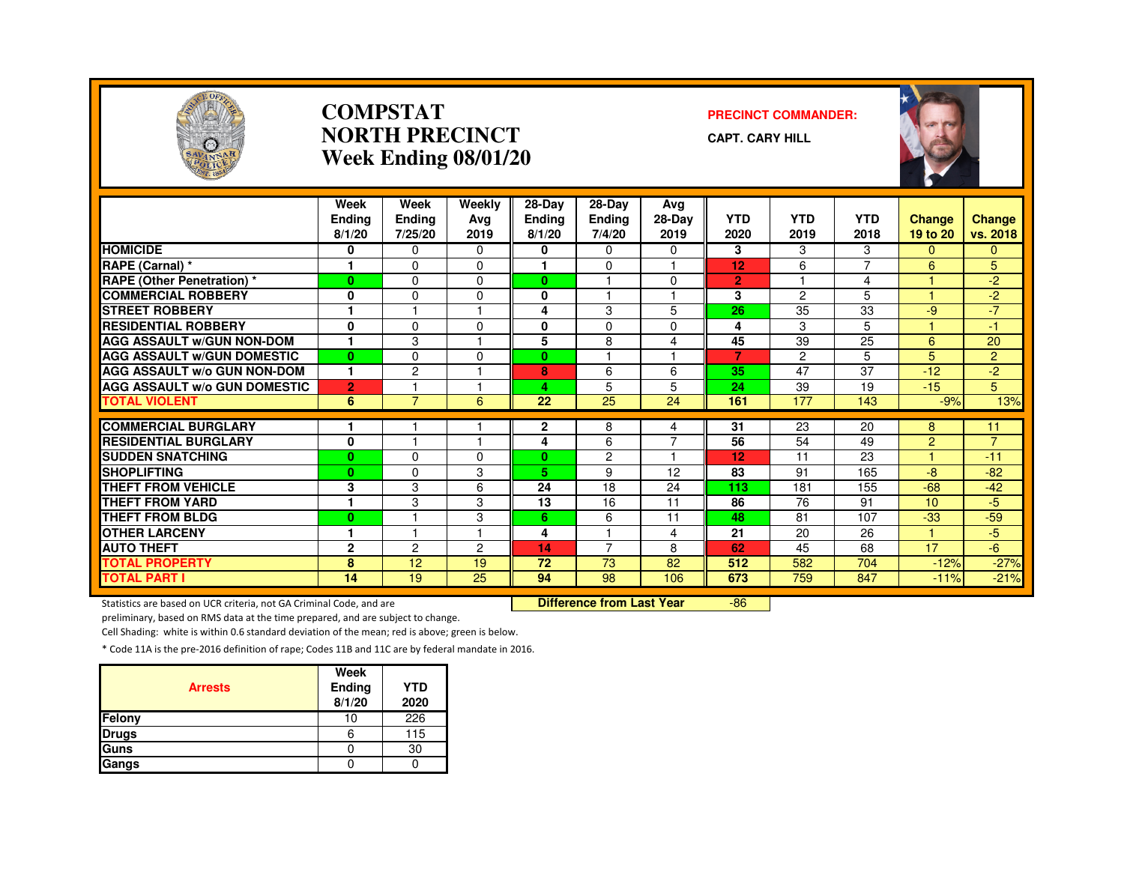

#### **COMPSTATNORTH PRECINCTWeek Ending 08/01/20**

#### **PRECINCT COMMANDER:**

**CAPT. CARY HILL**



|                                     | Week<br><b>Endina</b><br>8/1/20 | Week<br>Endina<br>7/25/20 | Weekly<br>Avg<br>2019 | $28-Dav$<br><b>Ending</b><br>8/1/20 | 28-Day<br>Ending<br>7/4/20 | Avg<br>28-Day<br>2019 | <b>YTD</b><br>2020 | <b>YTD</b><br>2019 | <b>YTD</b><br>2018       | <b>Change</b><br>19 to 20 | <b>Change</b><br>vs. 2018 |
|-------------------------------------|---------------------------------|---------------------------|-----------------------|-------------------------------------|----------------------------|-----------------------|--------------------|--------------------|--------------------------|---------------------------|---------------------------|
| <b>HOMICIDE</b>                     | 0                               | 0                         | $\Omega$              | 0                                   | $\Omega$                   | $\Omega$              | 3                  | 3                  | 3                        | 0                         | 0                         |
| RAPE (Carnal) *                     |                                 | $\Omega$                  | $\Omega$              |                                     | $\mathbf 0$                | 1                     | 12                 | 6                  | $\overline{\phantom{a}}$ | 6                         | 5                         |
| <b>RAPE (Other Penetration) *</b>   | $\bf{0}$                        | $\Omega$                  | $\Omega$              | $\bf{0}$                            |                            | $\Omega$              | $\overline{2}$     |                    | 4                        | н                         | $-2$                      |
| <b>COMMERCIAL ROBBERY</b>           | 0                               | $\Omega$                  | $\Omega$              | 0                                   | $\overline{1}$             | 1                     | 3                  | 2                  | 5                        | и                         | $-2$                      |
| <b>STREET ROBBERY</b>               |                                 |                           |                       | 4                                   | 3                          | 5                     | 26                 | 35                 | 33                       | -9                        | $-7$                      |
| <b>RESIDENTIAL ROBBERY</b>          | $\mathbf{0}$                    | $\Omega$                  | $\Omega$              | 0                                   | $\Omega$                   | $\Omega$              | 4                  | 3                  | 5                        |                           | -1                        |
| <b>AGG ASSAULT W/GUN NON-DOM</b>    | ٠                               | 3                         |                       | 5                                   | 8                          | 4                     | 45                 | 39                 | 25                       | 6                         | 20                        |
| <b>AGG ASSAULT W/GUN DOMESTIC</b>   | $\bf{0}$                        | $\Omega$                  | $\Omega$              | 0                                   |                            |                       | 7                  | $\overline{c}$     | 5                        | 5                         | $\overline{2}$            |
| <b>AGG ASSAULT W/o GUN NON-DOM</b>  | 1                               | $\overline{c}$            |                       | 8                                   | 6                          | 6                     | 35                 | 47                 | 37                       | $-12$                     | $-2$                      |
| <b>AGG ASSAULT W/o GUN DOMESTIC</b> | $\overline{2}$                  |                           |                       | 4                                   | 5                          | 5                     | 24                 | 39                 | 19                       | $-15$                     | 5                         |
| <b>TOTAL VIOLENT</b>                | 6                               | $\overline{7}$            | 6                     | 22                                  | 25                         | 24                    | 161                | 177                | 143                      | $-9%$                     | 13%                       |
|                                     |                                 |                           |                       |                                     |                            |                       |                    |                    |                          |                           |                           |
| <b>COMMERCIAL BURGLARY</b>          |                                 |                           |                       | 2                                   | 8                          | 4<br>$\overline{7}$   | 31                 | 23                 | 20                       | 8                         | 11<br>$\overline{7}$      |
| <b>RESIDENTIAL BURGLARY</b>         | $\mathbf{0}$                    |                           |                       | 4                                   | 6                          | 1                     | 56                 | 54                 | 49                       | $\overline{2}$<br>4.      |                           |
| <b>SUDDEN SNATCHING</b>             | $\bf{0}$                        | $\Omega$                  | $\Omega$              | $\mathbf{0}$                        | $\overline{2}$             |                       | 12                 | 11                 | 23                       |                           | $-11$                     |
| <b>SHOPLIFTING</b>                  | $\bf{0}$                        | $\Omega$                  | 3                     | 5.                                  | 9                          | 12                    | 83                 | 91                 | 165                      | -8                        | $-82$                     |
| THEFT FROM VEHICLE                  | 3                               | 3                         | 6                     | 24                                  | 18                         | 24                    | 113                | 181                | 155                      | $-68$                     | $-42$                     |
| <b>THEFT FROM YARD</b>              |                                 | 3                         | 3                     | 13                                  | 16                         | 11                    | 86                 | 76                 | 91                       | 10                        | $-5$                      |
| <b>THEFT FROM BLDG</b>              | $\bf{0}$                        |                           | 3                     | 6                                   | 6                          | 11                    | 48                 | 81                 | 107                      | $-33$                     | $-59$                     |
| <b>OTHER LARCENY</b>                |                                 | 1                         |                       | 4                                   |                            | 4                     | 21                 | 20                 | 26                       | и                         | $-5$                      |
| <b>AUTO THEFT</b>                   | $\mathbf{2}$                    | 2                         | 2                     | 14                                  | 7                          | 8                     | 62                 | 45                 | 68                       | 17                        | $-6$                      |
| <b>TOTAL PROPERTY</b>               | 8                               | 12                        | 19                    | 72                                  | 73                         | 82                    | 512                | 582                | 704                      | $-12%$                    | $-27%$                    |
| <b>TOTAL PART I</b>                 | 14                              | $\overline{19}$           | 25                    | 94                                  | 98                         | 106                   | 673                | 759                | 847                      | $-11%$                    | $-21%$                    |

Statistics are based on UCR criteria, not GA Criminal Code, and are **Difference from Last Year** 

-86

preliminary, based on RMS data at the time prepared, and are subject to change.

Cell Shading: white is within 0.6 standard deviation of the mean; red is above; green is below.

| <b>Arrests</b> | Week<br><b>Ending</b><br>8/1/20 | <b>YTD</b><br>2020 |
|----------------|---------------------------------|--------------------|
| Felony         | 10                              | 226                |
| <b>Drugs</b>   | 6                               | 115                |
| Guns           |                                 | 30                 |
| Gangs          |                                 |                    |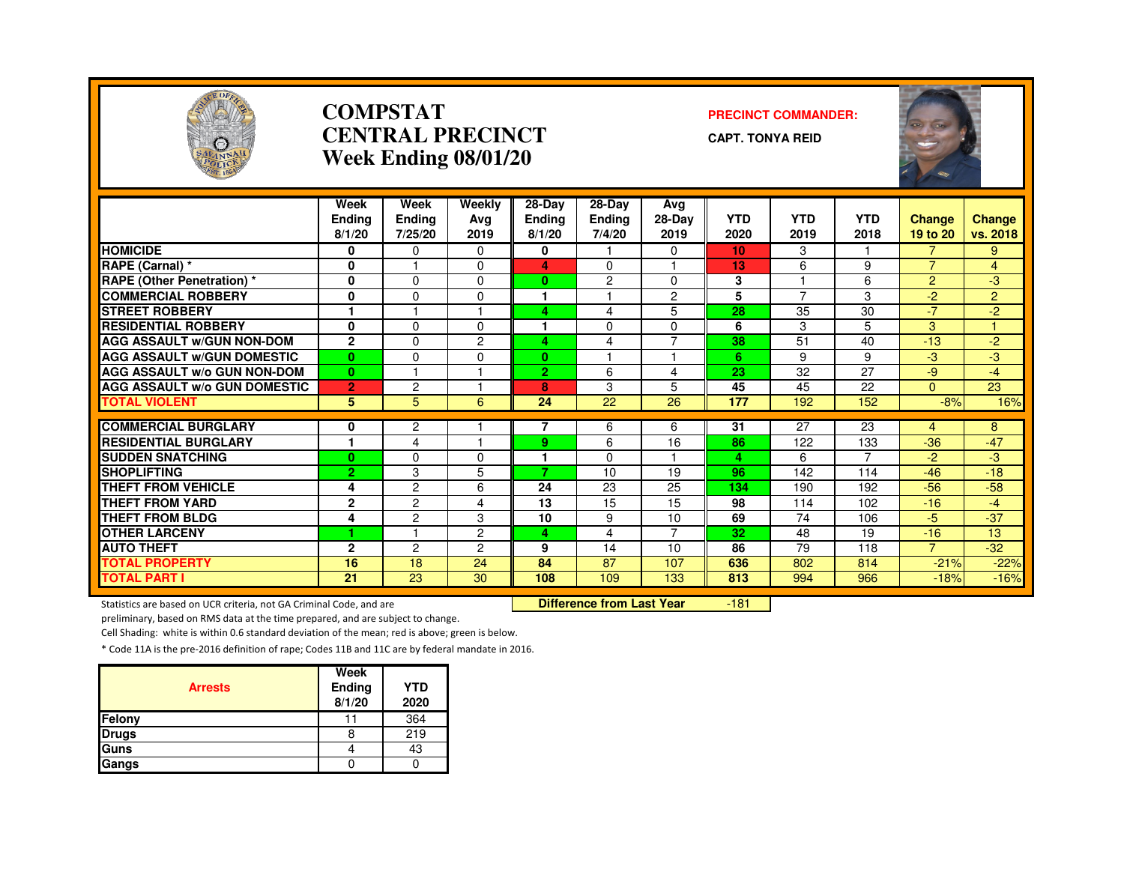

# **COMPSTATPRECINCT COMMANDER: CENTRAL PRECINCT**

**CAPT. TONYA REID**

| SAVANNAH                            |                                 |                                  | Week Ending 08/01/20  |                                     |                                   |                       |                    |                    |                    |                           |                           |
|-------------------------------------|---------------------------------|----------------------------------|-----------------------|-------------------------------------|-----------------------------------|-----------------------|--------------------|--------------------|--------------------|---------------------------|---------------------------|
|                                     | Week<br><b>Endina</b><br>8/1/20 | Week<br><b>Ending</b><br>7/25/20 | Weekly<br>Ava<br>2019 | $28-Dav$<br><b>Ending</b><br>8/1/20 | 28-Dav<br><b>Ending</b><br>7/4/20 | Avg<br>28-Day<br>2019 | <b>YTD</b><br>2020 | <b>YTD</b><br>2019 | <b>YTD</b><br>2018 | <b>Change</b><br>19 to 20 | <b>Change</b><br>vs. 2018 |
| <b>HOMICIDE</b>                     | 0                               | 0                                | 0                     | 0                                   |                                   | $\mathbf 0$           | 10 <sup>1</sup>    | 3                  |                    | $\overline{7}$            | 9                         |
| RAPE (Carnal) *                     | 0                               |                                  | $\Omega$              | 4                                   | $\mathbf{0}$                      |                       | 13                 | 6                  | 9                  | $\overline{7}$            | 4                         |
| <b>RAPE (Other Penetration)*</b>    | 0                               | 0                                | 0                     | $\mathbf{0}$                        | $\overline{2}$                    | $\mathbf 0$           | 3                  |                    | 6                  | $\overline{2}$            | $-3$                      |
| <b>COMMERCIAL ROBBERY</b>           | 0                               | $\Omega$                         | $\Omega$              | 1                                   |                                   | $\overline{2}$        | 5                  | $\overline{7}$     | 3                  | $-2$                      | $\overline{2}$            |
| <b>STREET ROBBERY</b>               |                                 |                                  |                       | 4                                   | 4                                 | 5                     | 28                 | 35                 | 30                 | $-7$                      | $-2$                      |
| <b>RESIDENTIAL ROBBERY</b>          | 0                               | $\Omega$                         | $\Omega$              |                                     | $\Omega$                          | $\Omega$              | 6                  | 3                  | 5                  | 3                         |                           |
| <b>AGG ASSAULT w/GUN NON-DOM</b>    | $\mathbf{2}$                    | 0                                | $\overline{2}$        | 4                                   | 4                                 | $\overline{7}$        | 38                 | 51                 | 40                 | $-13$                     | $-2$                      |
| <b>AGG ASSAULT W/GUN DOMESTIC</b>   | $\mathbf{0}$                    | $\mathbf 0$                      | $\mathbf 0$           | $\mathbf{0}$                        |                                   |                       | 6                  | 9                  | 9                  | $-3$                      | $-3$                      |
| <b>AGG ASSAULT w/o GUN NON-DOM</b>  | $\mathbf{0}$                    |                                  |                       | $\mathbf{2}$                        | 6                                 | 4                     | 23                 | 32                 | 27                 | $-9$                      | $-4$                      |
| <b>AGG ASSAULT w/o GUN DOMESTIC</b> | $\overline{2}$                  | $\overline{c}$                   |                       | 8                                   | 3                                 | 5                     | 45                 | 45                 | 22                 | $\Omega$                  | 23                        |
| <b>TOTAL VIOLENT</b>                | 5                               | 5                                | 6                     | 24                                  | 22                                | 26                    | 177                | 192                | 152                | $-8%$                     | 16%                       |
| <b>COMMERCIAL BURGLARY</b>          | 0                               | $\overline{c}$                   |                       | $\overline{7}$                      | 6                                 | 6                     | 31                 | 27                 | 23                 | 4                         | 8                         |
| <b>RESIDENTIAL BURGLARY</b>         | 1                               | 4                                |                       | 9                                   | 6                                 | 16                    | 86                 | 122                | 133                | $-36$                     | $-47$                     |
| <b>SUDDEN SNATCHING</b>             | $\bf{0}$                        | $\mathbf 0$                      | $\mathbf 0$           |                                     | $\mathbf 0$                       |                       | 4                  | 6                  | $\overline{7}$     | $-2$                      | $-3$                      |
| <b>SHOPLIFTING</b>                  | 2                               | 3                                | 5                     | 7                                   | 10                                | 19                    | 96                 | 142                | 114                | $-46$                     | $-18$                     |
| <b>THEFT FROM VEHICLE</b>           | 4                               | $\overline{c}$                   | 6                     | 24                                  | 23                                | 25                    | 134                | 190                | 192                | $-56$                     | $-58$                     |
| <b>THEFT FROM YARD</b>              | $\mathbf{2}$                    | $\overline{c}$                   | 4                     | 13                                  | 15                                | 15                    | 98                 | 114                | 102                | $-16$                     | $-4$                      |
| <b>THEFT FROM BLDG</b>              | 4                               | $\overline{c}$                   | 3                     | 10                                  | 9                                 | 10                    | 69                 | 74                 | 106                | $-5$                      | $-37$                     |
| <b>OTHER LARCENY</b>                |                                 |                                  | $\overline{2}$        | 4                                   | 4                                 | $\overline{7}$        | 32                 | 48                 | 19                 | $-16$                     | 13                        |
| <b>AUTO THEFT</b>                   | $\overline{2}$                  | $\overline{c}$                   | $\overline{2}$        | 9                                   | 14                                | 10                    | 86                 | 79                 | 118                | $\overline{7}$            | $-32$                     |
| <b>TOTAL PROPERTY</b>               | 16                              | 18                               | 24                    | 84                                  | 87                                | 107                   | 636                | 802                | 814                | $-21%$                    | $-22%$                    |
| <b>TOTAL PART I</b>                 | 21                              | 23                               | 30                    | 108                                 | 109                               | 133                   | 813                | 994                | 966                | $-18%$                    | $-16%$                    |

Statistics are based on UCR criteria, not GA Criminal Code, and are **Difference from Last Year** 

-181

preliminary, based on RMS data at the time prepared, and are subject to change.

Cell Shading: white is within 0.6 standard deviation of the mean; red is above; green is below.

| <b>Arrests</b> | Week<br>Ending<br>8/1/20 | <b>YTD</b><br>2020 |
|----------------|--------------------------|--------------------|
| <b>Felony</b>  |                          | 364                |
| <b>Drugs</b>   |                          | 219                |
| <b>Guns</b>    |                          | 43                 |
| Gangs          |                          |                    |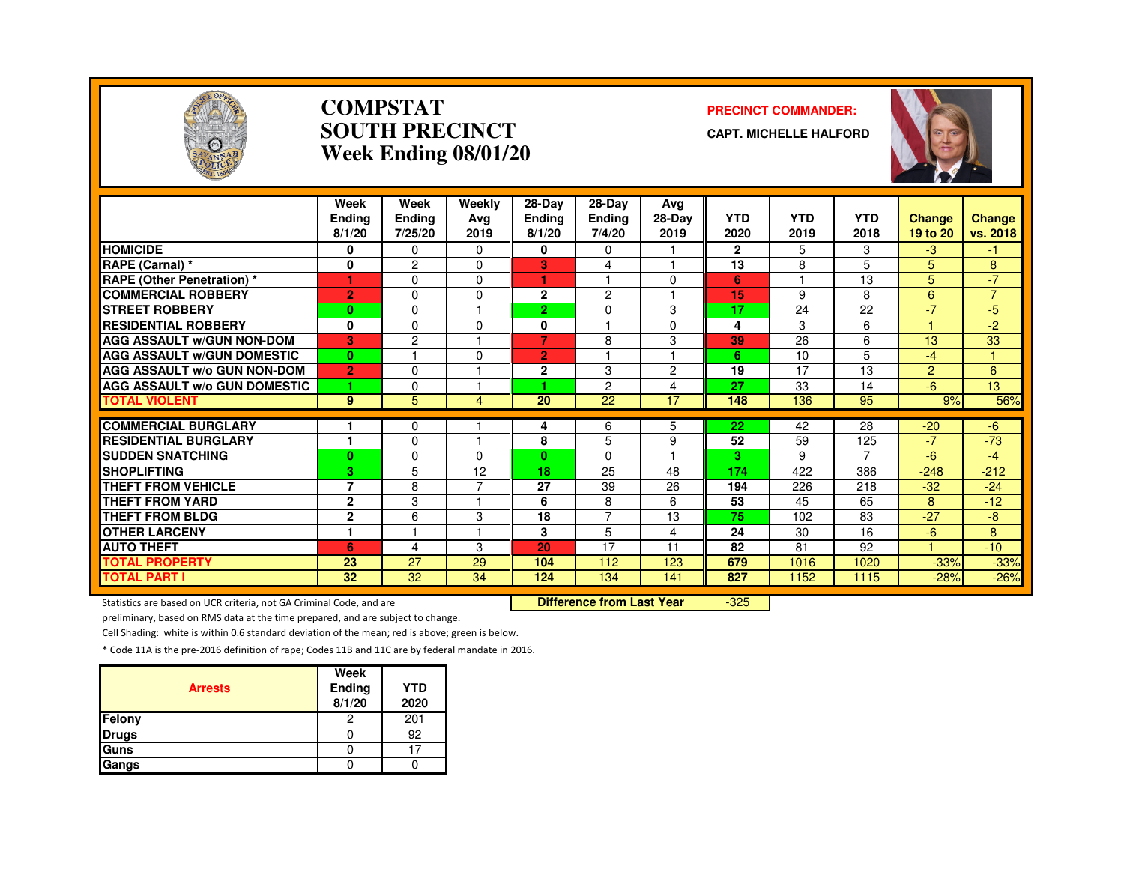

#### **COMPSTATSOUTH PRECINCTWeek Ending 08/01/20**

#### **PRECINCT COMMANDER:**

**CAPT. MICHELLE HALFORD**



|                                     | Week           | Week           | Weekly   | 28-Day         | 28-Dav         | Avg      |              |            |                    |                |                |
|-------------------------------------|----------------|----------------|----------|----------------|----------------|----------|--------------|------------|--------------------|----------------|----------------|
|                                     | <b>Endina</b>  | Ending         | Ava      | Ending         | <b>Ending</b>  | 28-Day   | <b>YTD</b>   | <b>YTD</b> | <b>YTD</b><br>2018 | <b>Change</b>  | <b>Change</b>  |
|                                     | 8/1/20         | 7/25/20        | 2019     | 8/1/20         | 7/4/20         | 2019     | 2020         | 2019       |                    | 19 to 20       | vs. 2018       |
| <b>HOMICIDE</b>                     | 0              | $\Omega$       | $\Omega$ | 0              | 0              |          | $\mathbf{2}$ | 5          | 3                  | $-3$           | -1.            |
| RAPE (Carnal) *                     | 0              | 2              | $\Omega$ | 3              | 4              |          | 13           | 8          | 5                  | 5              | 8              |
| <b>RAPE (Other Penetration) *</b>   | 1              | $\Omega$       | $\Omega$ | 1              | м              | $\Omega$ | 6            | и          | 13                 | 5              | $-7$           |
| <b>COMMERCIAL ROBBERY</b>           | $\overline{2}$ | $\Omega$       | $\Omega$ | $\mathbf{2}$   | $\overline{c}$ |          | 15           | 9          | 8                  | 6              | $\overline{7}$ |
| <b>STREET ROBBERY</b>               | $\bf{0}$       | $\Omega$       |          | 2.             | $\Omega$       | 3        | 17           | 24         | 22                 | $-7$           | $-5$           |
| <b>RESIDENTIAL ROBBERY</b>          | 0              | $\Omega$       | $\Omega$ | 0              |                | $\Omega$ | 4            | 3          | 6                  |                | $-2$           |
| <b>AGG ASSAULT W/GUN NON-DOM</b>    | 3              | $\overline{c}$ |          | 7              | 8              | 3        | 39           | 26         | 6                  | 13             | 33             |
| <b>AGG ASSAULT W/GUN DOMESTIC</b>   | $\bf{0}$       |                | $\Omega$ | $\overline{2}$ |                |          | 6            | 10         | 5                  | $-4$           | $\mathbf{1}$   |
| AGG ASSAULT w/o GUN NON-DOM         | $\overline{2}$ | $\Omega$       |          | $\mathbf{2}$   | 3              | 2        | 19           | 17         | 13                 | $\overline{2}$ | 6              |
| <b>AGG ASSAULT w/o GUN DOMESTIC</b> | 1              | $\Omega$       |          | -1             | $\overline{c}$ | 4        | 27           | 33         | 14                 | -6             | 13             |
| <b>TOTAL VIOLENT</b>                | 9              | 5              | 4        | 20             | 22             | 17       | 148          | 136        | 95                 | 9%             | 56%            |
|                                     |                |                |          |                |                |          |              |            |                    |                |                |
| <b>COMMERCIAL BURGLARY</b>          |                | $\Omega$       |          | 4              | 6              | 5        | 22           | 42         | 28                 | $-20$          | $-6$           |
| <b>RESIDENTIAL BURGLARY</b>         | ٠              | $\Omega$       |          | 8              | 5              | 9        | 52           | 59         | 125                | $-7$           | $-73$          |
| <b>SUDDEN SNATCHING</b>             | $\bf{0}$       | $\Omega$       | $\Omega$ | $\mathbf{0}$   | $\Omega$       |          | 3            | 9          | $\overline{7}$     | -6             | $-4$           |
| <b>SHOPLIFTING</b>                  | 3              | 5              | 12       | 18             | 25             | 48       | 174          | 422        | 386                | $-248$         | $-212$         |
| THEFT FROM VEHICLE                  | $\overline{7}$ | 8              | 7        | 27             | 39             | 26       | 194          | 226        | 218                | $-32$          | $-24$          |
| <b>THEFT FROM YARD</b>              | $\mathbf{2}$   | 3              |          | 6              | 8              | 6        | 53           | 45         | 65                 | 8              | $-12$          |
| THEFT FROM BLDG                     | $\mathbf{2}$   | 6              | 3        | 18             | $\overline{7}$ | 13       | 75           | 102        | 83                 | $-27$          | $-8$           |
| <b>OTHER LARCENY</b>                | и              |                |          | 3              | 5              | 4        | 24           | 30         | 16                 | $-6$           | 8              |
| <b>AUTO THEFT</b>                   | 6              | 4              | 3        | 20             | 17             | 11       | 82           | 81         | 92                 | и              | $-10$          |
| <b>TOTAL PROPERTY</b>               | 23             | 27             | 29       | 104            | 112            | 123      | 679          | 1016       | 1020               | $-33%$         | $-33%$         |
| <b>TOTAL PART I</b>                 | 32             | 32             | 34       | 124            | 134            | 141      | 827          | 1152       | 1115               | $-28%$         | $-26%$         |

Statistics are based on UCR criteria, not GA Criminal Code, and are **Difference from Last Year** 

-325

preliminary, based on RMS data at the time prepared, and are subject to change.

Cell Shading: white is within 0.6 standard deviation of the mean; red is above; green is below.

| <b>Arrests</b> | Week<br>Ending<br>8/1/20 | <b>YTD</b><br>2020 |
|----------------|--------------------------|--------------------|
| Felony         |                          | 201                |
| <b>Drugs</b>   |                          | 92                 |
| Guns           |                          |                    |
| Gangs          |                          |                    |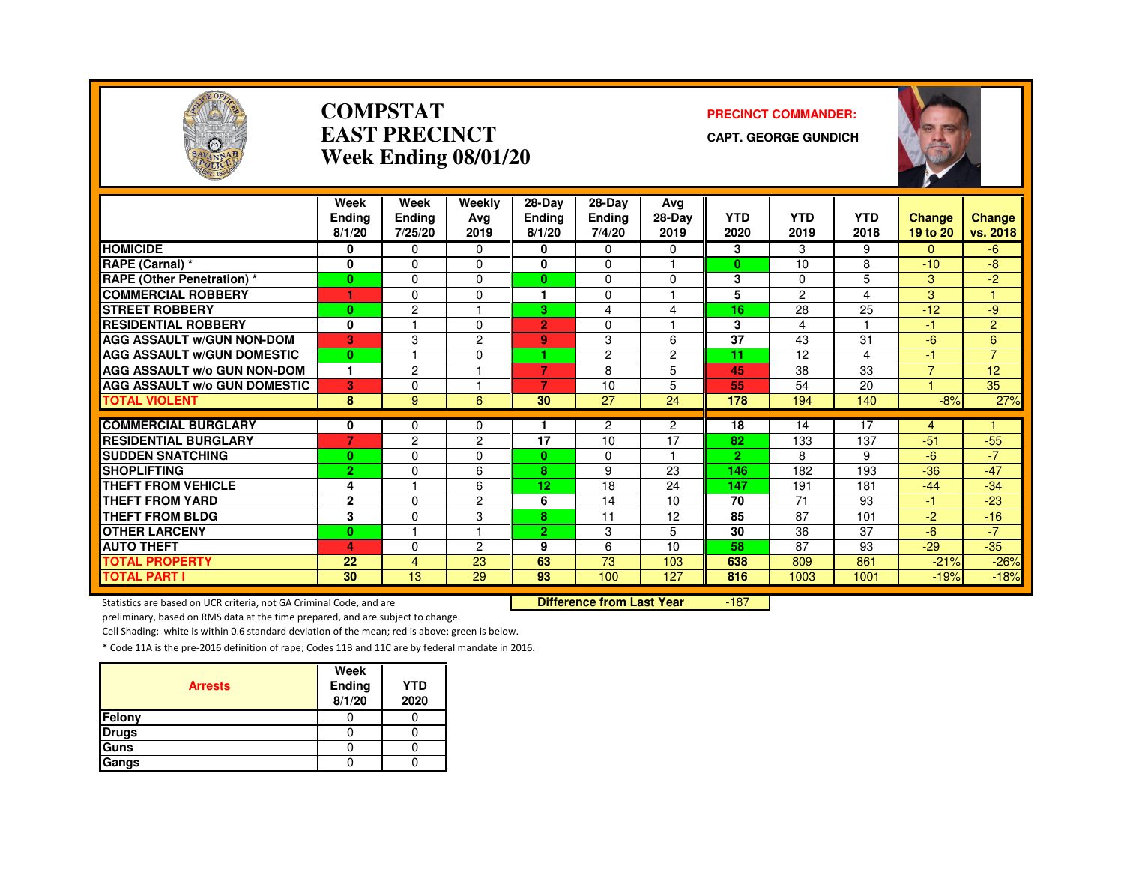

#### **COMPSTATEAST PRECINCTWeek Ending 08/01/20**

#### **PRECINCT COMMANDER:**

**CAPT. GEORGE GUNDICH**



|                                               | Week           | Week           | Weekly         | $28-Day$       | 28-Dav         | Avg                  |                       |            |            |                |                |
|-----------------------------------------------|----------------|----------------|----------------|----------------|----------------|----------------------|-----------------------|------------|------------|----------------|----------------|
|                                               | <b>Endina</b>  | <b>Ending</b>  | Ava            | Ending         | <b>Ending</b>  | $28-Dav$             | <b>YTD</b>            | <b>YTD</b> | <b>YTD</b> | <b>Change</b>  | Change         |
|                                               | 8/1/20         | 7/25/20        | 2019           | 8/1/20         | 7/4/20         | 2019                 | 2020                  | 2019       | 2018       | 19 to 20       | vs. 2018       |
| <b>HOMICIDE</b>                               | 0              | 0              | 0              | 0              | 0              | $\Omega$             | 3                     | 3          | 9          | 0              | -6             |
| RAPE (Carnal) *                               | 0              | $\Omega$       | $\Omega$       | 0              | $\Omega$       |                      | $\bf{0}$              | 10         | 8          | $-10$          | -8             |
| <b>RAPE (Other Penetration) *</b>             | $\mathbf{0}$   | $\Omega$       | $\Omega$       | $\bf{0}$       | 0              | $\Omega$             | 3                     | $\Omega$   | 5          | 3              | $-2$           |
| <b>COMMERCIAL ROBBERY</b>                     | 1              | $\Omega$       | 0              |                | $\Omega$       |                      | 5                     | 2          | 4          | 3              |                |
| <b>STREET ROBBERY</b>                         | $\bf{0}$       | $\overline{c}$ |                | 3              | 4              | 4                    | 16                    | 28         | 25         | $-12$          | -9             |
| <b>RESIDENTIAL ROBBERY</b>                    | 0              |                | $\Omega$       | $\overline{2}$ | $\Omega$       |                      | 3                     | 4          |            | $-1$           | $\overline{2}$ |
| <b>AGG ASSAULT W/GUN NON-DOM</b>              | 3              | 3              | $\overline{c}$ | 9 <sup>°</sup> | 3              | 6                    | 37                    | 43         | 31         | $-6$           | 6              |
| <b>AGG ASSAULT W/GUN DOMESTIC</b>             | $\mathbf{0}$   |                | $\Omega$       | ٠              | $\overline{c}$ | $\overline{2}$       | 11                    | 12         | 4          | $-1$           | $\overline{7}$ |
| <b>AGG ASSAULT W/o GUN NON-DOM</b>            | 1              | 2              |                | $\overline{7}$ | 8              | 5                    | 45                    | 38         | 33         | $\overline{7}$ | 12             |
| <b>AGG ASSAULT W/o GUN DOMESTIC</b>           | 3              | $\Omega$       |                | 7              | 10             | 5                    | 55                    | 54         | 20         |                | 35             |
| <b>TOTAL VIOLENT</b>                          | 8              | 9              | 6              | 30             | 27             | 24                   | 178                   | 194        | 140        | $-8%$          | 27%            |
|                                               |                |                |                |                |                |                      |                       |            |            |                |                |
| <b>COMMERCIAL BURGLARY</b>                    | 0              | 0              | $\Omega$       |                | 2              | $\overline{2}$<br>17 | 18                    | 14         | 17         | $\overline{4}$ |                |
| <b>RESIDENTIAL BURGLARY</b>                   | $\overline{7}$ | 2              | $\overline{2}$ | 17             | 10             | н                    | 82                    | 133        | 137        | $-51$          | $-55$          |
| <b>SUDDEN SNATCHING</b><br><b>SHOPLIFTING</b> | $\bf{0}$       | $\Omega$       | 0              | $\mathbf{0}$   | 0              |                      | $\overline{2}$<br>146 | 8          | 9          | $-6$           | $-7$           |
|                                               | $\overline{2}$ | $\Omega$       | 6              | 8              | 9              | 23                   |                       | 182        | 193        | $-36$          | $-47$          |
| THEFT FROM VEHICLE                            | 4              |                | 6              | 12             | 18             | 24                   | 147                   | 191        | 181        | $-44$          | $-34$          |
| <b>THEFT FROM YARD</b>                        | $\mathbf 2$    | $\Omega$       | 2              | 6              | 14             | 10                   | 70                    | 71         | 93         | -1             | $-23$          |
| THEFT FROM BLDG                               | 3              | $\Omega$       | 3              | 8              | 11             | 12                   | 85                    | 87         | 101        | $-2$           | $-16$          |
| <b>OTHER LARCENY</b>                          | $\bf{0}$       |                |                | $\overline{2}$ | 3              | 5                    | 30                    | 36         | 37         | $-6$           | $-7$           |
| <b>AUTO THEFT</b>                             | 4              | $\Omega$       | 2              | 9              | 6              | 10                   | 58                    | 87         | 93         | $-29$          | $-35$          |
| <b>TOTAL PROPERTY</b>                         | 22             | 4              | 23             | 63             | 73             | 103                  | 638                   | 809        | 861        | $-21%$         | $-26%$         |
| <b>TOTAL PART I</b>                           | 30             | 13             | 29             | 93             | 100            | 127                  | 816                   | 1003       | 1001       | $-19%$         | $-18%$         |

Statistics are based on UCR criteria, not GA Criminal Code, and are **Difference from Last Year** 

-187

preliminary, based on RMS data at the time prepared, and are subject to change.

Cell Shading: white is within 0.6 standard deviation of the mean; red is above; green is below.

| <b>Arrests</b> | Week<br>Ending<br>8/1/20 | <b>YTD</b><br>2020 |
|----------------|--------------------------|--------------------|
| Felony         |                          |                    |
| <b>Drugs</b>   |                          |                    |
| Guns           |                          |                    |
| Gangs          |                          |                    |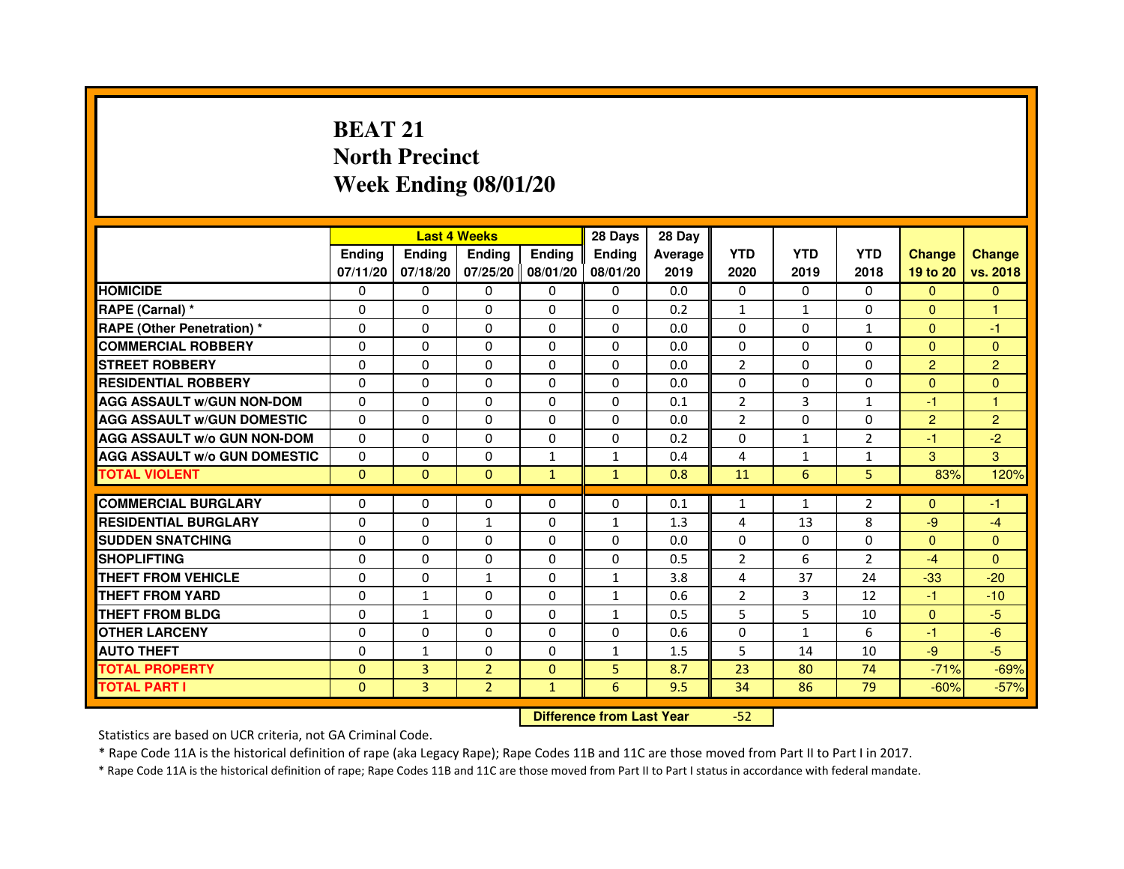## **BEAT 21 North PrecinctWeek Ending 08/01/20**

|                                     |               | <b>Last 4 Weeks</b> |                                  |               | 28 Days       | 28 Day  |                |              |                |                |                |
|-------------------------------------|---------------|---------------------|----------------------------------|---------------|---------------|---------|----------------|--------------|----------------|----------------|----------------|
|                                     | <b>Ending</b> | <b>Ending</b>       | <b>Ending</b>                    | <b>Ending</b> | <b>Ending</b> | Average | <b>YTD</b>     | <b>YTD</b>   | <b>YTD</b>     | <b>Change</b>  | <b>Change</b>  |
|                                     | 07/11/20      | 07/18/20            | 07/25/20                         | 08/01/20      | 08/01/20      | 2019    | 2020           | 2019         | 2018           | 19 to 20       | vs. 2018       |
| <b>HOMICIDE</b>                     | $\mathbf{0}$  | $\Omega$            | $\Omega$                         | $\Omega$      | 0             | 0.0     | $\Omega$       | $\Omega$     | 0              | $\Omega$       | $\Omega$       |
| RAPE (Carnal) *                     | 0             | $\Omega$            | 0                                | $\Omega$      | $\mathbf{0}$  | 0.2     | 1              | $\mathbf{1}$ | $\Omega$       | $\mathbf{0}$   | 1              |
| <b>RAPE (Other Penetration) *</b>   | $\mathbf 0$   | 0                   | $\Omega$                         | $\mathbf{0}$  | $\Omega$      | 0.0     | $\Omega$       | $\Omega$     | $\mathbf{1}$   | $\Omega$       | $-1$           |
| <b>COMMERCIAL ROBBERY</b>           | $\mathbf 0$   | $\mathbf{0}$        | $\Omega$                         | $\mathbf{0}$  | $\mathbf{0}$  | 0.0     | $\mathbf{0}$   | $\Omega$     | $\Omega$       | $\Omega$       | $\Omega$       |
| <b>STREET ROBBERY</b>               | $\Omega$      | $\Omega$            | $\Omega$                         | $\Omega$      | $\Omega$      | 0.0     | 2              | $\Omega$     | $\Omega$       | $\overline{2}$ | $\overline{2}$ |
| <b>RESIDENTIAL ROBBERY</b>          | 0             | $\Omega$            | 0                                | $\Omega$      | $\Omega$      | 0.0     | $\Omega$       | $\Omega$     | $\Omega$       | $\Omega$       | $\Omega$       |
| <b>AGG ASSAULT W/GUN NON-DOM</b>    | $\Omega$      | 0                   | $\Omega$                         | $\Omega$      | $\Omega$      | 0.1     | $\overline{2}$ | 3            | $\mathbf{1}$   | $-1$           | $\mathbf{1}$   |
| <b>AGG ASSAULT W/GUN DOMESTIC</b>   | $\Omega$      | $\Omega$            | $\Omega$                         | $\Omega$      | $\Omega$      | 0.0     | $\overline{2}$ | $\Omega$     | $\Omega$       | $\overline{2}$ | $\overline{2}$ |
| <b>AGG ASSAULT W/o GUN NON-DOM</b>  | $\Omega$      | 0                   | 0                                | $\mathbf{0}$  | 0             | 0.2     | 0              | $\mathbf{1}$ | $\overline{2}$ | $-1$           | $-2$           |
| <b>AGG ASSAULT W/o GUN DOMESTIC</b> | $\Omega$      | 0                   | 0                                | $\mathbf{1}$  | $\mathbf{1}$  | 0.4     | 4              | $\mathbf{1}$ | $\mathbf{1}$   | 3              | 3              |
| <b>TOTAL VIOLENT</b>                | $\mathbf{0}$  | $\mathbf{0}$        | $\mathbf{0}$                     | $\mathbf{1}$  | $\mathbf{1}$  | 0.8     | 11             | 6            | 5              | 83%            | 120%           |
| <b>COMMERCIAL BURGLARY</b>          | 0             | 0                   | 0                                | 0             | 0             | 0.1     | 1              | $\mathbf{1}$ | $\overline{2}$ | $\Omega$       | $-1$           |
| <b>RESIDENTIAL BURGLARY</b>         | $\Omega$      | $\Omega$            | $\mathbf{1}$                     | $\mathbf{0}$  | $\mathbf{1}$  | 1.3     | 4              | 13           | 8              | $-9$           | $-4$           |
| <b>SUDDEN SNATCHING</b>             | $\Omega$      | $\Omega$            | $\Omega$                         | $\Omega$      | $\Omega$      | 0.0     | $\Omega$       | $\Omega$     | $\Omega$       | $\Omega$       | $\Omega$       |
| <b>SHOPLIFTING</b>                  | 0             | 0                   | 0                                | $\mathbf{0}$  | $\Omega$      | 0.5     | 2              | 6            | 2              | $-4$           | $\Omega$       |
| THEFT FROM VEHICLE                  | 0             | $\Omega$            | $\mathbf{1}$                     | $\mathbf{0}$  | $\mathbf{1}$  | 3.8     | 4              | 37           | 24             | $-33$          | $-20$          |
| THEFT FROM YARD                     | $\mathbf 0$   | $\mathbf{1}$        | $\Omega$                         | $\mathbf{0}$  | $\mathbf{1}$  | 0.6     | $\overline{2}$ | 3            | 12             | $-1$           | $-10$          |
| <b>THEFT FROM BLDG</b>              | 0             | $\mathbf{1}$        | 0                                | $\Omega$      | $\mathbf{1}$  | 0.5     | 5              | 5            | 10             | $\Omega$       | $-5$           |
| <b>OTHER LARCENY</b>                | 0             | $\Omega$            | 0                                | $\Omega$      | $\Omega$      | 0.6     | $\Omega$       | $\mathbf{1}$ | 6              | $-1$           | $-6$           |
| <b>AUTO THEFT</b>                   | $\Omega$      | $\mathbf{1}$        | $\Omega$                         | $\Omega$      | $\mathbf{1}$  | 1.5     | 5              | 14           | 10             | $-9$           | $-5$           |
| <b>TOTAL PROPERTY</b>               | $\Omega$      | 3                   | $\overline{2}$                   | $\mathbf{0}$  | 5             | 8.7     | 23             | 80           | 74             | $-71%$         | $-69%$         |
| <b>TOTAL PART I</b>                 | $\mathbf{0}$  | 3                   | $\overline{2}$                   | $\mathbf{1}$  | 6             | 9.5     | 34             | 86           | 79             | $-60%$         | $-57%$         |
|                                     |               |                     | <b>Difference from Last Year</b> |               | $-52$         |         |                |              |                |                |                |

Statistics are based on UCR criteria, not GA Criminal Code.

\* Rape Code 11A is the historical definition of rape (aka Legacy Rape); Rape Codes 11B and 11C are those moved from Part II to Part I in 2017.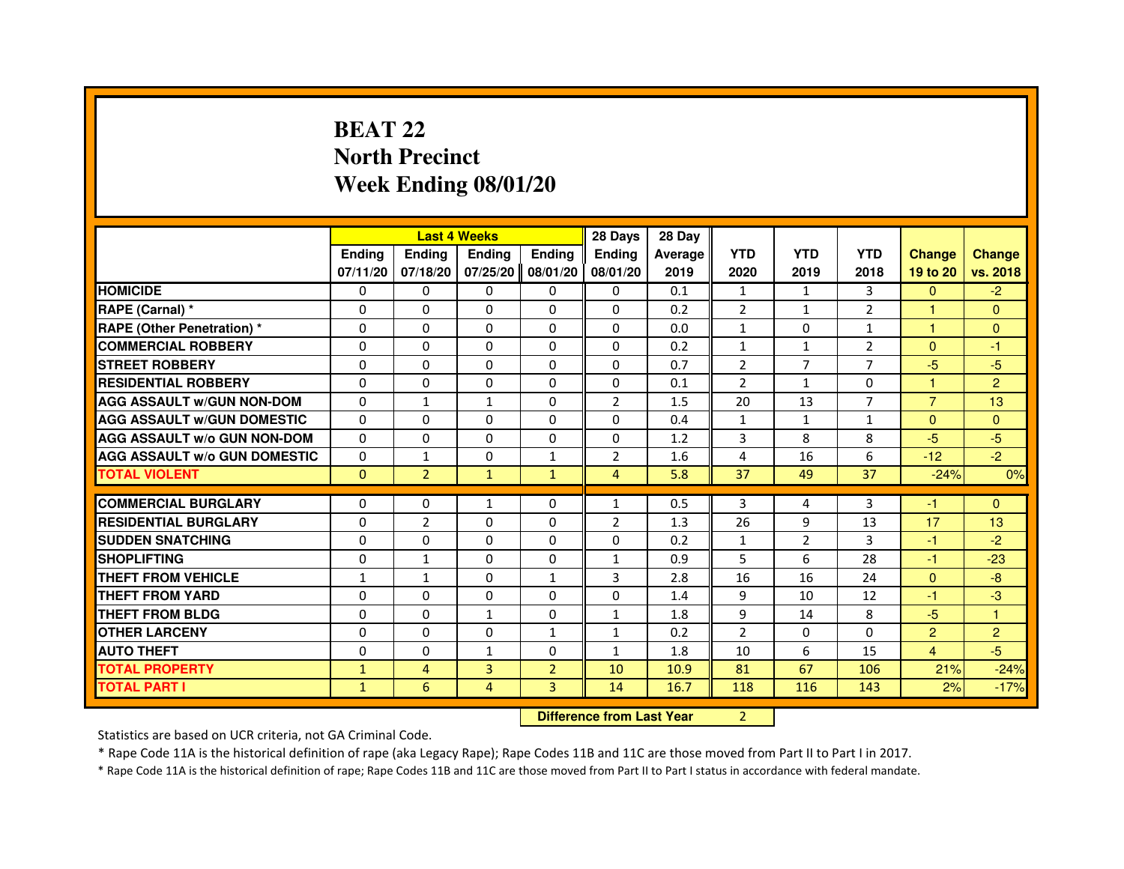## **BEAT 22 North PrecinctWeek Ending 08/01/20**

|                                     |               |                | <b>Last 4 Weeks</b>              |                | 28 Days        | 28 Day  |                |                |                |                |                |
|-------------------------------------|---------------|----------------|----------------------------------|----------------|----------------|---------|----------------|----------------|----------------|----------------|----------------|
|                                     | <b>Ending</b> | Ending         | <b>Ending</b>                    | <b>Ending</b>  | <b>Ending</b>  | Average | <b>YTD</b>     | <b>YTD</b>     | <b>YTD</b>     | <b>Change</b>  | <b>Change</b>  |
|                                     | 07/11/20      | 07/18/20       | 07/25/20                         | 08/01/20       | 08/01/20       | 2019    | 2020           | 2019           | 2018           | 19 to 20       | vs. 2018       |
| <b>HOMICIDE</b>                     | $\Omega$      | $\Omega$       | $\Omega$                         | 0              | 0              | 0.1     | $\mathbf{1}$   | $\mathbf{1}$   | 3              | $\mathbf{0}$   | $-2$           |
| RAPE (Carnal) *                     | 0             | 0              | 0                                | 0              | 0              | 0.2     | 2              | $\mathbf{1}$   | 2              | 1              | $\mathbf{0}$   |
| RAPE (Other Penetration) *          | $\Omega$      | 0              | $\Omega$                         | $\Omega$       | $\Omega$       | 0.0     | $\mathbf{1}$   | $\Omega$       | 1              | 1              | $\mathbf{0}$   |
| <b>COMMERCIAL ROBBERY</b>           | $\Omega$      | $\Omega$       | $\Omega$                         | $\Omega$       | $\Omega$       | 0.2     | $\mathbf{1}$   | $\mathbf{1}$   | $\overline{2}$ | $\Omega$       | $-1$           |
| <b>STREET ROBBERY</b>               | $\Omega$      | $\Omega$       | $\Omega$                         | $\Omega$       | $\Omega$       | 0.7     | $\overline{2}$ | $\overline{7}$ | $\overline{7}$ | $-5$           | $-5$           |
| <b>RESIDENTIAL ROBBERY</b>          | 0             | 0              | $\Omega$                         | 0              | 0              | 0.1     | 2              | $\mathbf{1}$   | $\Omega$       | 1              | $\overline{2}$ |
| <b>AGG ASSAULT W/GUN NON-DOM</b>    | $\Omega$      | $\mathbf{1}$   | $\mathbf{1}$                     | $\Omega$       | $\overline{2}$ | 1.5     | 20             | 13             | 7              | $\overline{7}$ | 13             |
| <b>AGG ASSAULT W/GUN DOMESTIC</b>   | $\Omega$      | $\Omega$       | $\Omega$                         | $\Omega$       | $\Omega$       | 0.4     | $\mathbf{1}$   | $\mathbf{1}$   | $\mathbf{1}$   | $\Omega$       | $\overline{0}$ |
| <b>AGG ASSAULT W/o GUN NON-DOM</b>  | $\Omega$      | $\Omega$       | $\Omega$                         | $\Omega$       | $\Omega$       | 1.2     | 3              | 8              | 8              | $-5$           | $-5$           |
| <b>AGG ASSAULT W/o GUN DOMESTIC</b> | $\Omega$      | $\mathbf{1}$   | 0                                | $\mathbf{1}$   | 2              | 1.6     | 4              | 16             | 6              | $-12$          | $-2$           |
| <b>TOTAL VIOLENT</b>                | $\mathbf{0}$  | $\overline{2}$ | $\mathbf{1}$                     | $\mathbf{1}$   | $\overline{4}$ | 5.8     | 37             | 49             | 37             | $-24%$         | 0%             |
| <b>COMMERCIAL BURGLARY</b>          | 0             | 0              | 1                                | 0              | $\mathbf{1}$   | 0.5     | 3              | 4              | 3              | $-1$           | $\Omega$       |
| <b>RESIDENTIAL BURGLARY</b>         | 0             | $\overline{2}$ | $\Omega$                         | $\Omega$       | $\overline{2}$ | 1.3     | 26             | 9              | 13             | 17             | 13             |
| <b>SUDDEN SNATCHING</b>             | $\Omega$      | $\Omega$       | $\Omega$                         | $\Omega$       | $\Omega$       | 0.2     | $\mathbf{1}$   | $\overline{2}$ | 3              | $-1$           | $-2$           |
| <b>SHOPLIFTING</b>                  | 0             | 1              | 0                                | 0              | $\mathbf{1}$   | 0.9     | 5              | 6              | 28             | $-1$           | $-23$          |
| THEFT FROM VEHICLE                  | 1             | $\mathbf{1}$   | 0                                | $\mathbf{1}$   | 3              | 2.8     | 16             | 16             | 24             | $\mathbf{0}$   | $-8$           |
| <b>THEFT FROM YARD</b>              | $\Omega$      | $\Omega$       | $\Omega$                         | $\Omega$       | $\Omega$       | 1.4     | 9              | 10             | 12             | $-1$           | $-3$           |
| <b>THEFT FROM BLDG</b>              | $\Omega$      | $\Omega$       | $\mathbf{1}$                     | $\Omega$       | $\mathbf{1}$   | 1.8     | 9              | 14             | 8              | $-5$           | $\mathbf{1}$   |
| <b>OTHER LARCENY</b>                | 0             | $\Omega$       | 0                                | 1              | $\mathbf{1}$   | 0.2     | $\overline{2}$ | 0              | $\Omega$       | $\overline{2}$ | $\overline{2}$ |
| <b>AUTO THEFT</b>                   | $\Omega$      | $\Omega$       | $\mathbf{1}$                     | $\Omega$       | $\mathbf{1}$   | 1.8     | 10             | 6              | 15             | $\overline{4}$ | $-5$           |
| <b>TOTAL PROPERTY</b>               | $\mathbf{1}$  | $\overline{4}$ | $\overline{3}$                   | $\overline{2}$ | 10             | 10.9    | 81             | 67             | 106            | 21%            | $-24%$         |
| <b>TOTAL PART I</b>                 | $\mathbf{1}$  | 6              | 4                                | 3              | 14             | 16.7    | 118            | 116            | 143            | 2%             | $-17%$         |
|                                     |               |                | <b>Difference from Last Year</b> |                | $\overline{2}$ |         |                |                |                |                |                |

 **Difference from Last Year**

Statistics are based on UCR criteria, not GA Criminal Code.

\* Rape Code 11A is the historical definition of rape (aka Legacy Rape); Rape Codes 11B and 11C are those moved from Part II to Part I in 2017.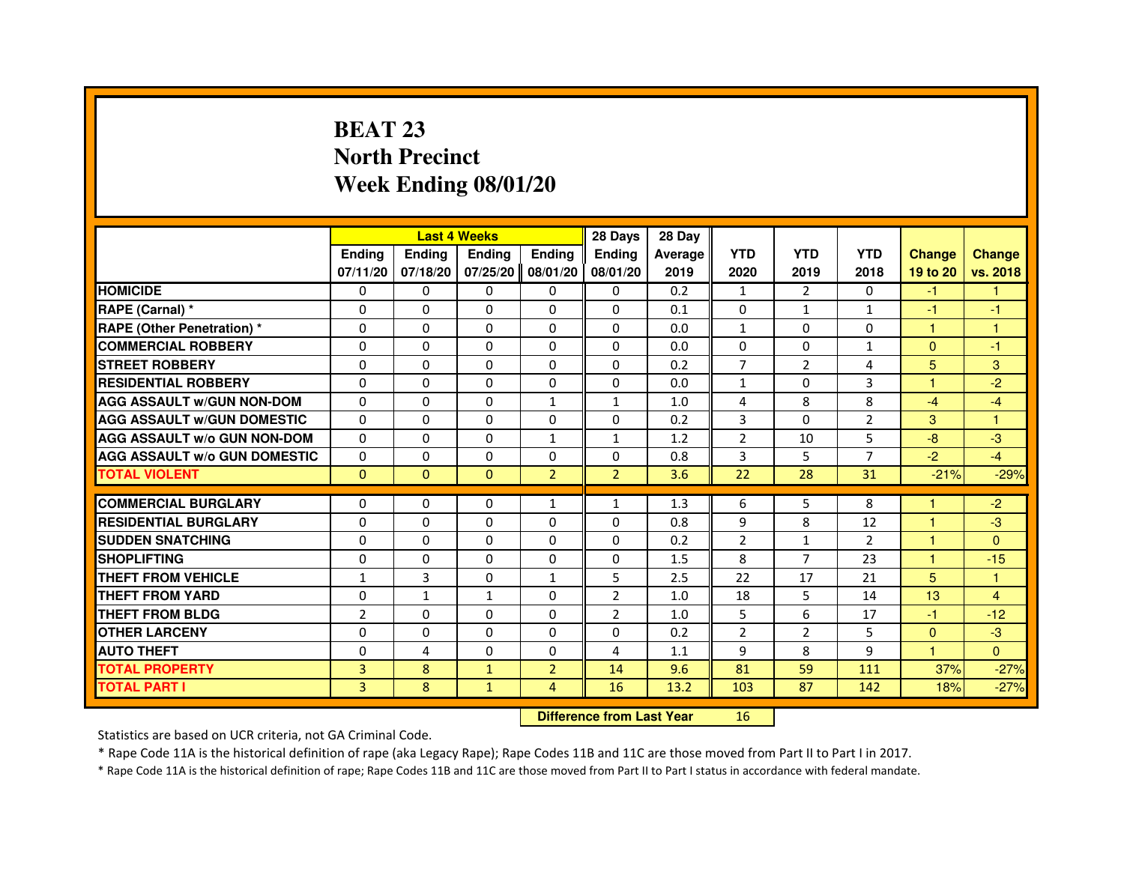## **BEAT 23 North PrecinctWeek Ending 08/01/20**

|                                     |                |              | <b>Last 4 Weeks</b> |                | 28 Days                          | 28 Day  |                |                |                |               |                |
|-------------------------------------|----------------|--------------|---------------------|----------------|----------------------------------|---------|----------------|----------------|----------------|---------------|----------------|
|                                     | <b>Ending</b>  | Ending       | <b>Ending</b>       | <b>Ending</b>  | <b>Ending</b>                    | Average | <b>YTD</b>     | <b>YTD</b>     | <b>YTD</b>     | <b>Change</b> | <b>Change</b>  |
|                                     | 07/11/20       | 07/18/20     | 07/25/20            | 08/01/20       | 08/01/20                         | 2019    | 2020           | 2019           | 2018           | 19 to 20      | vs. 2018       |
| <b>HOMICIDE</b>                     | 0              | $\Omega$     | 0                   | $\Omega$       | 0                                | 0.2     | $\mathbf{1}$   | $\mathcal{P}$  | $\Omega$       | $-1$          | $\mathbf{1}$   |
| RAPE (Carnal) *                     | 0              | 0            | $\Omega$            | $\Omega$       | 0                                | 0.1     | 0              | $\mathbf{1}$   | $\mathbf{1}$   | $-1$          | -1             |
| <b>RAPE (Other Penetration) *</b>   | $\Omega$       | 0            | 0                   | 0              | 0                                | 0.0     | $\mathbf{1}$   | $\mathbf{0}$   | 0              | 1             | 1              |
| <b>COMMERCIAL ROBBERY</b>           | $\Omega$       | $\Omega$     | $\Omega$            | $\Omega$       | $\Omega$                         | 0.0     | $\Omega$       | $\mathbf{0}$   | $\mathbf{1}$   | $\mathbf{0}$  | $-1$           |
| <b>STREET ROBBERY</b>               | $\Omega$       | $\Omega$     | $\Omega$            | $\Omega$       | $\Omega$                         | 0.2     | $\overline{7}$ | $\overline{2}$ | 4              | 5             | 3              |
| <b>RESIDENTIAL ROBBERY</b>          | $\Omega$       | 0            | $\Omega$            | 0              | $\Omega$                         | 0.0     | 1              | $\mathbf{0}$   | 3              | 1             | $-2$           |
| <b>AGG ASSAULT W/GUN NON-DOM</b>    | $\Omega$       | $\Omega$     | $\Omega$            | $\mathbf{1}$   | $\mathbf{1}$                     | 1.0     | 4              | 8              | 8              | $-4$          | $-4$           |
| <b>AGG ASSAULT W/GUN DOMESTIC</b>   | $\Omega$       | $\Omega$     | $\Omega$            | $\Omega$       | $\Omega$                         | 0.2     | 3              | $\mathbf{0}$   | $\overline{2}$ | 3             | $\mathbf{1}$   |
| <b>AGG ASSAULT W/o GUN NON-DOM</b>  | $\Omega$       | $\Omega$     | $\Omega$            | $\mathbf{1}$   | $\mathbf{1}$                     | 1.2     | $\overline{2}$ | 10             | 5              | $-8$          | $-3$           |
| <b>AGG ASSAULT W/o GUN DOMESTIC</b> | $\Omega$       | $\Omega$     | $\Omega$            | $\Omega$       | $\Omega$                         | 0.8     | 3              | 5              | 7              | $-2$          | $-4$           |
| <b>TOTAL VIOLENT</b>                | $\mathbf{0}$   | $\mathbf{0}$ | $\mathbf{0}$        | $\overline{2}$ | $\overline{2}$                   | 3.6     | 22             | 28             | 31             | $-21%$        | $-29%$         |
| <b>COMMERCIAL BURGLARY</b>          | 0              | 0            | 0                   | $\mathbf{1}$   | $\mathbf{1}$                     | 1.3     | 6              | 5              | 8              | 1             | $-2$           |
| <b>RESIDENTIAL BURGLARY</b>         | 0              | $\Omega$     | 0                   | 0              | 0                                | 0.8     | 9              | 8              | 12             | 1             | $-3$           |
| <b>SUDDEN SNATCHING</b>             | $\Omega$       | $\Omega$     | $\Omega$            | $\Omega$       | $\Omega$                         | 0.2     | $\overline{2}$ | $\mathbf{1}$   | $\mathcal{P}$  | $\mathbf{1}$  | $\Omega$       |
| <b>SHOPLIFTING</b>                  | 0              | 0            | 0                   | 0              | 0                                | 1.5     | 8              | $\overline{7}$ | 23             | 1             | $-15$          |
| THEFT FROM VEHICLE                  | 1              | 3            | $\Omega$            | $\mathbf{1}$   | 5                                | 2.5     | 22             | 17             | 21             | 5             | 1              |
| <b>THEFT FROM YARD</b>              | $\Omega$       | $\mathbf{1}$ | $\mathbf{1}$        | $\Omega$       | $\overline{2}$                   | 1.0     | 18             | 5              | 14             | 13            | $\overline{4}$ |
| <b>THEFT FROM BLDG</b>              | $\overline{2}$ | $\Omega$     | $\Omega$            | $\Omega$       | $\overline{2}$                   | 1.0     | 5              | 6              | 17             | $-1$          | $-12$          |
| <b>OTHER LARCENY</b>                | 0              | 0            | 0                   | $\mathbf{0}$   | 0                                | 0.2     | 2              | $\overline{2}$ | 5              | $\Omega$      | $-3$           |
| <b>AUTO THEFT</b>                   | $\Omega$       | 4            | $\Omega$            | $\Omega$       | 4                                | 1.1     | 9              | 8              | 9              | $\mathbf{1}$  | $\Omega$       |
| <b>TOTAL PROPERTY</b>               | 3              | 8            | $\mathbf{1}$        | $\overline{2}$ | 14                               | 9.6     | 81             | 59             | 111            | 37%           | $-27%$         |
| <b>TOTAL PART I</b>                 | 3              | 8            | $\mathbf{1}$        | 4              | 16                               | 13.2    | 103            | 87             | 142            | 18%           | $-27%$         |
|                                     |                |              |                     |                | <b>Difference from Last Year</b> |         | 16             |                |                |               |                |

 **Difference from Last Year**

Statistics are based on UCR criteria, not GA Criminal Code.

\* Rape Code 11A is the historical definition of rape (aka Legacy Rape); Rape Codes 11B and 11C are those moved from Part II to Part I in 2017.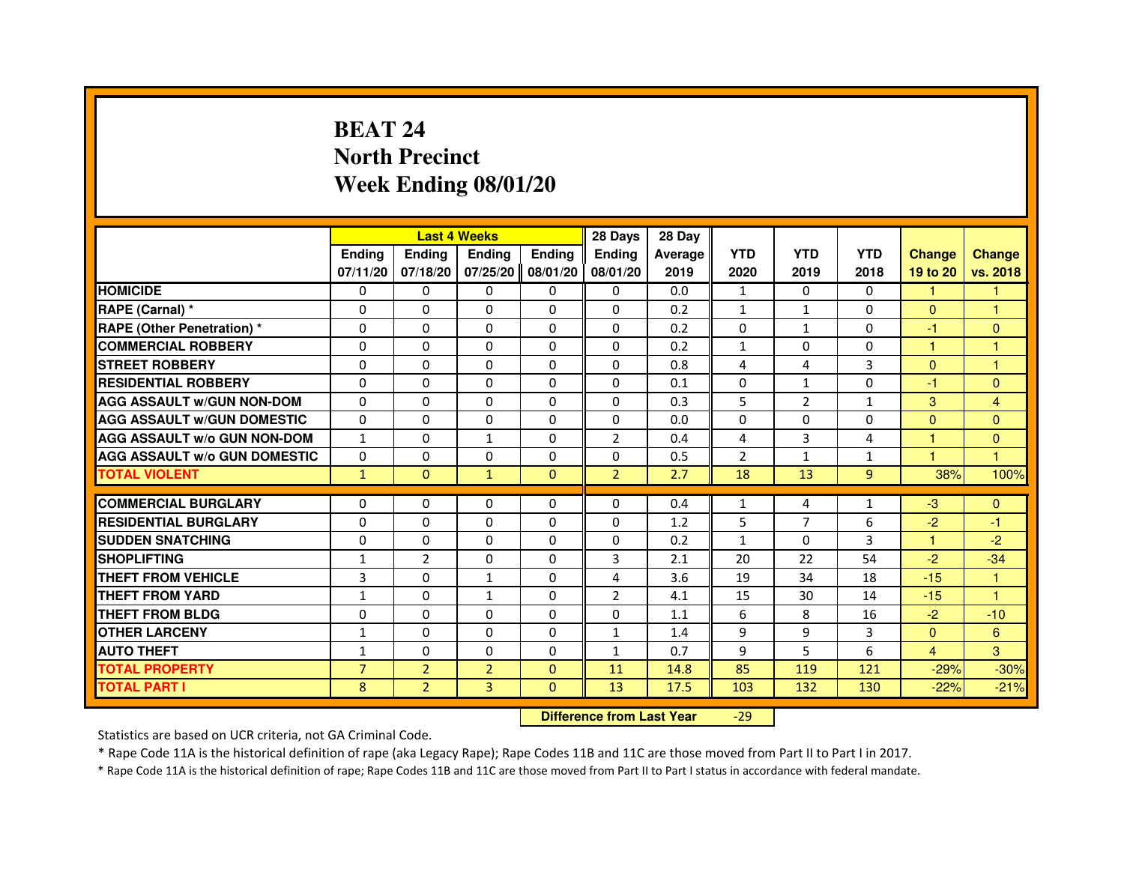## **BEAT 24 North PrecinctWeek Ending 08/01/20**

|                                     |                |                | <b>Last 4 Weeks</b> |               | 28 Days                          | 28 Day  |                |                |              |                |               |
|-------------------------------------|----------------|----------------|---------------------|---------------|----------------------------------|---------|----------------|----------------|--------------|----------------|---------------|
|                                     | <b>Ending</b>  | Ending         | Ending              | <b>Ending</b> | Ending                           | Average | <b>YTD</b>     | <b>YTD</b>     | <b>YTD</b>   | <b>Change</b>  | <b>Change</b> |
|                                     | 07/11/20       | 07/18/20       | 07/25/20            | 08/01/20      | 08/01/20                         | 2019    | 2020           | 2019           | 2018         | 19 to 20       | vs. 2018      |
| <b>HOMICIDE</b>                     | 0              | $\Omega$       | $\Omega$            | $\Omega$      | 0                                | 0.0     | $\mathbf{1}$   | $\Omega$       | $\Omega$     | 1.             | $\mathbf{1}$  |
| RAPE (Carnal) *                     | 0              | 0              | 0                   | 0             | 0                                | 0.2     | $\mathbf{1}$   | $\mathbf{1}$   | 0            | $\Omega$       | 1             |
| <b>RAPE (Other Penetration) *</b>   | $\Omega$       | 0              | $\Omega$            | $\Omega$      | $\Omega$                         | 0.2     | $\Omega$       | $\mathbf{1}$   | $\Omega$     | $-1$           | $\Omega$      |
| <b>COMMERCIAL ROBBERY</b>           | $\Omega$       | $\Omega$       | $\Omega$            | $\Omega$      | $\Omega$                         | 0.2     | $\mathbf{1}$   | $\Omega$       | $\Omega$     | $\mathbf{1}$   | $\mathbf{1}$  |
| <b>STREET ROBBERY</b>               | $\Omega$       | $\Omega$       | $\Omega$            | $\Omega$      | $\Omega$                         | 0.8     | 4              | 4              | 3            | $\Omega$       | 1             |
| <b>RESIDENTIAL ROBBERY</b>          | $\Omega$       | 0              | $\Omega$            | $\Omega$      | 0                                | 0.1     | 0              | $\mathbf{1}$   | $\Omega$     | $-1$           | $\mathbf{0}$  |
| <b>AGG ASSAULT W/GUN NON-DOM</b>    | $\Omega$       | $\Omega$       | $\Omega$            | $\Omega$      | $\Omega$                         | 0.3     | 5              | $\overline{2}$ | 1            | 3              | 4             |
| <b>AGG ASSAULT W/GUN DOMESTIC</b>   | $\Omega$       | 0              | $\Omega$            | $\Omega$      | 0                                | 0.0     | $\Omega$       | $\Omega$       | $\Omega$     | $\Omega$       | $\mathbf{0}$  |
| <b>AGG ASSAULT W/o GUN NON-DOM</b>  | $\mathbf{1}$   | $\Omega$       | $\mathbf{1}$        | $\Omega$      | $\overline{2}$                   | 0.4     | 4              | $\overline{3}$ | 4            | $\mathbf{1}$   | $\Omega$      |
| <b>AGG ASSAULT W/o GUN DOMESTIC</b> | $\Omega$       | 0              | 0                   | $\Omega$      | 0                                | 0.5     | $\overline{2}$ | $\mathbf{1}$   | $\mathbf{1}$ | 1              | 1             |
| <b>TOTAL VIOLENT</b>                | $\mathbf{1}$   | $\mathbf{0}$   | $\mathbf{1}$        | $\mathbf{0}$  | $\overline{2}$                   | 2.7     | 18             | 13             | 9            | 38%            | 100%          |
| <b>COMMERCIAL BURGLARY</b>          | 0              | 0              | 0                   | 0             | $\Omega$                         | 0.4     | 1              | 4              | 1            | $-3$           | $\mathbf{0}$  |
| <b>RESIDENTIAL BURGLARY</b>         | $\Omega$       | $\Omega$       | $\Omega$            | $\Omega$      | $\Omega$                         | 1.2     | 5              | $\overline{7}$ | 6            | $-2$           | $-1$          |
| <b>SUDDEN SNATCHING</b>             | $\Omega$       | $\Omega$       | $\Omega$            | $\Omega$      | $\Omega$                         | 0.2     | $\mathbf{1}$   | $\Omega$       | 3            | $\mathbf{1}$   | $-2$          |
| <b>SHOPLIFTING</b>                  | 1              | $\overline{2}$ | 0                   | 0             | 3                                | 2.1     | 20             | 22             | 54           | $-2$           | $-34$         |
| THEFT FROM VEHICLE                  | 3              | $\Omega$       | $\mathbf{1}$        | $\Omega$      | 4                                | 3.6     | 19             | 34             | 18           | $-15$          | 1             |
| THEFT FROM YARD                     | $\mathbf{1}$   | $\Omega$       | 1                   | $\Omega$      | $\overline{2}$                   | 4.1     | 15             | 30             | 14           | $-15$          | $\mathbf{1}$  |
| <b>THEFT FROM BLDG</b>              | $\Omega$       | $\Omega$       | $\Omega$            | $\Omega$      | $\Omega$                         | 1.1     | 6              | 8              | 16           | $-2$           | $-10$         |
| <b>OTHER LARCENY</b>                | $\mathbf{1}$   | 0              | 0                   | 0             | $\mathbf{1}$                     | 1.4     | 9              | 9              | 3            | $\mathbf{0}$   | 6             |
| <b>AUTO THEFT</b>                   | $\mathbf{1}$   | $\Omega$       | $\Omega$            | $\Omega$      | $\mathbf{1}$                     | 0.7     | 9              | 5              | 6            | $\overline{4}$ | 3             |
| <b>TOTAL PROPERTY</b>               | $\overline{7}$ | $\overline{2}$ | $\overline{2}$      | $\Omega$      | 11                               | 14.8    | 85             | 119            | 121          | $-29%$         | $-30%$        |
| <b>TOTAL PART I</b>                 | 8              | $\overline{2}$ | 3                   | $\mathbf{0}$  | 13                               | 17.5    | 103            | 132            | 130          | $-22%$         | $-21%$        |
|                                     |                |                |                     |               | <b>Difference from Last Year</b> |         | $-29$          |                |              |                |               |

 **Difference from Last Year**

Statistics are based on UCR criteria, not GA Criminal Code.

\* Rape Code 11A is the historical definition of rape (aka Legacy Rape); Rape Codes 11B and 11C are those moved from Part II to Part I in 2017.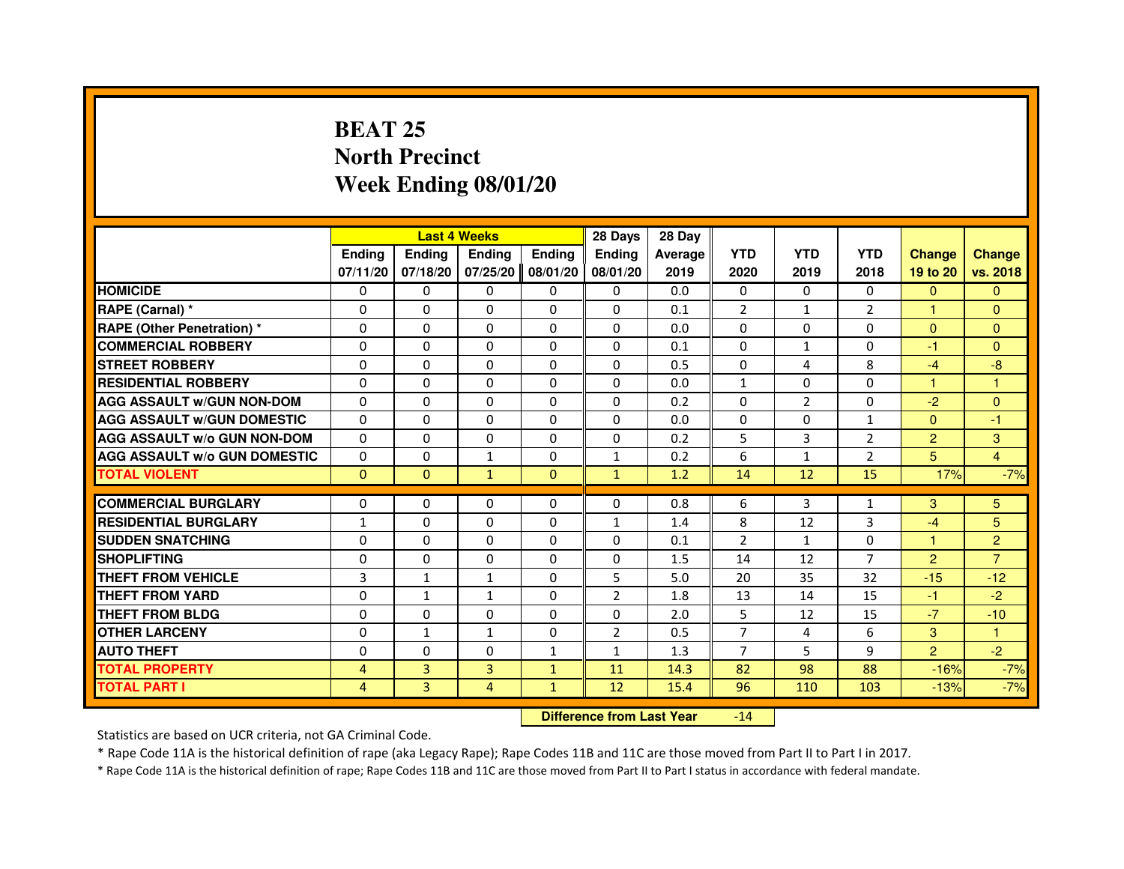#### **BEAT 25 North PrecinctWeek Ending 08/01/20**

|                                     |                |                                  | <b>Last 4 Weeks</b> |               | 28 Days        | 28 Day  |                |                |                |                |                |
|-------------------------------------|----------------|----------------------------------|---------------------|---------------|----------------|---------|----------------|----------------|----------------|----------------|----------------|
|                                     | <b>Ending</b>  | <b>Ending</b>                    | <b>Ending</b>       | <b>Ending</b> | <b>Endina</b>  | Average | <b>YTD</b>     | <b>YTD</b>     | <b>YTD</b>     | <b>Change</b>  | <b>Change</b>  |
|                                     | 07/11/20       | 07/18/20                         | 07/25/20            | 08/01/20      | 08/01/20       | 2019    | 2020           | 2019           | 2018           | 19 to 20       | vs. 2018       |
| <b>HOMICIDE</b>                     | $\Omega$       | $\Omega$                         | $\mathbf{0}$        | $\mathbf{0}$  | $\mathbf{0}$   | 0.0     | 0              | $\Omega$       | $\Omega$       | $\mathbf{0}$   | $\Omega$       |
| RAPE (Carnal) *                     | 0              | $\Omega$                         | 0                   | $\Omega$      | $\Omega$       | 0.1     | $\overline{2}$ | $\mathbf{1}$   | 2              | 1              | $\Omega$       |
| <b>RAPE (Other Penetration) *</b>   | $\Omega$       | $\Omega$                         | $\Omega$            | $\Omega$      | $\Omega$       | 0.0     | $\Omega$       | $\Omega$       | $\Omega$       | $\Omega$       | $\Omega$       |
| <b>COMMERCIAL ROBBERY</b>           | 0              | $\Omega$                         | $\Omega$            | $\Omega$      | $\Omega$       | 0.1     | $\Omega$       | $\mathbf{1}$   | $\Omega$       | $-1$           | $\Omega$       |
| <b>STREET ROBBERY</b>               | $\Omega$       | $\Omega$                         | 0                   | $\Omega$      | $\Omega$       | 0.5     | $\Omega$       | 4              | 8              | $-4$           | $-8$           |
| <b>RESIDENTIAL ROBBERY</b>          | $\Omega$       | $\Omega$                         | 0                   | $\Omega$      | 0              | 0.0     | $\mathbf{1}$   | $\Omega$       | $\Omega$       | $\mathbf{1}$   | 1              |
| <b>AGG ASSAULT W/GUN NON-DOM</b>    | $\Omega$       | $\Omega$                         | 0                   | $\Omega$      | $\Omega$       | 0.2     | $\Omega$       | $\overline{2}$ | $\Omega$       | $-2$           | $\Omega$       |
| <b>AGG ASSAULT W/GUN DOMESTIC</b>   | $\Omega$       | $\Omega$                         | $\Omega$            | $\Omega$      | $\Omega$       | 0.0     | 0              | $\Omega$       | $\mathbf{1}$   | $\Omega$       | $-1$           |
| <b>AGG ASSAULT w/o GUN NON-DOM</b>  | 0              | 0                                | 0                   | $\mathbf{0}$  | $\mathbf{0}$   | 0.2     | 5              | 3              | 2              | 2              | 3              |
| <b>AGG ASSAULT w/o GUN DOMESTIC</b> | $\Omega$       | 0                                | $\mathbf{1}$        | $\Omega$      | $\mathbf{1}$   | 0.2     | 6              | $\mathbf{1}$   | 2              | 5              | $\overline{4}$ |
| <b>TOTAL VIOLENT</b>                | $\mathbf 0$    | $\mathbf{0}$                     | $\mathbf{1}$        | $\mathbf{0}$  | $\mathbf{1}$   | 1.2     | 14             | 12             | 15             | 17%            | $-7%$          |
| <b>COMMERCIAL BURGLARY</b>          | $\Omega$       | 0                                | 0                   | $\Omega$      | 0              | 0.8     | 6              | 3              | $\mathbf{1}$   | 3              | 5              |
| <b>RESIDENTIAL BURGLARY</b>         | $\mathbf{1}$   | $\Omega$                         | $\Omega$            | $\Omega$      | 1              | 1.4     | 8              | 12             | 3              | $-4$           | 5              |
| <b>SUDDEN SNATCHING</b>             | $\Omega$       | $\Omega$                         | $\Omega$            | $\Omega$      | $\Omega$       | 0.1     | $\overline{2}$ | $\mathbf{1}$   | $\Omega$       | $\mathbf{1}$   | $\overline{2}$ |
| <b>SHOPLIFTING</b>                  | 0              | 0                                | 0                   | 0             | 0              | 1.5     | 14             | 12             | $\overline{7}$ | $\overline{2}$ | $\overline{7}$ |
| <b>THEFT FROM VEHICLE</b>           | 3              | $\mathbf{1}$                     | 1                   | $\Omega$      | 5              | 5.0     | 20             | 35             | 32             | $-15$          | $-12$          |
| <b>THEFT FROM YARD</b>              | 0              | $\mathbf{1}$                     | $\mathbf{1}$        | 0             | $\overline{2}$ | 1.8     | 13             | 14             | 15             | $-1$           | $-2$           |
| <b>THEFT FROM BLDG</b>              | $\Omega$       | $\Omega$                         | $\Omega$            | $\Omega$      | $\Omega$       | 2.0     | 5              | 12             | 15             | $-7$           | $-10$          |
| <b>OTHER LARCENY</b>                | 0              | $\mathbf{1}$                     | $\mathbf{1}$        | $\Omega$      | $\overline{2}$ | 0.5     | $\overline{7}$ | 4              | 6              | 3              | 1              |
| <b>AUTO THEFT</b>                   | $\Omega$       | $\Omega$                         | $\Omega$            | $\mathbf{1}$  | $\mathbf{1}$   | 1.3     | $\overline{7}$ | 5              | 9              | 2              | $-2$           |
| <b>TOTAL PROPERTY</b>               | $\overline{4}$ | 3                                | $\overline{3}$      | $\mathbf{1}$  | 11             | 14.3    | 82             | 98             | 88             | $-16%$         | $-7%$          |
| <b>TOTAL PART I</b>                 | $\overline{4}$ | 3                                | 4                   | $\mathbf{1}$  | 12             | 15.4    | 96             | 110            | 103            | $-13%$         | $-7%$          |
|                                     |                | <b>Difference from Last Year</b> |                     | $-14$         |                |         |                |                |                |                |                |

Statistics are based on UCR criteria, not GA Criminal Code.

\* Rape Code 11A is the historical definition of rape (aka Legacy Rape); Rape Codes 11B and 11C are those moved from Part II to Part I in 2017.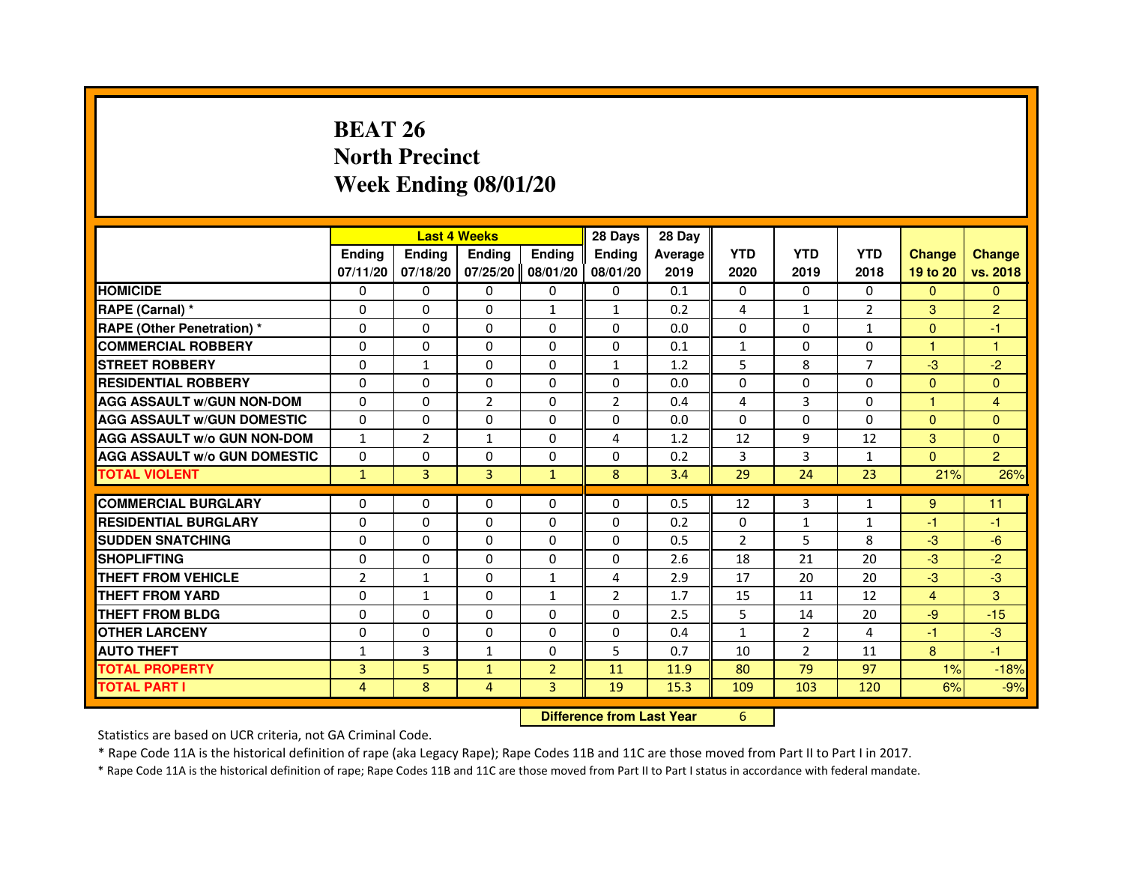## **BEAT 26 North PrecinctWeek Ending 08/01/20**

|                                     |                | <b>Last 4 Weeks</b>              |                |                | 28 Days        | 28 Day  |                |                |                |                |                |
|-------------------------------------|----------------|----------------------------------|----------------|----------------|----------------|---------|----------------|----------------|----------------|----------------|----------------|
|                                     | <b>Ending</b>  | <b>Ending</b>                    | <b>Ending</b>  | <b>Ending</b>  | Ending         | Average | <b>YTD</b>     | <b>YTD</b>     | <b>YTD</b>     | <b>Change</b>  | <b>Change</b>  |
|                                     | 07/11/20       | 07/18/20                         | 07/25/20       | 08/01/20       | 08/01/20       | 2019    | 2020           | 2019           | 2018           | 19 to 20       | vs. 2018       |
| <b>HOMICIDE</b>                     | $\mathbf{0}$   | $\mathbf{0}$                     | $\mathbf{0}$   | 0              | 0              | 0.1     | $\mathbf{0}$   | 0              | 0              | $\Omega$       | $\mathbf{0}$   |
| RAPE (Carnal) *                     | 0              | 0                                | 0              | 1              | 1              | 0.2     | 4              | $\mathbf{1}$   | $\overline{2}$ | 3              | $\overline{c}$ |
| RAPE (Other Penetration) *          | $\Omega$       | $\Omega$                         | $\Omega$       | $\Omega$       | $\mathbf{0}$   | 0.0     | $\mathbf{0}$   | $\mathbf{0}$   | $\mathbf{1}$   | $\mathbf{0}$   | $-1$           |
| <b>COMMERCIAL ROBBERY</b>           | 0              | 0                                | $\Omega$       | $\Omega$       | 0              | 0.1     | $\mathbf{1}$   | 0              | 0              | $\mathbf{1}$   | $\mathbf{1}$   |
| <b>STREET ROBBERY</b>               | $\Omega$       | $\mathbf{1}$                     | $\Omega$       | $\Omega$       | $\mathbf{1}$   | 1.2     | 5              | 8              | $\overline{7}$ | $-3$           | $-2$           |
| <b>RESIDENTIAL ROBBERY</b>          | 0              | 0                                | 0              | 0              | 0              | 0.0     | $\Omega$       | 0              | $\Omega$       | $\overline{0}$ | $\mathbf{0}$   |
| <b>AGG ASSAULT W/GUN NON-DOM</b>    | $\Omega$       | $\Omega$                         | $\overline{2}$ | $\Omega$       | $\overline{2}$ | 0.4     | 4              | 3              | 0              | 1              | $\overline{4}$ |
| <b>AGG ASSAULT W/GUN DOMESTIC</b>   | $\Omega$       | $\Omega$                         | 0              | $\Omega$       | $\Omega$       | 0.0     | $\Omega$       | $\Omega$       | $\Omega$       | $\Omega$       | $\Omega$       |
| <b>AGG ASSAULT W/o GUN NON-DOM</b>  | $\mathbf{1}$   | 2                                | $\mathbf{1}$   | $\Omega$       | 4              | 1.2     | 12             | 9              | 12             | 3              | $\mathbf{0}$   |
| <b>AGG ASSAULT W/o GUN DOMESTIC</b> | 0              | 0                                | 0              | $\Omega$       | 0              | 0.2     | 3              | 3              | $\mathbf{1}$   | $\Omega$       | $\overline{2}$ |
| <b>TOTAL VIOLENT</b>                | $\mathbf{1}$   | 3                                | 3              | $\mathbf{1}$   | 8              | 3.4     | 29             | 24             | 23             | 21%            | 26%            |
| <b>COMMERCIAL BURGLARY</b>          | 0              | 0                                | 0              | 0              | 0              | 0.5     | 12             | 3              | $\mathbf{1}$   | 9              | 11             |
| <b>RESIDENTIAL BURGLARY</b>         | $\Omega$       | $\Omega$                         | 0              | $\Omega$       | 0              | 0.2     | 0              | $\mathbf{1}$   | $\mathbf{1}$   | $-1$           | $-1$           |
| <b>SUDDEN SNATCHING</b>             | 0              | $\Omega$                         | $\Omega$       | $\Omega$       | $\Omega$       | 0.5     | $\overline{2}$ | 5              | 8              | $-3$           | $-6$           |
| <b>SHOPLIFTING</b>                  | 0              | $\mathbf{0}$                     | 0              | $\Omega$       | 0              | 2.6     | 18             | 21             | 20             | $-3$           | $-2$           |
| THEFT FROM VEHICLE                  | $\overline{2}$ | $\mathbf{1}$                     | 0              | $\mathbf{1}$   | 4              | 2.9     | 17             | 20             | 20             | $-3$           | $-3$           |
| <b>THEFT FROM YARD</b>              | $\Omega$       | $\mathbf{1}$                     | $\Omega$       | 1              | $\overline{2}$ | 1.7     | 15             | 11             | 12             | 4              | 3              |
| <b>THEFT FROM BLDG</b>              | $\Omega$       | $\Omega$                         | $\Omega$       | $\Omega$       | $\Omega$       | 2.5     | 5              | 14             | 20             | $-9$           | $-15$          |
| <b>OTHER LARCENY</b>                | $\Omega$       | $\Omega$                         | 0              | $\Omega$       | $\Omega$       | 0.4     | $\mathbf{1}$   | $\overline{2}$ | 4              | $-1$           | $-3$           |
| <b>AUTO THEFT</b>                   | $\mathbf{1}$   | 3                                | $\mathbf{1}$   | $\Omega$       | 5              | 0.7     | 10             | $\overline{2}$ | 11             | 8              | $-1$           |
| <b>TOTAL PROPERTY</b>               | 3              | 5                                | $\mathbf{1}$   | $\overline{2}$ | 11             | 11.9    | 80             | 79             | 97             | 1%             | $-18%$         |
| <b>TOTAL PART I</b>                 | 4              | 8                                | 4              | 3              | 19             | 15.3    | 109            | 103            | 120            | 6%             | $-9%$          |
|                                     |                | <b>Difference from Last Year</b> |                | 6              |                |         |                |                |                |                |                |

 **Difference from Last Year**

Statistics are based on UCR criteria, not GA Criminal Code.

\* Rape Code 11A is the historical definition of rape (aka Legacy Rape); Rape Codes 11B and 11C are those moved from Part II to Part I in 2017.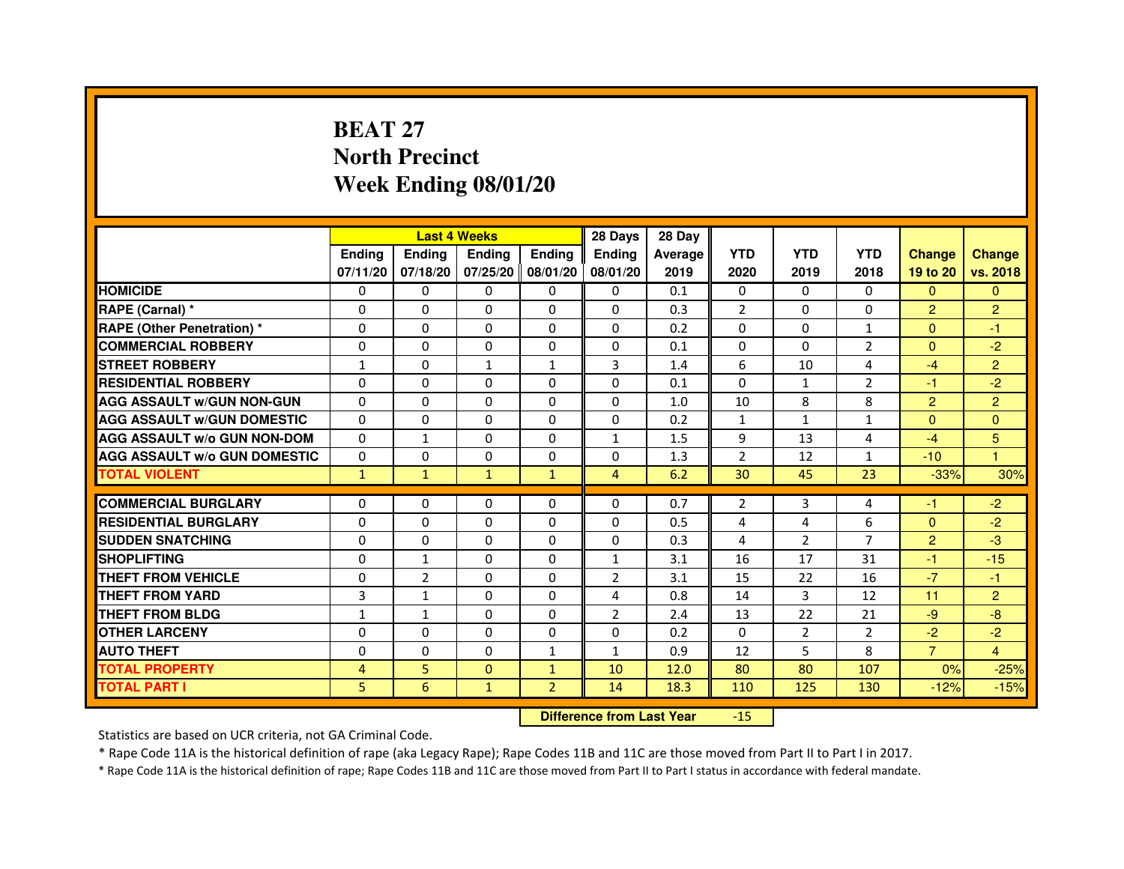## **BEAT 27 North PrecinctWeek Ending 08/01/20**

|                                     |               | <b>Last 4 Weeks</b> |               |                   | 28 Days        | 28 Day  |                |                |                |                |                |
|-------------------------------------|---------------|---------------------|---------------|-------------------|----------------|---------|----------------|----------------|----------------|----------------|----------------|
|                                     | <b>Ending</b> | <b>Endina</b>       | <b>Endina</b> | Ending            | <b>Endina</b>  | Average | <b>YTD</b>     | <b>YTD</b>     | <b>YTD</b>     | <b>Change</b>  | <b>Change</b>  |
|                                     | 07/11/20      | 07/18/20            |               | 07/25/20 08/01/20 | 08/01/20       | 2019    | 2020           | 2019           | 2018           | 19 to 20       | vs. 2018       |
| <b>HOMICIDE</b>                     | 0             | 0                   | $\mathbf{0}$  | 0                 | 0              | 0.1     | $\mathbf{0}$   | 0              | $\mathbf{0}$   | $\mathbf{0}$   | $\mathbf{0}$   |
| RAPE (Carnal) *                     | $\Omega$      | $\Omega$            | $\Omega$      | $\Omega$          | $\Omega$       | 0.3     | $\overline{2}$ | $\Omega$       | $\Omega$       | $\overline{2}$ | $\overline{2}$ |
| <b>RAPE (Other Penetration) *</b>   | 0             | $\Omega$            | 0             | $\Omega$          | $\Omega$       | 0.2     | $\Omega$       | $\Omega$       | $\mathbf{1}$   | $\Omega$       | $-1$           |
| <b>COMMERCIAL ROBBERY</b>           | 0             | 0                   | 0             | 0                 | 0              | 0.1     | $\Omega$       | $\Omega$       | 2              | $\Omega$       | $-2$           |
| <b>STREET ROBBERY</b>               | 1             | 0                   | $\mathbf{1}$  | 1                 | 3              | 1.4     | 6              | 10             | $\overline{4}$ | $-4$           | $\overline{2}$ |
| <b>RESIDENTIAL ROBBERY</b>          | 0             | $\Omega$            | $\Omega$      | $\Omega$          | $\Omega$       | 0.1     | $\Omega$       | $\mathbf{1}$   | $\overline{2}$ | $-1$           | $-2$           |
| <b>AGG ASSAULT W/GUN NON-GUN</b>    | $\Omega$      | $\Omega$            | $\Omega$      | $\Omega$          | $\Omega$       | 1.0     | 10             | 8              | 8              | $\overline{2}$ | $\overline{2}$ |
| <b>AGG ASSAULT W/GUN DOMESTIC</b>   | 0             | 0                   | 0             | 0                 | 0              | 0.2     | $\mathbf{1}$   | $\mathbf{1}$   | $\mathbf{1}$   | $\Omega$       | $\Omega$       |
| <b>AGG ASSAULT W/o GUN NON-DOM</b>  | $\Omega$      | $\mathbf{1}$        | 0             | $\Omega$          | $\mathbf{1}$   | 1.5     | 9              | 13             | 4              | $-4$           | 5              |
| <b>AGG ASSAULT W/o GUN DOMESTIC</b> | $\Omega$      | 0                   | 0             | $\Omega$          | 0              | 1.3     | $\overline{2}$ | 12             | $\mathbf{1}$   | $-10$          | 1              |
| <b>TOTAL VIOLENT</b>                | $\mathbf{1}$  | $\mathbf{1}$        | $\mathbf{1}$  | $\mathbf{1}$      | $\overline{4}$ | 6.2     | 30             | 45             | 23             | $-33%$         | 30%            |
|                                     |               |                     |               |                   |                |         |                |                |                |                |                |
| <b>COMMERCIAL BURGLARY</b>          | 0             | 0                   | 0             | 0                 | $\Omega$       | 0.7     | 2              | 3              | 4              | -1             | $-2$           |
| <b>RESIDENTIAL BURGLARY</b>         | 0             | $\Omega$            | 0             | $\Omega$          | $\Omega$       | 0.5     | 4              | 4              | 6              | $\Omega$       | $-2$           |
| <b>SUDDEN SNATCHING</b>             | 0             | 0                   | 0             | 0                 | $\Omega$       | 0.3     | $\overline{4}$ | $\overline{2}$ | $\overline{7}$ | $\overline{2}$ | -3             |
| <b>SHOPLIFTING</b>                  | 0             | $\mathbf{1}$        | 0             | $\Omega$          | $\mathbf{1}$   | 3.1     | 16             | 17             | 31             | $-1$           | $-15$          |
| <b>THEFT FROM VEHICLE</b>           | 0             | $\overline{2}$      | 0             | $\Omega$          | $\overline{2}$ | 3.1     | 15             | 22             | 16             | $-7$           | $-1$           |
| <b>THEFT FROM YARD</b>              | 3             | $\mathbf{1}$        | $\Omega$      | $\Omega$          | $\overline{a}$ | 0.8     | 14             | 3              | 12             | 11             | $\overline{2}$ |
| <b>THEFT FROM BLDG</b>              | 1             | 1                   | 0             | 0                 | $\overline{2}$ | 2.4     | 13             | 22             | 21             | $-9$           | -8             |
| <b>OTHER LARCENY</b>                | 0             | 0                   | $\Omega$      | $\Omega$          | $\Omega$       | 0.2     | $\Omega$       | 2              | 2              | $-2$           | $-2$           |
| <b>AUTO THEFT</b>                   | $\mathbf 0$   | 0                   | $\Omega$      | $\mathbf{1}$      | $\mathbf{1}$   | 0.9     | 12             | 5              | 8              | $\overline{7}$ | $\overline{4}$ |
| <b>TOTAL PROPERTY</b>               | 4             | 5                   | $\Omega$      | $\mathbf{1}$      | 10             | 12.0    | 80             | 80             | 107            | 0%             | $-25%$         |
| <b>TOTAL PART I</b>                 | 5             | 6                   | $\mathbf{1}$  | $\overline{2}$    | 14             | 18.3    | 110            | 125            | 130            | $-12%$         | $-15%$         |

 **Difference from Last Year**-15

Statistics are based on UCR criteria, not GA Criminal Code.

\* Rape Code 11A is the historical definition of rape (aka Legacy Rape); Rape Codes 11B and 11C are those moved from Part II to Part I in 2017.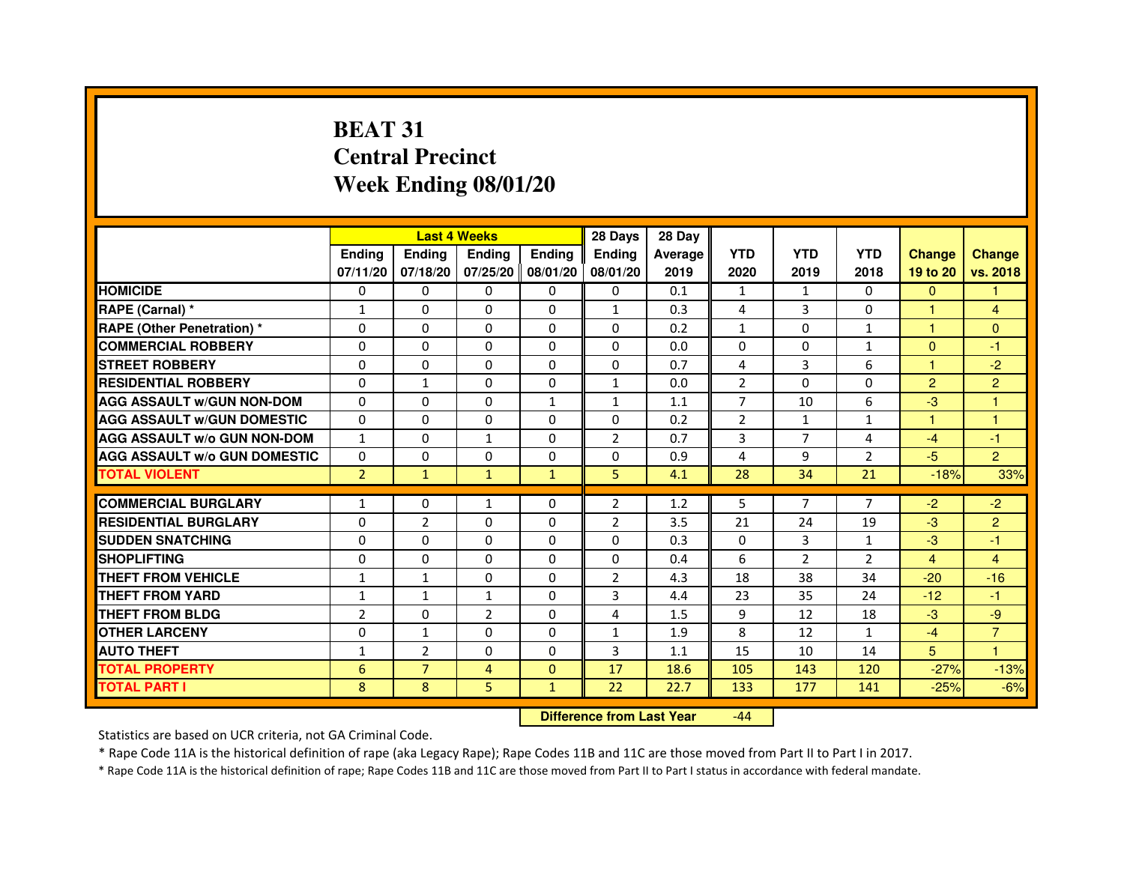## **BEAT 31 Central PrecinctWeek Ending 08/01/20**

|                                     |                | <b>Last 4 Weeks</b> |                |                     | 28 Days        | 28 Day  |                |                |                |                |                |
|-------------------------------------|----------------|---------------------|----------------|---------------------|----------------|---------|----------------|----------------|----------------|----------------|----------------|
|                                     | <b>Endina</b>  | Ending              | <b>Endina</b>  | <b>Endina</b>       | <b>Endina</b>  | Average | <b>YTD</b>     | <b>YTD</b>     | <b>YTD</b>     | <b>Change</b>  | <b>Change</b>  |
|                                     | 07/11/20       | 07/18/20            |                | 07/25/20   08/01/20 | 08/01/20       | 2019    | 2020           | 2019           | 2018           | 19 to 20       | vs. 2018       |
| <b>HOMICIDE</b>                     | 0              | 0                   | 0              | 0                   | 0              | 0.1     | $\mathbf{1}$   | $\mathbf{1}$   | $\Omega$       | $\mathbf{0}$   | 1              |
| RAPE (Carnal) *                     | $\mathbf{1}$   | $\Omega$            | $\Omega$       | $\Omega$            | $\mathbf{1}$   | 0.3     | 4              | 3              | $\Omega$       | $\mathbf{1}$   | $\overline{4}$ |
| <b>RAPE (Other Penetration)*</b>    | $\Omega$       | $\Omega$            | $\Omega$       | $\Omega$            | $\Omega$       | 0.2     | $\mathbf{1}$   | $\Omega$       | $\mathbf{1}$   | 1              | $\Omega$       |
| <b>COMMERCIAL ROBBERY</b>           | 0              | 0                   | 0              | 0                   | $\Omega$       | 0.0     | 0              | 0              | $\mathbf{1}$   | $\Omega$       | $-1$           |
| <b>STREET ROBBERY</b>               | 0              | $\Omega$            | 0              | 0                   | 0              | 0.7     | 4              | 3              | 6              | 1              | $-2$           |
| <b>RESIDENTIAL ROBBERY</b>          | 0              | $\mathbf{1}$        | 0              | $\Omega$            | $\mathbf{1}$   | 0.0     | $\overline{2}$ | $\Omega$       | $\Omega$       | $\overline{2}$ | $\overline{2}$ |
| <b>AGG ASSAULT w/GUN NON-DOM</b>    | $\Omega$       | $\Omega$            | $\Omega$       | $\mathbf{1}$        | $\mathbf{1}$   | 1.1     | $\overline{7}$ | 10             | 6              | $-3$           | 1              |
| <b>AGG ASSAULT W/GUN DOMESTIC</b>   | $\Omega$       | $\Omega$            | $\Omega$       | $\Omega$            | $\Omega$       | 0.2     | 2              | $\mathbf{1}$   | $\mathbf{1}$   | 1              | 1              |
| <b>AGG ASSAULT W/o GUN NON-DOM</b>  | 1              | 0                   | 1              | 0                   | $\overline{2}$ | 0.7     | 3              | 7              | 4              | $-4$           | $-1$           |
| <b>AGG ASSAULT W/o GUN DOMESTIC</b> | 0              | 0                   | 0              | 0                   | 0              | 0.9     | 4              | 9              | $\overline{2}$ | $-5$           | $\overline{2}$ |
| <b>TOTAL VIOLENT</b>                | $\overline{2}$ | $\mathbf{1}$        | $\mathbf{1}$   | $\mathbf{1}$        | 5              | 4.1     | 28             | 34             | 21             | $-18%$         | 33%            |
|                                     |                |                     |                |                     |                |         |                |                |                |                |                |
| <b>COMMERCIAL BURGLARY</b>          | 1              | 0                   | 1              | 0                   | 2              | 1.2     | 5              | $\overline{7}$ | 7              | $-2$           | $-2$           |
| <b>RESIDENTIAL BURGLARY</b>         | 0              | $\overline{2}$      | 0              | $\Omega$            | $\overline{2}$ | 3.5     | 21             | 24             | 19             | $-3$           | $\overline{2}$ |
| <b>SUDDEN SNATCHING</b>             | 0              | $\Omega$            | $\Omega$       | $\Omega$            | $\Omega$       | 0.3     | $\Omega$       | 3              | $\mathbf{1}$   | $-3$           | $-1$           |
| <b>SHOPLIFTING</b>                  | $\Omega$       | $\Omega$            | $\Omega$       | $\mathbf{0}$        | $\Omega$       | 0.4     | 6              | $\overline{2}$ | $\overline{2}$ | $\overline{4}$ | 4              |
| <b>THEFT FROM VEHICLE</b>           | $\mathbf{1}$   | $\mathbf{1}$        | 0              | $\mathbf{0}$        | $\overline{2}$ | 4.3     | 18             | 38             | 34             | $-20$          | $-16$          |
| <b>THEFT FROM YARD</b>              | 1              | $\mathbf{1}$        | 1              | $\Omega$            | 3              | 4.4     | 23             | 35             | 24             | $-12$          | $-1$           |
| <b>THEFT FROM BLDG</b>              | $\overline{2}$ | $\Omega$            | $\overline{2}$ | $\mathbf{0}$        | 4              | 1.5     | 9              | 12             | 18             | $-3$           | -9             |
| <b>OTHER LARCENY</b>                | 0              | $\mathbf{1}$        | 0              | $\Omega$            | $\mathbf{1}$   | 1.9     | 8              | 12             | 1              | $-4$           | $\overline{7}$ |
| <b>AUTO THEFT</b>                   | $\mathbf{1}$   | $\overline{2}$      | 0              | $\Omega$            | 3              | 1.1     | 15             | 10             | 14             | 5              | 1              |
| <b>TOTAL PROPERTY</b>               | 6              | $\overline{7}$      | 4              | $\mathbf{0}$        | 17             | 18.6    | 105            | 143            | 120            | $-27%$         | $-13%$         |
| <b>TOTAL PART I</b>                 | 8              | 8                   | 5              | $\mathbf{1}$        | 22             | 22.7    | 133            | 177            | 141            | $-25%$         | $-6%$          |

 **Difference from Last Year**-44

Statistics are based on UCR criteria, not GA Criminal Code.

\* Rape Code 11A is the historical definition of rape (aka Legacy Rape); Rape Codes 11B and 11C are those moved from Part II to Part I in 2017.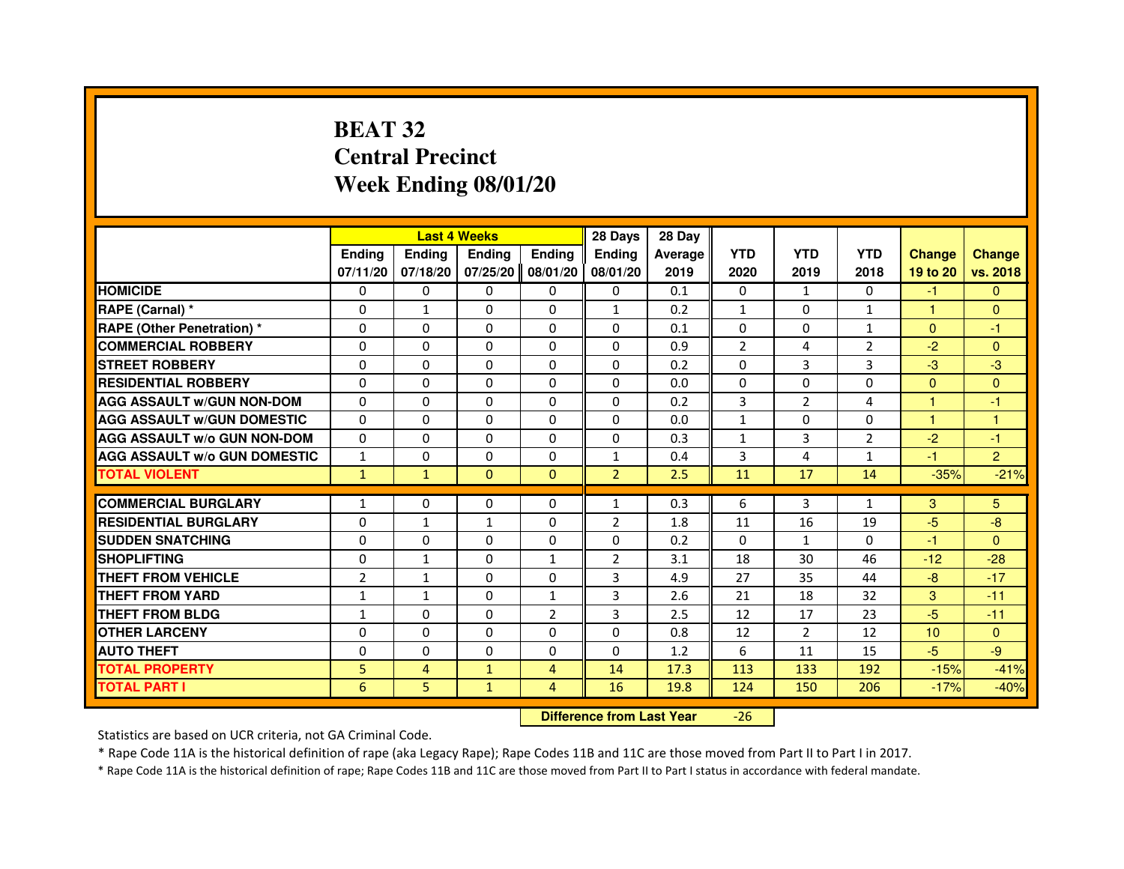## **BEAT 32 Central PrecinctWeek Ending 08/01/20**

|                                     |                |                | <b>Last 4 Weeks</b> |                   | 28 Days                          | 28 Day  |                |                |                |               |                |
|-------------------------------------|----------------|----------------|---------------------|-------------------|----------------------------------|---------|----------------|----------------|----------------|---------------|----------------|
|                                     | <b>Ending</b>  | <b>Ending</b>  | <b>Ending</b>       | <b>Ending</b>     | <b>Ending</b>                    | Average | <b>YTD</b>     | <b>YTD</b>     | <b>YTD</b>     | <b>Change</b> | <b>Change</b>  |
|                                     | 07/11/20       | 07/18/20       |                     | 07/25/20 08/01/20 | 08/01/20                         | 2019    | 2020           | 2019           | 2018           | 19 to 20      | vs. 2018       |
| <b>HOMICIDE</b>                     | 0              | $\Omega$       | $\Omega$            | $\Omega$          | 0                                | 0.1     | 0              | $\mathbf{1}$   | 0              | $-1$          | $\mathbf{0}$   |
| RAPE (Carnal) *                     | 0              | $\mathbf{1}$   | $\Omega$            | 0                 | $\mathbf{1}$                     | 0.2     | $\mathbf{1}$   | 0              | 1              | 1             | $\mathbf{0}$   |
| <b>RAPE (Other Penetration) *</b>   | 0              | 0              | $\Omega$            | 0                 | 0                                | 0.1     | $\Omega$       | 0              | $\mathbf{1}$   | $\Omega$      | $-1$           |
| <b>COMMERCIAL ROBBERY</b>           | $\Omega$       | $\Omega$       | $\Omega$            | $\Omega$          | 0                                | 0.9     | $\overline{2}$ | 4              | $\overline{2}$ | $-2$          | $\mathbf{0}$   |
| <b>STREET ROBBERY</b>               | $\Omega$       | $\Omega$       | $\Omega$            | $\Omega$          | $\Omega$                         | 0.2     | $\Omega$       | 3              | 3              | $-3$          | $-3$           |
| <b>RESIDENTIAL ROBBERY</b>          | $\Omega$       | $\Omega$       | $\Omega$            | $\Omega$          | $\Omega$                         | 0.0     | $\Omega$       | $\Omega$       | $\Omega$       | $\Omega$      | $\mathbf{0}$   |
| <b>AGG ASSAULT w/GUN NON-DOM</b>    | $\Omega$       | $\Omega$       | $\Omega$            | $\Omega$          | $\Omega$                         | 0.2     | $\overline{3}$ | $\overline{2}$ | 4              | 1             | $-1$           |
| <b>AGG ASSAULT W/GUN DOMESTIC</b>   | $\Omega$       | $\Omega$       | $\Omega$            | $\Omega$          | $\Omega$                         | 0.0     | $\mathbf{1}$   | $\Omega$       | $\Omega$       | $\mathbf{1}$  | $\mathbf{1}$   |
| <b>AGG ASSAULT w/o GUN NON-DOM</b>  | $\Omega$       | $\Omega$       | $\Omega$            | $\Omega$          | $\Omega$                         | 0.3     | $\mathbf{1}$   | 3              | 2              | $-2$          | $-1$           |
| <b>AGG ASSAULT w/o GUN DOMESTIC</b> | $\mathbf{1}$   | $\Omega$       | $\Omega$            | $\Omega$          | $\mathbf{1}$                     | 0.4     | 3              | 4              | $\mathbf{1}$   | $-1$          | $\overline{2}$ |
| <b>TOTAL VIOLENT</b>                | $\mathbf{1}$   | $\mathbf{1}$   | $\mathbf{0}$        | $\mathbf{0}$      | $\overline{2}$                   | 2.5     | 11             | 17             | 14             | $-35%$        | $-21%$         |
| <b>COMMERCIAL BURGLARY</b>          | 1              | 0              | 0                   | 0                 | $\mathbf{1}$                     | 0.3     | 6              | 3              | $\mathbf{1}$   | 3             | 5.             |
| <b>RESIDENTIAL BURGLARY</b>         | 0              | $\mathbf{1}$   | $\mathbf{1}$        | 0                 | $\overline{2}$                   | 1.8     | 11             | 16             | 19             | $-5$          | -8             |
| <b>SUDDEN SNATCHING</b>             | $\Omega$       | $\Omega$       | $\Omega$            | $\Omega$          | $\Omega$                         | 0.2     | $\Omega$       | $\mathbf{1}$   | $\Omega$       | $-1$          | $\Omega$       |
| <b>SHOPLIFTING</b>                  | 0              | $\mathbf{1}$   | 0                   | $\mathbf{1}$      | 2                                | 3.1     | 18             | 30             | 46             | $-12$         | $-28$          |
| THEFT FROM VEHICLE                  | $\overline{2}$ | $\mathbf{1}$   | $\Omega$            | $\Omega$          | 3                                | 4.9     | 27             | 35             | 44             | $-8$          | $-17$          |
| <b>THEFT FROM YARD</b>              | $\mathbf{1}$   | $\mathbf{1}$   | $\Omega$            | $\mathbf{1}$      | 3                                | 2.6     | 21             | 18             | 32             | 3             | $-11$          |
| <b>THEFT FROM BLDG</b>              | $\mathbf{1}$   | $\Omega$       | $\Omega$            | $\overline{2}$    | 3                                | 2.5     | 12             | 17             | 23             | $-5$          | $-11$          |
| <b>OTHER LARCENY</b>                | $\Omega$       | $\Omega$       | $\Omega$            | $\Omega$          | $\Omega$                         | 0.8     | 12             | $\overline{2}$ | 12             | 10            | $\mathbf{0}$   |
| <b>AUTO THEFT</b>                   | $\Omega$       | $\Omega$       | $\Omega$            | $\Omega$          | $\Omega$                         | 1.2     | 6              | 11             | 15             | $-5$          | $-9$           |
| <b>TOTAL PROPERTY</b>               | 5              | $\overline{4}$ | $\mathbf{1}$        | $\overline{4}$    | 14                               | 17.3    | 113            | 133            | 192            | $-15%$        | $-41%$         |
| <b>TOTAL PART I</b>                 | 6              | 5              | $\mathbf{1}$        | 4                 | 16                               | 19.8    | 124            | 150            | 206            | $-17%$        | $-40%$         |
|                                     |                |                |                     |                   | <b>Difference from Last Year</b> |         | $-26$          |                |                |               |                |

 **Difference from Last Year**

Statistics are based on UCR criteria, not GA Criminal Code.

\* Rape Code 11A is the historical definition of rape (aka Legacy Rape); Rape Codes 11B and 11C are those moved from Part II to Part I in 2017.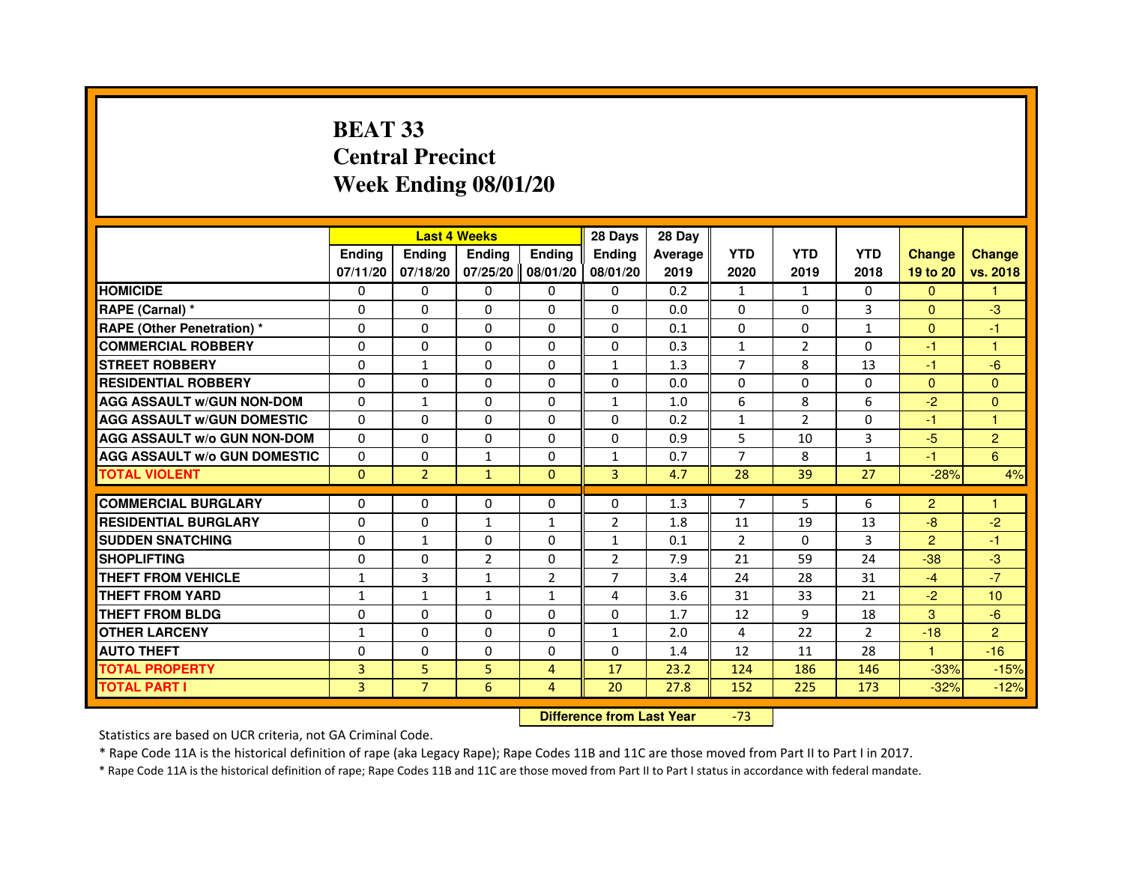## **BEAT 33 Central PrecinctWeek Ending 08/01/20**

|                                     |                | <b>Last 4 Weeks</b> |                |                   | 28 Days        | 28 Day  |                |                |                |                |                |
|-------------------------------------|----------------|---------------------|----------------|-------------------|----------------|---------|----------------|----------------|----------------|----------------|----------------|
|                                     | <b>Endina</b>  | <b>Ending</b>       | <b>Ending</b>  | <b>Endina</b>     | <b>Endina</b>  | Average | <b>YTD</b>     | <b>YTD</b>     | <b>YTD</b>     | <b>Change</b>  | <b>Change</b>  |
|                                     | 07/11/20       | 07/18/20            |                | 07/25/20 08/01/20 | 08/01/20       | 2019    | 2020           | 2019           | 2018           | 19 to 20       | vs. 2018       |
| <b>HOMICIDE</b>                     | 0              | 0                   | 0              | 0                 | $\Omega$       | 0.2     | $\mathbf{1}$   | $\mathbf{1}$   | 0              | $\mathbf{0}$   | 1              |
| RAPE (Carnal) *                     | $\Omega$       | $\Omega$            | $\Omega$       | $\Omega$          | $\Omega$       | 0.0     | $\Omega$       | $\Omega$       | 3              | $\Omega$       | $-3$           |
| <b>RAPE (Other Penetration) *</b>   | $\Omega$       | $\Omega$            | 0              | $\Omega$          | $\Omega$       | 0.1     | $\Omega$       | $\Omega$       | $\mathbf{1}$   | $\Omega$       | $-1$           |
| <b>COMMERCIAL ROBBERY</b>           | 0              | 0                   | 0              | 0                 | $\Omega$       | 0.3     | $\mathbf{1}$   | 2              | $\Omega$       | $-1$           | $\mathbf{1}$   |
| <b>STREET ROBBERY</b>               | $\Omega$       | $\mathbf{1}$        | $\Omega$       | 0                 | $\mathbf{1}$   | 1.3     | 7              | 8              | 13             | $-1$           | $-6$           |
| <b>RESIDENTIAL ROBBERY</b>          | $\Omega$       | $\Omega$            | $\Omega$       | 0                 | 0              | 0.0     | $\Omega$       | $\Omega$       | $\Omega$       | $\Omega$       | $\Omega$       |
| <b>AGG ASSAULT W/GUN NON-DOM</b>    | $\Omega$       | $\mathbf{1}$        | $\mathbf 0$    | 0                 | $\mathbf{1}$   | 1.0     | 6              | 8              | 6              | $-2$           | $\mathbf{0}$   |
| <b>AGG ASSAULT W/GUN DOMESTIC</b>   | $\Omega$       | 0                   | 0              | 0                 | 0              | 0.2     | $\mathbf{1}$   | $\overline{2}$ | $\Omega$       | $-1$           | $\mathbf{1}$   |
| <b>AGG ASSAULT W/o GUN NON-DOM</b>  | $\Omega$       | $\Omega$            | 0              | $\Omega$          | $\Omega$       | 0.9     | 5              | 10             | 3              | $-5$           | $\overline{2}$ |
| <b>AGG ASSAULT W/o GUN DOMESTIC</b> | $\Omega$       | $\Omega$            | $\mathbf{1}$   | 0                 | 1              | 0.7     | 7              | 8              | 1              | $-1$           | 6              |
| <b>TOTAL VIOLENT</b>                | $\Omega$       | $\overline{2}$      | $\mathbf{1}$   | $\Omega$          | $\overline{3}$ | 4.7     | 28             | 39             | 27             | $-28%$         | 4%             |
|                                     |                |                     |                |                   |                |         |                |                |                |                |                |
| <b>COMMERCIAL BURGLARY</b>          | $\Omega$       | $\Omega$            | $\Omega$       | $\Omega$          | $\Omega$       | 1.3     | $\overline{7}$ | 5              | 6              | $\overline{2}$ | $\mathbf{1}$   |
| <b>RESIDENTIAL BURGLARY</b>         | 0              | $\Omega$            | 1              | 1                 | $\overline{2}$ | 1.8     | 11             | 19             | 13             | $-8$           | $-2$           |
| <b>SUDDEN SNATCHING</b>             | 0              | $\mathbf{1}$        | 0              | 0                 | 1              | 0.1     | $\mathfrak{p}$ | $\Omega$       | 3              | $\overline{2}$ | $-1$           |
| <b>SHOPLIFTING</b>                  | 0              | 0                   | $\overline{2}$ | 0                 | $\overline{2}$ | 7.9     | 21             | 59             | 24             | $-38$          | -3             |
| <b>THEFT FROM VEHICLE</b>           | 1              | 3                   | $\mathbf{1}$   | $\overline{2}$    | $\overline{7}$ | 3.4     | 24             | 28             | 31             | $-4$           | $-7$           |
| <b>THEFT FROM YARD</b>              | $\mathbf{1}$   | $\mathbf{1}$        | $\mathbf{1}$   | $\mathbf{1}$      | $\overline{a}$ | 3.6     | 31             | 33             | 21             | $-2$           | 10             |
| <b>THEFT FROM BLDG</b>              | 0              | 0                   | 0              | 0                 | 0              | 1.7     | 12             | 9              | 18             | 3              | $-6$           |
| <b>OTHER LARCENY</b>                | $\mathbf{1}$   | $\Omega$            | 0              | 0                 | 1              | 2.0     | $\overline{a}$ | 22             | $\overline{2}$ | $-18$          | $\overline{2}$ |
| <b>AUTO THEFT</b>                   | $\Omega$       | 0                   | $\Omega$       | 0                 | $\Omega$       | 1.4     | 12             | 11             | 28             | $\mathbf{1}$   | $-16$          |
| <b>TOTAL PROPERTY</b>               | 3              | 5                   | 5              | $\overline{4}$    | 17             | 23.2    | 124            | 186            | 146            | $-33%$         | $-15%$         |
| <b>TOTAL PART I</b>                 | $\overline{3}$ | $\overline{7}$      | 6              | 4                 | 20             | 27.8    | 152            | 225            | 173            | $-32%$         | $-12%$         |

 **Difference from Last Year**-73

Statistics are based on UCR criteria, not GA Criminal Code.

\* Rape Code 11A is the historical definition of rape (aka Legacy Rape); Rape Codes 11B and 11C are those moved from Part II to Part I in 2017.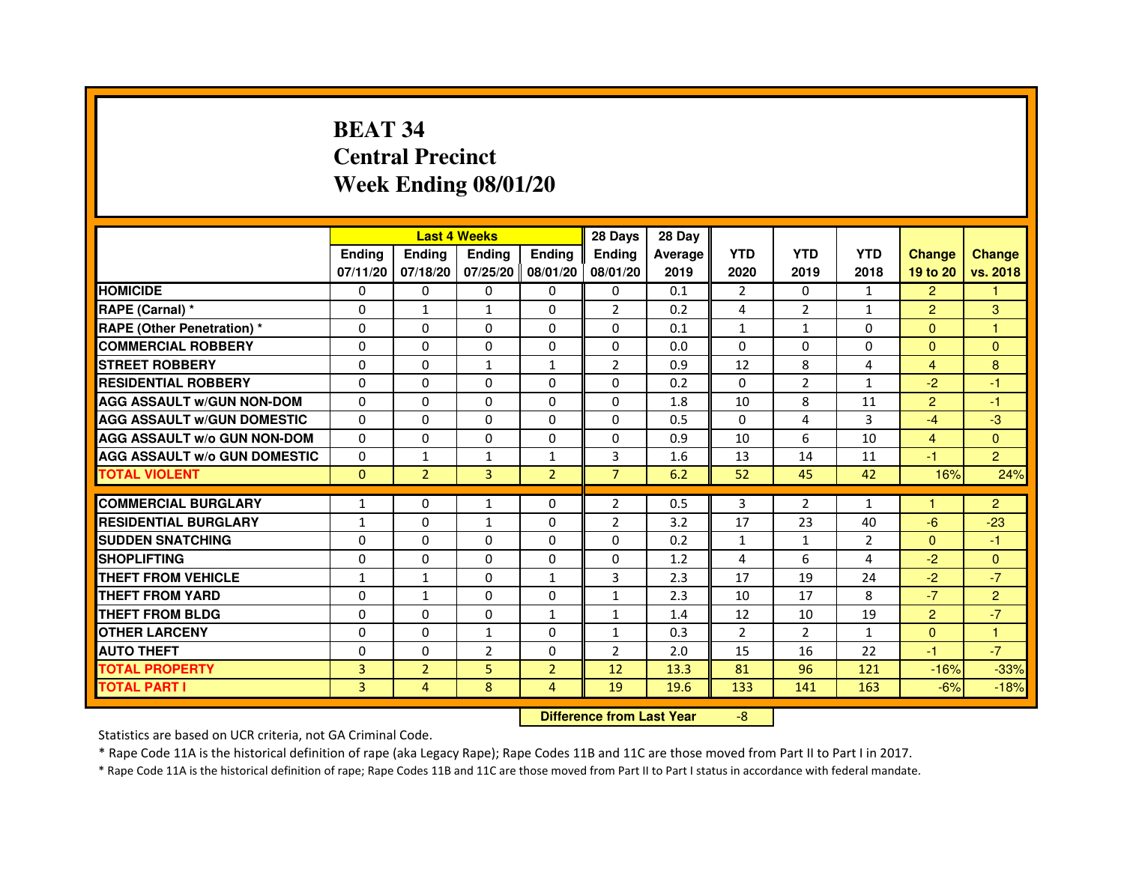## **BEAT 34 Central PrecinctWeek Ending 08/01/20**

|                                     |               | <b>Last 4 Weeks</b>              |                   |                | 28 Days        | 28 Day  |                |                |                |                |                |
|-------------------------------------|---------------|----------------------------------|-------------------|----------------|----------------|---------|----------------|----------------|----------------|----------------|----------------|
|                                     | <b>Ending</b> | Ending                           | <b>Ending</b>     | <b>Ending</b>  | <b>Ending</b>  | Average | <b>YTD</b>     | <b>YTD</b>     | <b>YTD</b>     | <b>Change</b>  | <b>Change</b>  |
|                                     | 07/11/20      | 07/18/20                         | 07/25/20 08/01/20 |                | 08/01/20       | 2019    | 2020           | 2019           | 2018           | 19 to 20       | vs. 2018       |
| <b>HOMICIDE</b>                     | $\Omega$      | $\Omega$                         | $\Omega$          | $\Omega$       | 0              | 0.1     | $\overline{2}$ | $\Omega$       | $\mathbf{1}$   | $\overline{2}$ | 1.             |
| RAPE (Carnal) *                     | 0             | $\mathbf{1}$                     | $\mathbf{1}$      | 0              | $\overline{2}$ | 0.2     | 4              | $\overline{2}$ | $\mathbf{1}$   | $\overline{2}$ | 3              |
| <b>RAPE (Other Penetration) *</b>   | 0             | $\mathbf 0$                      | $\Omega$          | 0              | $\Omega$       | 0.1     | $\mathbf{1}$   | 1              | 0              | $\mathbf{0}$   | $\mathbf{1}$   |
| <b>COMMERCIAL ROBBERY</b>           | $\Omega$      | $\Omega$                         | $\Omega$          | $\Omega$       | $\Omega$       | 0.0     | $\Omega$       | $\Omega$       | $\Omega$       | $\Omega$       | $\Omega$       |
| <b>STREET ROBBERY</b>               | $\Omega$      | $\Omega$                         | $\mathbf{1}$      | $\mathbf{1}$   | $\overline{2}$ | 0.9     | 12             | 8              | 4              | $\overline{4}$ | 8              |
| <b>RESIDENTIAL ROBBERY</b>          | $\Omega$      | $\Omega$                         | $\Omega$          | $\Omega$       | 0              | 0.2     | $\Omega$       | $\overline{2}$ | $\mathbf{1}$   | $-2$           | $-1$           |
| <b>AGG ASSAULT w/GUN NON-DOM</b>    | $\Omega$      | $\Omega$                         | $\mathbf 0$       | $\Omega$       | $\Omega$       | 1.8     | 10             | 8              | 11             | $\overline{2}$ | $-1$           |
| <b>AGG ASSAULT w/GUN DOMESTIC</b>   | $\Omega$      | $\Omega$                         | $\Omega$          | $\Omega$       | $\Omega$       | 0.5     | $\Omega$       | 4              | 3              | $-4$           | $-3$           |
| <b>AGG ASSAULT W/o GUN NON-DOM</b>  | 0             | 0                                | 0                 | 0              | 0              | 0.9     | 10             | 6              | 10             | $\overline{4}$ | $\mathbf{0}$   |
| <b>AGG ASSAULT w/o GUN DOMESTIC</b> | $\Omega$      | $\mathbf{1}$                     | $\mathbf{1}$      | $\mathbf{1}$   | 3              | 1.6     | 13             | 14             | 11             | $-1$           | $\overline{2}$ |
| <b>TOTAL VIOLENT</b>                | $\mathbf 0$   | $\overline{2}$                   | 3                 | $\overline{2}$ | $\overline{7}$ | 6.2     | 52             | 45             | 42             | 16%            | 24%            |
| <b>COMMERCIAL BURGLARY</b>          | $\mathbf{1}$  | 0                                | $\mathbf{1}$      | 0              | $\overline{2}$ | 0.5     | 3              | $\overline{2}$ | $\mathbf{1}$   | 1              | $\overline{2}$ |
| <b>RESIDENTIAL BURGLARY</b>         | $\mathbf{1}$  | $\Omega$                         | $\mathbf{1}$      | $\Omega$       | $\overline{2}$ | 3.2     | 17             | 23             | 40             | $-6$           | $-23$          |
| <b>SUDDEN SNATCHING</b>             | $\Omega$      | $\Omega$                         | $\Omega$          | $\Omega$       | $\Omega$       | 0.2     | $\mathbf{1}$   | $\mathbf{1}$   | $\overline{2}$ | $\Omega$       | $-1$           |
| <b>SHOPLIFTING</b>                  | 0             | 0                                | 0                 | 0              | 0              | 1.2     | 4              | 6              | 4              | $-2$           | $\mathbf{0}$   |
| <b>THEFT FROM VEHICLE</b>           | $\mathbf{1}$  | $\mathbf{1}$                     | $\Omega$          | $\mathbf{1}$   | 3              | 2.3     | 17             | 19             | 24             | $-2$           | $-7$           |
| <b>THEFT FROM YARD</b>              | $\mathbf 0$   | $\mathbf{1}$                     | $\mathbf 0$       | 0              | $\mathbf{1}$   | 2.3     | 10             | 17             | 8              | $-7$           | $\overline{2}$ |
| <b>THEFT FROM BLDG</b>              | $\Omega$      | $\Omega$                         | 0                 | $\mathbf{1}$   | 1              | 1.4     | 12             | 10             | 19             | $\overline{2}$ | $-7$           |
| <b>OTHER LARCENY</b>                | $\Omega$      | $\Omega$                         | $\mathbf{1}$      | $\Omega$       | $\mathbf{1}$   | 0.3     | $\overline{2}$ | $\overline{2}$ | $\mathbf{1}$   | $\Omega$       | 1              |
| <b>AUTO THEFT</b>                   | $\Omega$      | $\Omega$                         | $\overline{2}$    | $\Omega$       | $\overline{2}$ | 2.0     | 15             | 16             | 22             | $-1$           | $-7$           |
| <b>TOTAL PROPERTY</b>               | 3             | $\overline{2}$                   | 5                 | $\overline{2}$ | 12             | 13.3    | 81             | 96             | 121            | $-16%$         | $-33%$         |
| <b>TOTAL PART I</b>                 | 3             | 4                                | 8                 | $\overline{4}$ | 19             | 19.6    | 133            | 141            | 163            | $-6%$          | $-18%$         |
|                                     |               | <b>Difference from Last Year</b> |                   | $-8$           |                |         |                |                |                |                |                |

 **Difference from Last Year**

Statistics are based on UCR criteria, not GA Criminal Code.

\* Rape Code 11A is the historical definition of rape (aka Legacy Rape); Rape Codes 11B and 11C are those moved from Part II to Part I in 2017.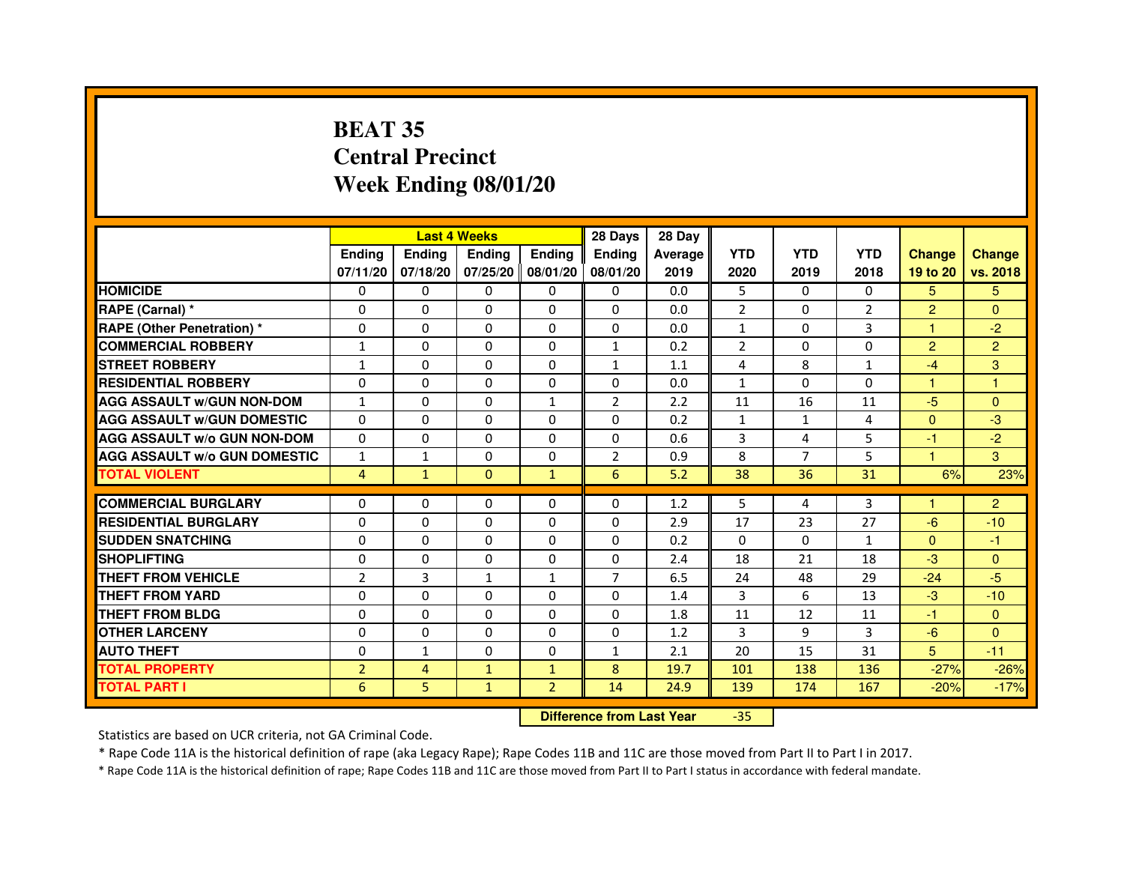## **BEAT 35 Central PrecinctWeek Ending 08/01/20**

|                                     |                | <b>Last 4 Weeks</b> |               |                     | 28 Days        | 28 Day  |                |              |                |                |                |
|-------------------------------------|----------------|---------------------|---------------|---------------------|----------------|---------|----------------|--------------|----------------|----------------|----------------|
|                                     | <b>Endina</b>  | Ending              | <b>Endina</b> | <b>Endina</b>       | <b>Endina</b>  | Average | <b>YTD</b>     | <b>YTD</b>   | <b>YTD</b>     | <b>Change</b>  | <b>Change</b>  |
|                                     | 07/11/20       | 07/18/20            |               | 07/25/20   08/01/20 | 08/01/20       | 2019    | 2020           | 2019         | 2018           | 19 to 20       | vs. 2018       |
| <b>HOMICIDE</b>                     | 0              | 0                   | 0             | 0                   | 0              | 0.0     | 5              | $\Omega$     | $\Omega$       | 5.             | 5.             |
| RAPE (Carnal) *                     | $\Omega$       | $\Omega$            | $\Omega$      | $\Omega$            | $\Omega$       | 0.0     | $\overline{2}$ | $\Omega$     | $\overline{2}$ | $\overline{2}$ | $\Omega$       |
| <b>RAPE (Other Penetration)*</b>    | $\Omega$       | $\Omega$            | $\Omega$      | $\Omega$            | $\Omega$       | 0.0     | $\mathbf{1}$   | $\Omega$     | 3              | 1              | $-2$           |
| <b>COMMERCIAL ROBBERY</b>           | 1              | 0                   | 0             | 0                   | $\mathbf{1}$   | 0.2     | $\overline{2}$ | 0            | 0              | $\overline{2}$ | $\overline{2}$ |
| <b>STREET ROBBERY</b>               | $\mathbf{1}$   | $\Omega$            | 0             | $\Omega$            | $\mathbf{1}$   | 1.1     | 4              | 8            | $\mathbf{1}$   | $-4$           | 3              |
| <b>RESIDENTIAL ROBBERY</b>          | 0              | $\Omega$            | 0             | $\Omega$            | $\Omega$       | 0.0     | $\mathbf{1}$   | $\Omega$     | $\Omega$       | 1              | $\mathbf{1}$   |
| <b>AGG ASSAULT w/GUN NON-DOM</b>    | $\mathbf{1}$   | $\Omega$            | $\Omega$      | $\mathbf{1}$        | $\overline{2}$ | 2.2     | 11             | 16           | 11             | $-5$           | $\Omega$       |
| <b>AGG ASSAULT W/GUN DOMESTIC</b>   | $\Omega$       | $\Omega$            | $\Omega$      | $\Omega$            | $\Omega$       | 0.2     | $\mathbf{1}$   | $\mathbf{1}$ | $\overline{a}$ | $\Omega$       | -3             |
| <b>AGG ASSAULT W/o GUN NON-DOM</b>  | 0              | 0                   | $\Omega$      | $\Omega$            | $\Omega$       | 0.6     | 3              | 4            | 5              | $-1$           | $-2$           |
| <b>AGG ASSAULT W/o GUN DOMESTIC</b> | $\mathbf{1}$   | $\mathbf{1}$        | 0             | 0                   | 2              | 0.9     | 8              | 7            | 5              | 1.             | 3              |
| <b>TOTAL VIOLENT</b>                | 4              | $\mathbf{1}$        | $\Omega$      | $\mathbf{1}$        | 6              | 5.2     | 38             | 36           | 31             | 6%             | 23%            |
|                                     |                |                     |               |                     |                |         |                |              |                |                |                |
| <b>COMMERCIAL BURGLARY</b>          | 0              | 0                   | 0             | 0                   | $\Omega$       | 1.2     | 5              | 4            | 3              | 1              | $\overline{2}$ |
| <b>RESIDENTIAL BURGLARY</b>         | 0              | $\Omega$            | 0             | $\Omega$            | $\Omega$       | 2.9     | 17             | 23           | 27             | -6             | $-10$          |
| <b>SUDDEN SNATCHING</b>             | 0              | $\Omega$            | $\Omega$      | $\Omega$            | $\Omega$       | 0.2     | $\Omega$       | $\Omega$     | $\mathbf{1}$   | $\Omega$       | $-1$           |
| <b>SHOPLIFTING</b>                  | $\Omega$       | $\Omega$            | $\Omega$      | $\mathbf{0}$        | $\Omega$       | 2.4     | 18             | 21           | 18             | $-3$           | $\Omega$       |
| <b>THEFT FROM VEHICLE</b>           | $\overline{2}$ | 3                   | $\mathbf{1}$  | $\mathbf{1}$        | $\overline{7}$ | 6.5     | 24             | 48           | 29             | $-24$          | $-5$           |
| <b>THEFT FROM YARD</b>              | $\Omega$       | 0                   | $\Omega$      | $\Omega$            | $\Omega$       | 1.4     | 3              | 6            | 13             | $-3$           | $-10$          |
| <b>THEFT FROM BLDG</b>              | 0              | $\Omega$            | 0             | $\mathbf{0}$        | $\Omega$       | 1.8     | 11             | 12           | 11             | $-1$           | $\Omega$       |
| <b>OTHER LARCENY</b>                | 0              | 0                   | $\Omega$      | $\Omega$            | $\Omega$       | 1.2     | 3              | 9            | 3              | $-6$           | $\Omega$       |
| <b>AUTO THEFT</b>                   | 0              | $\mathbf{1}$        | 0             | $\Omega$            | $\mathbf{1}$   | 2.1     | 20             | 15           | 31             | 5              | $-11$          |
| <b>TOTAL PROPERTY</b>               | $\overline{2}$ | 4                   | $\mathbf{1}$  | $\mathbf{1}$        | 8              | 19.7    | 101            | 138          | 136            | $-27%$         | $-26%$         |
| <b>TOTAL PART I</b>                 | 6              | 5                   | $\mathbf{1}$  | $\overline{2}$      | 14             | 24.9    | 139            | 174          | 167            | $-20%$         | $-17%$         |

 **Difference from Last Year**-35

Statistics are based on UCR criteria, not GA Criminal Code.

\* Rape Code 11A is the historical definition of rape (aka Legacy Rape); Rape Codes 11B and 11C are those moved from Part II to Part I in 2017.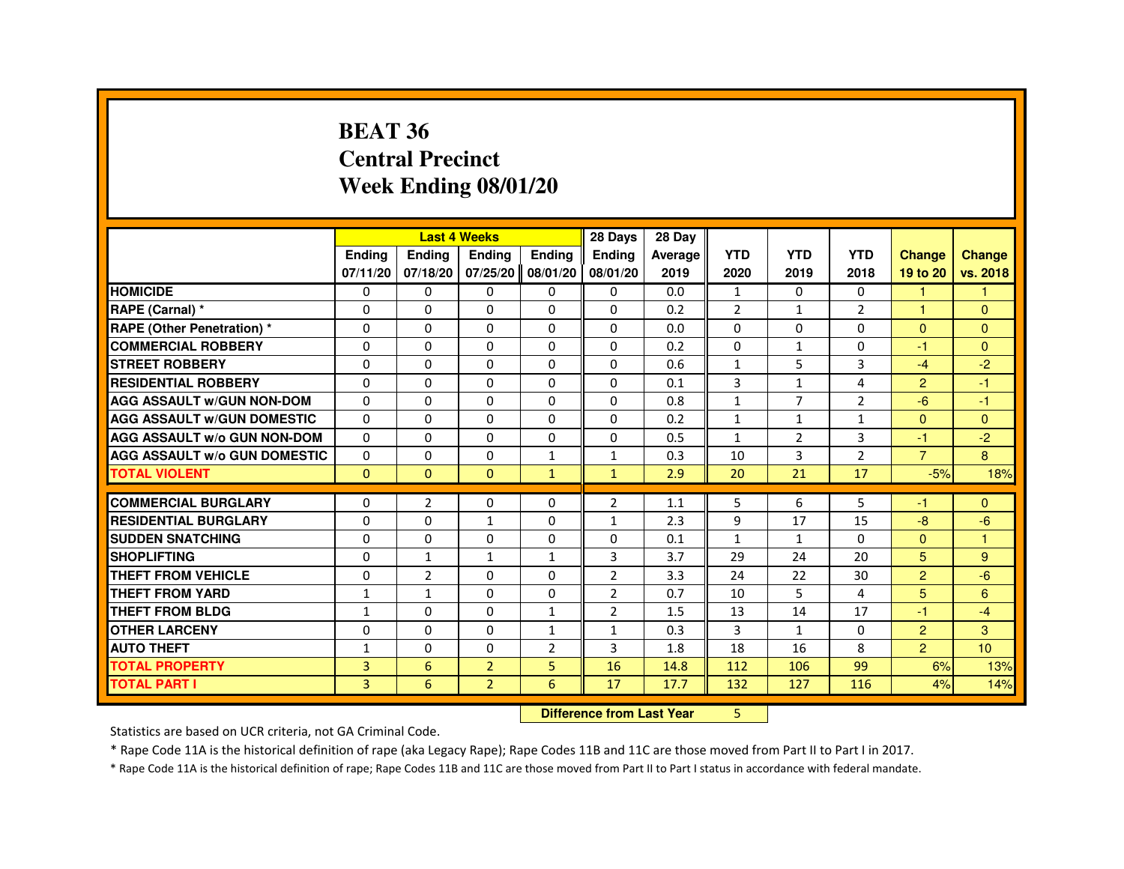#### **BEAT 36 Central PrecinctWeek Ending 08/01/20**

|                                     |              |                | <b>Last 4 Weeks</b> |                | 28 Days        | 28 Day                           |                |                |                |                |                |
|-------------------------------------|--------------|----------------|---------------------|----------------|----------------|----------------------------------|----------------|----------------|----------------|----------------|----------------|
|                                     | Ending       | Ending         | Ending              | Ending         | Ending         | Average                          | <b>YTD</b>     | <b>YTD</b>     | <b>YTD</b>     | <b>Change</b>  | Change         |
|                                     | 07/11/20     | 07/18/20       | 07/25/20 08/01/20   |                | 08/01/20       | 2019                             | 2020           | 2019           | 2018           | 19 to 20       | vs. 2018       |
| <b>HOMICIDE</b>                     | 0            | 0              | 0                   | 0              | 0              | 0.0                              | $\mathbf{1}$   | 0              | 0              | $\mathbf{1}$   | 1              |
| RAPE (Carnal) *                     | $\Omega$     | $\Omega$       | $\Omega$            | $\Omega$       | 0              | 0.2                              | $\overline{2}$ | $\mathbf{1}$   | $\overline{2}$ | 1              | $\Omega$       |
| <b>RAPE (Other Penetration) *</b>   | $\Omega$     | $\Omega$       | $\Omega$            | $\mathbf 0$    | $\Omega$       | 0.0                              | $\Omega$       | $\Omega$       | $\Omega$       | $\Omega$       | $\overline{0}$ |
| <b>COMMERCIAL ROBBERY</b>           | $\Omega$     | $\Omega$       | 0                   | $\Omega$       | 0              | 0.2                              | $\Omega$       | $\mathbf{1}$   | $\Omega$       | $-1$           | $\Omega$       |
| <b>STREET ROBBERY</b>               | 0            | $\Omega$       | 0                   | $\Omega$       | 0              | 0.6                              | $\mathbf{1}$   | 5              | 3              | $-4$           | $-2$           |
| <b>RESIDENTIAL ROBBERY</b>          | $\Omega$     | 0              | 0                   | $\mathbf 0$    | 0              | 0.1                              | 3              | $\mathbf{1}$   | 4              | $\overline{2}$ | -1             |
| <b>AGG ASSAULT w/GUN NON-DOM</b>    | 0            | 0              | 0                   | $\mathbf 0$    | $\mathbf 0$    | 0.8                              | $\mathbf{1}$   | $\overline{7}$ | $\overline{2}$ | $-6$           | $-1$           |
| <b>AGG ASSAULT W/GUN DOMESTIC</b>   | $\Omega$     | $\Omega$       | $\Omega$            | $\Omega$       | $\Omega$       | 0.2                              | $\mathbf{1}$   | $\mathbf{1}$   | $\mathbf{1}$   | $\Omega$       | $\Omega$       |
| <b>AGG ASSAULT w/o GUN NON-DOM</b>  | $\mathbf{0}$ | $\mathbf{0}$   | 0                   | $\Omega$       | 0              | 0.5                              | $\mathbf{1}$   | $\overline{2}$ | 3              | -1             | $-2$           |
| <b>AGG ASSAULT W/o GUN DOMESTIC</b> | $\Omega$     | 0              | 0                   | $\mathbf{1}$   | $\mathbf{1}$   | 0.3                              | 10             | 3              | $\overline{2}$ | $\overline{7}$ | 8              |
| <b>TOTAL VIOLENT</b>                | $\mathbf{0}$ | $\mathbf{0}$   | $\mathbf{0}$        | $\mathbf{1}$   | $\mathbf{1}$   | 2.9                              | 20             | 21             | 17             | $-5%$          | 18%            |
| <b>COMMERCIAL BURGLARY</b>          | 0            | $\overline{2}$ | 0                   | 0              | $\overline{2}$ | 1.1                              | 5              | 6              | 5              | -1             | $\Omega$       |
| <b>RESIDENTIAL BURGLARY</b>         | $\Omega$     | $\Omega$       | $\mathbf{1}$        | $\mathbf 0$    | $\mathbf{1}$   | 2.3                              | 9              | 17             | 15             | $-8$           | $-6$           |
| <b>SUDDEN SNATCHING</b>             | $\Omega$     | $\Omega$       | 0                   | $\Omega$       | 0              | 0.1                              | $\mathbf{1}$   | $\mathbf{1}$   | $\Omega$       | $\Omega$       | $\overline{1}$ |
| <b>SHOPLIFTING</b>                  | 0            | $\mathbf{1}$   | $\mathbf{1}$        | $\mathbf{1}$   | 3              | 3.7                              | 29             | 24             | 20             | 5              | $9^{\circ}$    |
| THEFT FROM VEHICLE                  | $\Omega$     | $\overline{2}$ | 0                   | $\Omega$       | $\overline{2}$ | 3.3                              | 24             | 22             | 30             | $\overline{2}$ | $-6$           |
| <b>THEFT FROM YARD</b>              | $\mathbf{1}$ | $\mathbf{1}$   | $\Omega$            | $\mathbf 0$    | $\overline{2}$ | 0.7                              | 10             | 5              | 4              | 5              | 6              |
| <b>THEFT FROM BLDG</b>              | $\mathbf{1}$ | $\Omega$       | $\Omega$            | $\mathbf{1}$   | $\overline{2}$ | 1.5                              | 13             | 14             | 17             | $-1$           | $-4$           |
| <b>OTHER LARCENY</b>                | $\Omega$     | $\Omega$       | 0                   | $\mathbf{1}$   | 1              | 0.3                              | 3              | $\mathbf{1}$   | 0              | $\overline{2}$ | 3              |
| <b>AUTO THEFT</b>                   | $\mathbf{1}$ | 0              | $\Omega$            | $\overline{2}$ | 3              | 1.8                              | 18             | 16             | 8              | $\overline{2}$ | 10             |
| <b>TOTAL PROPERTY</b>               | 3            | 6              | $\overline{2}$      | 5              | 16             | 14.8                             | 112            | 106            | 99             | 6%             | 13%            |
| <b>TOTAL PART I</b>                 | 3            | 6              | $\overline{2}$      | 6              | 17             | 17.7                             | 132            | 127            | 116            | 4%             | 14%            |
|                                     |              |                |                     |                |                | <b>Difference from Last Year</b> | 5.             |                |                |                |                |

 **Difference from Last Year**

Statistics are based on UCR criteria, not GA Criminal Code.

\* Rape Code 11A is the historical definition of rape (aka Legacy Rape); Rape Codes 11B and 11C are those moved from Part II to Part I in 2017.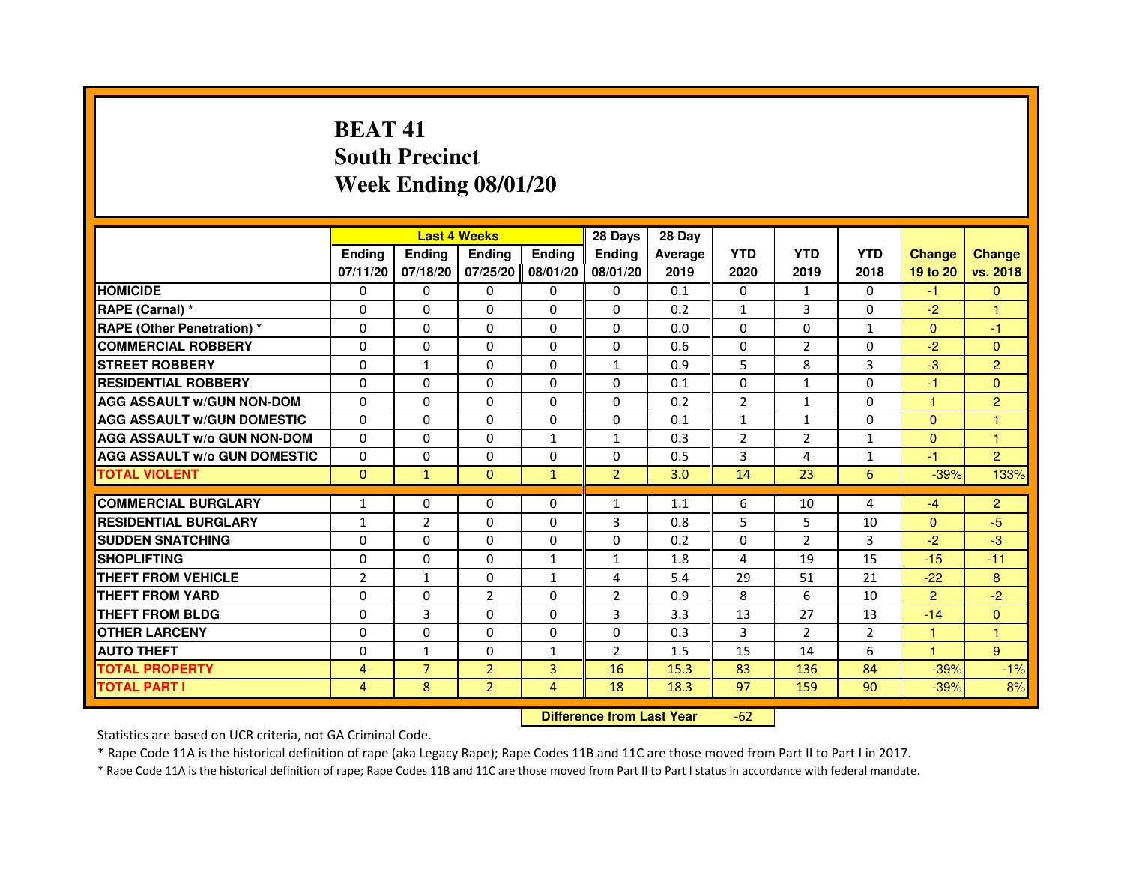## **BEAT 41 South PrecinctWeek Ending 08/01/20**

|                                     |                |                | <b>Last 4 Weeks</b> |               | 28 Days                          | 28 Day  |                |                |                |                |                |
|-------------------------------------|----------------|----------------|---------------------|---------------|----------------------------------|---------|----------------|----------------|----------------|----------------|----------------|
|                                     | <b>Ending</b>  | Ending         | <b>Ending</b>       | <b>Ending</b> | Ending                           | Average | <b>YTD</b>     | <b>YTD</b>     | <b>YTD</b>     | <b>Change</b>  | <b>Change</b>  |
|                                     | 07/11/20       | 07/18/20       | 07/25/20            | 08/01/20      | 08/01/20                         | 2019    | 2020           | 2019           | 2018           | 19 to 20       | vs. 2018       |
| <b>HOMICIDE</b>                     | 0              | $\Omega$       | $\Omega$            | 0             | 0                                | 0.1     | 0              | $\mathbf{1}$   | $\Omega$       | $-1$           | $\mathbf{0}$   |
| RAPE (Carnal) *                     | 0              | $\mathbf{0}$   | 0                   | 0             | 0                                | 0.2     | $\mathbf{1}$   | 3              | 0              | $-2$           |                |
| RAPE (Other Penetration) *          | $\Omega$       | 0              | $\Omega$            | $\Omega$      | 0                                | 0.0     | $\Omega$       | $\mathbf{0}$   | $\mathbf{1}$   | $\mathbf{0}$   | $-1$           |
| <b>COMMERCIAL ROBBERY</b>           | $\Omega$       | $\Omega$       | $\Omega$            | $\Omega$      | $\Omega$                         | 0.6     | 0              | $\overline{2}$ | $\Omega$       | $-2$           | $\mathbf{0}$   |
| <b>STREET ROBBERY</b>               | $\Omega$       | $\mathbf{1}$   | $\Omega$            | $\Omega$      | $\mathbf{1}$                     | 0.9     | 5              | 8              | 3              | $-3$           | $\overline{2}$ |
| <b>RESIDENTIAL ROBBERY</b>          | 0              | 0              | 0                   | 0             | 0                                | 0.1     | 0              | $\mathbf{1}$   | 0              | $-1$           | $\overline{0}$ |
| <b>AGG ASSAULT w/GUN NON-DOM</b>    | $\Omega$       | $\Omega$       | $\Omega$            | $\Omega$      | $\Omega$                         | 0.2     | $\overline{2}$ | $\mathbf{1}$   | 0              | 1              | $\overline{2}$ |
| <b>AGG ASSAULT W/GUN DOMESTIC</b>   | $\Omega$       | $\Omega$       | $\Omega$            | $\Omega$      | $\Omega$                         | 0.1     | $\mathbf{1}$   | $\mathbf{1}$   | $\Omega$       | $\Omega$       | 1              |
| <b>AGG ASSAULT W/o GUN NON-DOM</b>  | $\Omega$       | $\Omega$       | $\Omega$            | $\mathbf{1}$  | $\mathbf{1}$                     | 0.3     | $\overline{2}$ | 2              | $\mathbf{1}$   | $\Omega$       | $\mathbf{1}$   |
| <b>AGG ASSAULT W/o GUN DOMESTIC</b> | $\Omega$       | $\Omega$       | 0                   | $\Omega$      | $\Omega$                         | 0.5     | $\overline{3}$ | 4              | $\mathbf{1}$   | $-1$           | $\overline{2}$ |
| <b>TOTAL VIOLENT</b>                | $\mathbf 0$    | $\mathbf{1}$   | $\mathbf{0}$        | $\mathbf{1}$  | $\overline{2}$                   | 3.0     | 14             | 23             | 6              | $-39%$         | 133%           |
| <b>COMMERCIAL BURGLARY</b>          | 1              | 0              | 0                   | 0             | 1                                | 1.1     | 6              | 10             | 4              | $-4$           | $\overline{2}$ |
| <b>RESIDENTIAL BURGLARY</b>         | 1              | $\overline{2}$ | $\Omega$            | $\Omega$      | 3                                | 0.8     | 5              | 5              | 10             | $\mathbf{0}$   | -5             |
| <b>SUDDEN SNATCHING</b>             | 0              | $\Omega$       | $\Omega$            | $\Omega$      | $\Omega$                         | 0.2     | $\Omega$       | $\mathcal{P}$  | 3              | $-2$           | $-3$           |
| <b>SHOPLIFTING</b>                  | 0              | $\Omega$       | $\Omega$            | 1             | 1                                | 1.8     | 4              | 19             | 15             | $-15$          | $-11$          |
| THEFT FROM VEHICLE                  | $\overline{2}$ | $\mathbf{1}$   | 0                   | 1             | 4                                | 5.4     | 29             | 51             | 21             | $-22$          | 8              |
| <b>THEFT FROM YARD</b>              | $\Omega$       | $\Omega$       | $\overline{2}$      | $\Omega$      | $\overline{2}$                   | 0.9     | 8              | 6              | 10             | $\overline{2}$ | $-2$           |
| <b>THEFT FROM BLDG</b>              | $\Omega$       | $\overline{3}$ | $\Omega$            | $\Omega$      | 3                                | 3.3     | 13             | 27             | 13             | $-14$          | $\Omega$       |
| <b>OTHER LARCENY</b>                | 0              | $\Omega$       | $\mathbf{0}$        | 0             | 0                                | 0.3     | 3              | $\overline{2}$ | $\overline{2}$ | $\mathbf{1}$   | 1              |
| <b>AUTO THEFT</b>                   | $\Omega$       | $\mathbf{1}$   | $\Omega$            | $\mathbf{1}$  | $\overline{2}$                   | 1.5     | 15             | 14             | 6              | $\mathbf{1}$   | 9              |
| <b>TOTAL PROPERTY</b>               | 4              | $\overline{7}$ | $\overline{2}$      | 3             | 16                               | 15.3    | 83             | 136            | 84             | $-39%$         | $-1%$          |
| <b>TOTAL PART I</b>                 | $\overline{4}$ | 8              | $\overline{2}$      | 4             | 18                               | 18.3    | 97             | 159            | 90             | $-39%$         | 8%             |
|                                     |                |                |                     |               | <b>Difference from Last Year</b> |         | $-62$          |                |                |                |                |

Statistics are based on UCR criteria, not GA Criminal Code.

\* Rape Code 11A is the historical definition of rape (aka Legacy Rape); Rape Codes 11B and 11C are those moved from Part II to Part I in 2017.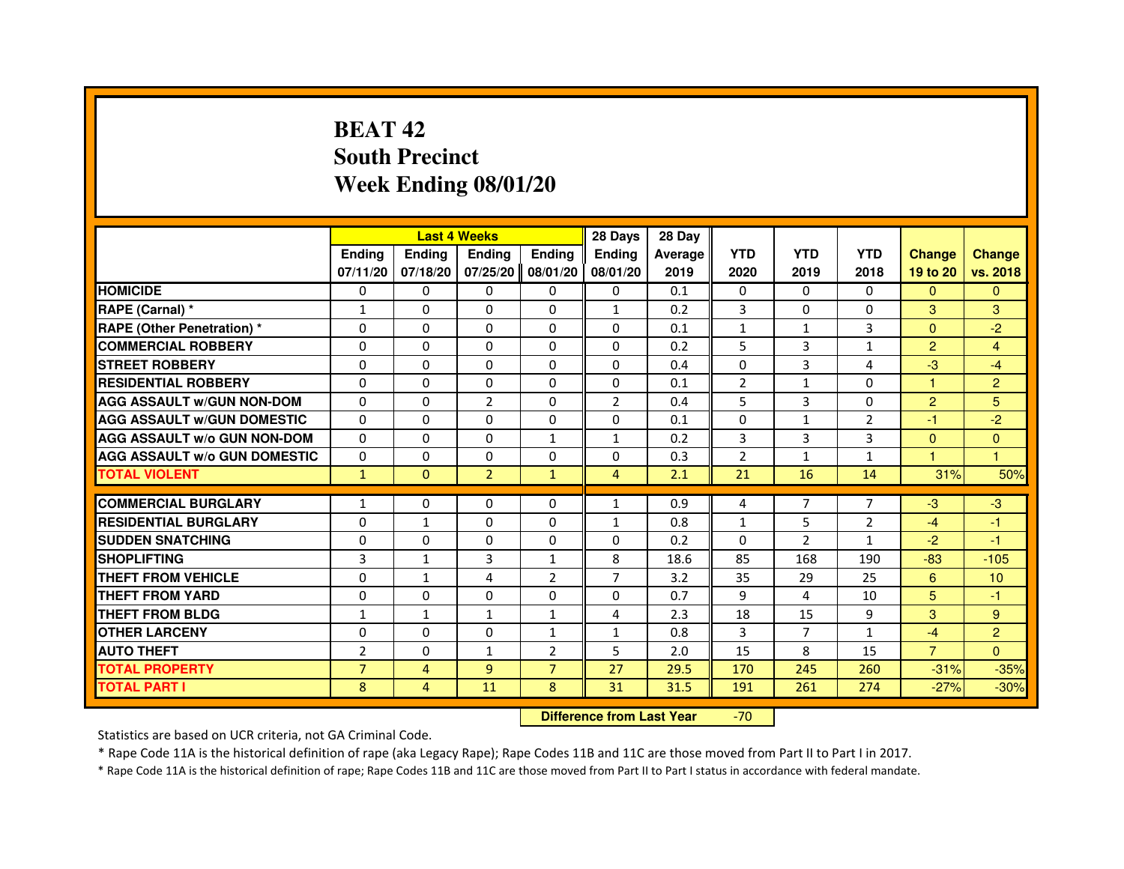## **BEAT 42 South PrecinctWeek Ending 08/01/20**

|                                     |                |                | <b>Last 4 Weeks</b> |                | 28 Days                          | 28 Day  |                |                |                |                |                |
|-------------------------------------|----------------|----------------|---------------------|----------------|----------------------------------|---------|----------------|----------------|----------------|----------------|----------------|
|                                     | <b>Ending</b>  | Ending         | Ending              | <b>Ending</b>  | Ending                           | Average | <b>YTD</b>     | <b>YTD</b>     | <b>YTD</b>     | <b>Change</b>  | <b>Change</b>  |
|                                     | 07/11/20       | 07/18/20       | 07/25/20            | 08/01/20       | 08/01/20                         | 2019    | 2020           | 2019           | 2018           | 19 to 20       | vs. 2018       |
| <b>HOMICIDE</b>                     | 0              | $\Omega$       | $\Omega$            | $\Omega$       | 0                                | 0.1     | 0              | $\Omega$       | $\Omega$       | $\Omega$       | $\mathbf{0}$   |
| RAPE (Carnal) *                     | $\mathbf{1}$   | 0              | 0                   | 0              | $\mathbf{1}$                     | 0.2     | 3              | 0              | 0              | 3              | 3              |
| <b>RAPE (Other Penetration) *</b>   | $\Omega$       | 0              | $\Omega$            | 0              | $\Omega$                         | 0.1     | $\mathbf{1}$   | $\mathbf{1}$   | 3              | $\Omega$       | $-2$           |
| <b>COMMERCIAL ROBBERY</b>           | $\Omega$       | $\Omega$       | $\Omega$            | $\Omega$       | $\Omega$                         | 0.2     | 5              | 3              | $\mathbf{1}$   | $\overline{2}$ | 4              |
| <b>STREET ROBBERY</b>               | $\Omega$       | $\Omega$       | $\Omega$            | $\Omega$       | $\Omega$                         | 0.4     | $\Omega$       | 3              | 4              | $-3$           | $-4$           |
| <b>RESIDENTIAL ROBBERY</b>          | $\Omega$       | 0              | $\Omega$            | $\Omega$       | 0                                | 0.1     | $\overline{2}$ | $\mathbf{1}$   | $\Omega$       | 1              | $\overline{2}$ |
| <b>AGG ASSAULT W/GUN NON-DOM</b>    | $\Omega$       | $\Omega$       | $\overline{2}$      | $\Omega$       | $\overline{2}$                   | 0.4     | 5              | 3              | 0              | $\overline{2}$ | 5              |
| <b>AGG ASSAULT W/GUN DOMESTIC</b>   | $\Omega$       | $\Omega$       | $\Omega$            | $\Omega$       | 0                                | 0.1     | 0              | $\mathbf{1}$   | $\overline{2}$ | $-1$           | $-2$           |
| <b>AGG ASSAULT W/o GUN NON-DOM</b>  | $\Omega$       | $\Omega$       | $\Omega$            | $\mathbf{1}$   | $\mathbf{1}$                     | 0.2     | $\overline{3}$ | $\overline{3}$ | 3              | $\Omega$       | $\Omega$       |
| <b>AGG ASSAULT W/o GUN DOMESTIC</b> | $\Omega$       | 0              | 0                   | $\Omega$       | $\Omega$                         | 0.3     | $\overline{2}$ | $\mathbf{1}$   | $\mathbf{1}$   | 1              | 1.             |
| <b>TOTAL VIOLENT</b>                | $\mathbf{1}$   | $\mathbf{0}$   | $\overline{2}$      | $\mathbf{1}$   | $\overline{4}$                   | 2.1     | 21             | 16             | 14             | 31%            | 50%            |
| <b>COMMERCIAL BURGLARY</b>          | 1              | 0              | 0                   | 0              | 1                                | 0.9     | 4              | 7              | 7              | $-3$           | $-3$           |
| <b>RESIDENTIAL BURGLARY</b>         | $\Omega$       | $\mathbf{1}$   | $\Omega$            | $\Omega$       | $\mathbf{1}$                     | 0.8     | $\mathbf{1}$   | 5              | $\overline{2}$ | $-4$           | $-1$           |
| <b>SUDDEN SNATCHING</b>             | $\Omega$       | $\Omega$       | $\Omega$            | $\Omega$       | $\Omega$                         | 0.2     | $\Omega$       | $\mathcal{P}$  | 1              | $-2$           | $-1$           |
| <b>SHOPLIFTING</b>                  | 3              | 1              | 3                   | 1              | 8                                | 18.6    | 85             | 168            | 190            | $-83$          | $-105$         |
| THEFT FROM VEHICLE                  | $\Omega$       | $\mathbf{1}$   | 4                   | $\overline{2}$ | $\overline{7}$                   | 3.2     | 35             | 29             | 25             | 6              | 10             |
| THEFT FROM YARD                     | $\Omega$       | 0              | $\Omega$            | $\Omega$       | 0                                | 0.7     | 9              | 4              | 10             | 5              | $-1$           |
| <b>THEFT FROM BLDG</b>              | $\mathbf{1}$   | $\mathbf{1}$   | $\mathbf{1}$        | $\mathbf{1}$   | 4                                | 2.3     | 18             | 15             | 9              | 3              | 9              |
| <b>OTHER LARCENY</b>                | 0              | $\Omega$       | 0                   | 1              | $\mathbf{1}$                     | 0.8     | 3              | $\overline{7}$ | $\mathbf{1}$   | $-4$           | $\overline{2}$ |
| <b>AUTO THEFT</b>                   | $\overline{2}$ | $\Omega$       | $\mathbf{1}$        | $\overline{2}$ | 5                                | 2.0     | 15             | 8              | 15             | $\overline{7}$ | $\Omega$       |
| <b>TOTAL PROPERTY</b>               | $\overline{7}$ | $\overline{4}$ | $\overline{9}$      | $\overline{7}$ | 27                               | 29.5    | 170            | 245            | 260            | $-31%$         | $-35%$         |
| <b>TOTAL PART I</b>                 | 8              | 4              | 11                  | 8              | 31                               | 31.5    | 191            | 261            | 274            | $-27%$         | $-30%$         |
|                                     |                |                |                     |                | <b>Difference from Last Year</b> |         | $-70$          |                |                |                |                |

 **Difference from Last Year**

Statistics are based on UCR criteria, not GA Criminal Code.

\* Rape Code 11A is the historical definition of rape (aka Legacy Rape); Rape Codes 11B and 11C are those moved from Part II to Part I in 2017.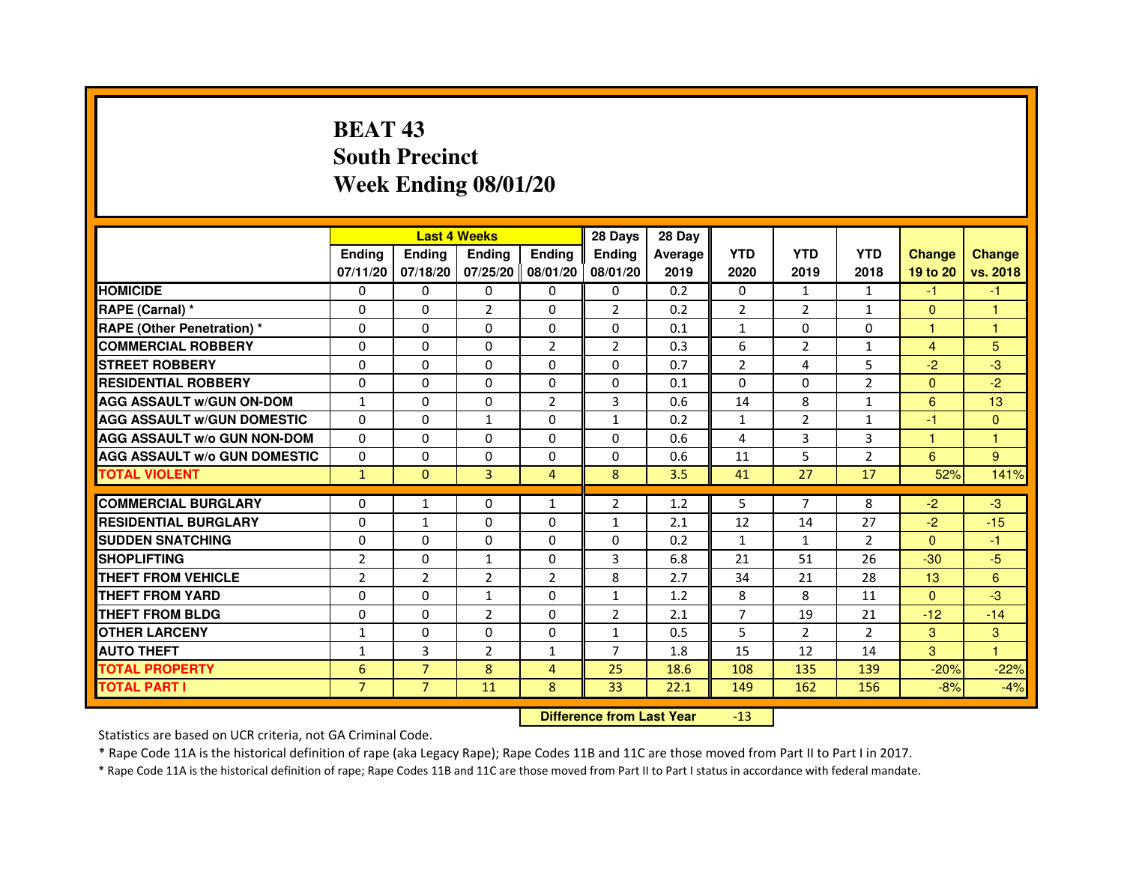## **BEAT 43 South PrecinctWeek Ending 08/01/20**

|                                     |                | <b>Last 4 Weeks</b> |                |                     | 28 Days        | 28 Day  |                |                |                |               |               |
|-------------------------------------|----------------|---------------------|----------------|---------------------|----------------|---------|----------------|----------------|----------------|---------------|---------------|
|                                     | <b>Endina</b>  | Ending              | <b>Endina</b>  | <b>Endina</b>       | <b>Endina</b>  | Average | <b>YTD</b>     | <b>YTD</b>     | <b>YTD</b>     | <b>Change</b> | <b>Change</b> |
|                                     | 07/11/20       | 07/18/20            |                | 07/25/20   08/01/20 | 08/01/20       | 2019    | 2020           | 2019           | 2018           | 19 to 20      | vs. 2018      |
| <b>HOMICIDE</b>                     | 0              | 0                   | 0              | 0                   | 0              | 0.2     | $\mathbf{0}$   | $\mathbf{1}$   | $\mathbf{1}$   | -1            | -1            |
| RAPE (Carnal) *                     | $\Omega$       | $\Omega$            | $\overline{2}$ | $\Omega$            | $\overline{2}$ | 0.2     | $\overline{2}$ | 2              | $\mathbf{1}$   | $\Omega$      | 1             |
| <b>RAPE (Other Penetration)*</b>    | $\Omega$       | $\Omega$            | $\Omega$       | $\Omega$            | $\Omega$       | 0.1     | $\mathbf{1}$   | $\Omega$       | $\Omega$       | 1             | $\mathbf{1}$  |
| <b>COMMERCIAL ROBBERY</b>           | 0              | 0                   | 0              | $\overline{2}$      | $\overline{2}$ | 0.3     | 6              | $\overline{2}$ | $\mathbf{1}$   | 4             | 5             |
| <b>STREET ROBBERY</b>               | 0              | $\Omega$            | 0              | 0                   | 0              | 0.7     | $\overline{2}$ | 4              | 5              | $-2$          | $-3$          |
| <b>RESIDENTIAL ROBBERY</b>          | 0              | $\Omega$            | 0              | $\Omega$            | $\Omega$       | 0.1     | $\Omega$       | $\Omega$       | $\overline{2}$ | $\Omega$      | $-2$          |
| <b>AGG ASSAULT w/GUN ON-DOM</b>     | $\mathbf{1}$   | $\Omega$            | $\Omega$       | $\overline{2}$      | 3              | 0.6     | 14             | 8              | $\mathbf{1}$   | 6             | 13            |
| <b>AGG ASSAULT W/GUN DOMESTIC</b>   | $\Omega$       | $\Omega$            | $\mathbf{1}$   | $\Omega$            | $\mathbf{1}$   | 0.2     | $\mathbf{1}$   | $\mathcal{P}$  | $\mathbf{1}$   | $-1$          | $\Omega$      |
| <b>AGG ASSAULT W/o GUN NON-DOM</b>  | $\Omega$       | 0                   | $\Omega$       | $\Omega$            | $\Omega$       | 0.6     | 4              | 3              | 3              | 1             | 1             |
| <b>AGG ASSAULT W/o GUN DOMESTIC</b> | 0              | 0                   | 0              | 0                   | 0              | 0.6     | 11             | 5              | 2              | 6             | 9             |
| <b>TOTAL VIOLENT</b>                | $\mathbf{1}$   | $\mathbf{0}$        | 3              | $\overline{4}$      | 8              | 3.5     | 41             | 27             | 17             | 52%           | 141%          |
|                                     |                |                     |                |                     |                |         |                |                |                |               |               |
| <b>COMMERCIAL BURGLARY</b>          | 0              | 1                   | 0              | $\mathbf{1}$        | 2              | 1.2     | 5              | $\overline{7}$ | 8              | $-2$          | $-3$          |
| <b>RESIDENTIAL BURGLARY</b>         | 0              | $\mathbf{1}$        | 0              | $\Omega$            | $\mathbf{1}$   | 2.1     | 12             | 14             | 27             | $-2$          | $-15$         |
| <b>SUDDEN SNATCHING</b>             | 0              | $\Omega$            | $\Omega$       | $\Omega$            | $\Omega$       | 0.2     | $\mathbf{1}$   | $\mathbf{1}$   | $\overline{2}$ | $\Omega$      | $-1$          |
| <b>SHOPLIFTING</b>                  | $\overline{2}$ | $\Omega$            | $\mathbf{1}$   | $\mathbf{0}$        | 3              | 6.8     | 21             | 51             | 26             | $-30$         | $-5$          |
| <b>THEFT FROM VEHICLE</b>           | $\overline{2}$ | $\overline{2}$      | $\overline{2}$ | $\overline{2}$      | 8              | 2.7     | 34             | 21             | 28             | 13            | 6             |
| <b>THEFT FROM YARD</b>              | $\Omega$       | 0                   | 1              | $\Omega$            | $\mathbf{1}$   | 1.2     | 8              | 8              | 11             | $\Omega$      | $-3$          |
| <b>THEFT FROM BLDG</b>              | 0              | $\Omega$            | $\overline{2}$ | $\mathbf{0}$        | $\overline{2}$ | 2.1     | $\overline{7}$ | 19             | 21             | $-12$         | $-14$         |
| <b>OTHER LARCENY</b>                | 1              | 0                   | $\Omega$       | $\Omega$            | $\mathbf{1}$   | 0.5     | 5              | $\mathfrak{p}$ | $\mathfrak{p}$ | 3             | 3             |
| <b>AUTO THEFT</b>                   | $\mathbf{1}$   | 3                   | $\overline{2}$ | $\mathbf{1}$        | $\overline{7}$ | 1.8     | 15             | 12             | 14             | 3             | 1             |
| <b>TOTAL PROPERTY</b>               | 6              | $\overline{7}$      | 8              | $\overline{4}$      | 25             | 18.6    | 108            | 135            | 139            | $-20%$        | $-22%$        |
| <b>TOTAL PART I</b>                 | $\overline{7}$ | $\overline{7}$      | 11             | 8                   | 33             | 22.1    | 149            | 162            | 156            | $-8%$         | $-4%$         |

 **Difference from Last Year**-13

Statistics are based on UCR criteria, not GA Criminal Code.

\* Rape Code 11A is the historical definition of rape (aka Legacy Rape); Rape Codes 11B and 11C are those moved from Part II to Part I in 2017.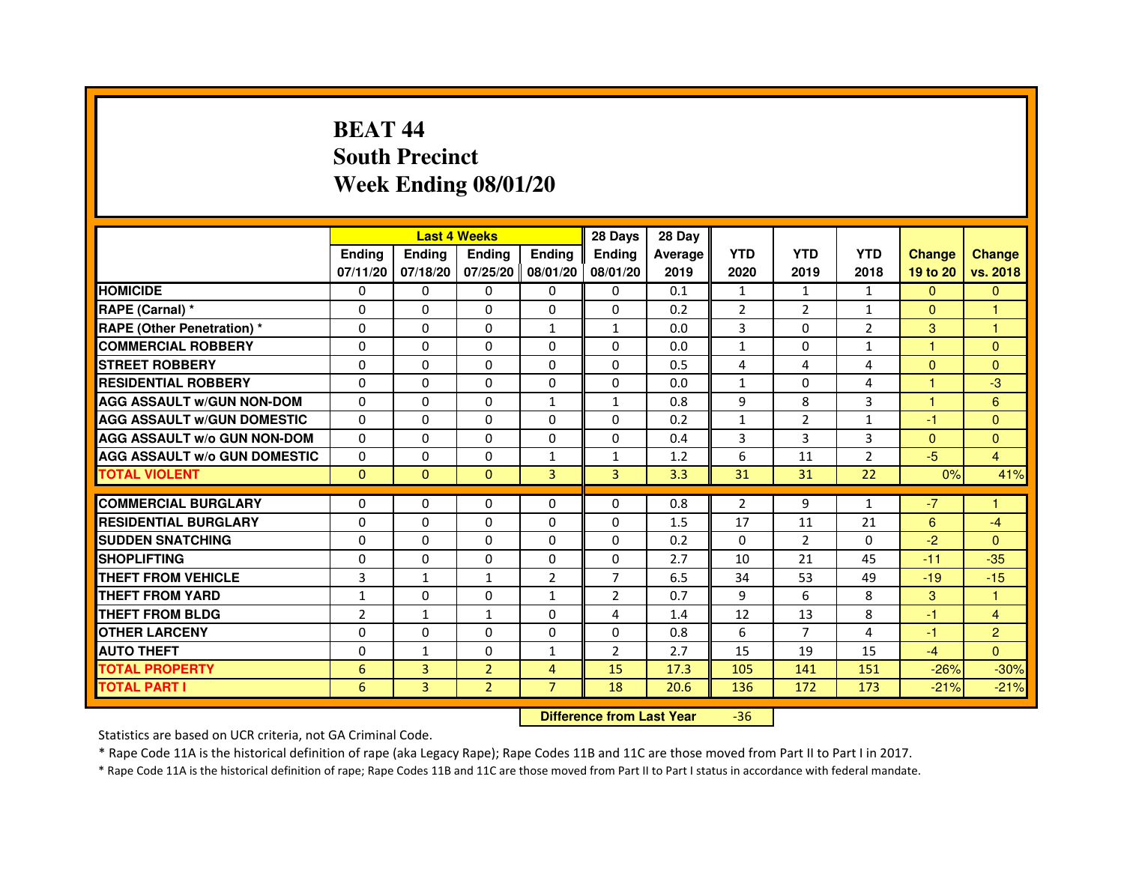## **BEAT 44 South PrecinctWeek Ending 08/01/20**

|                                     |                | <b>Last 4 Weeks</b> |                |                   | 28 Days                          | 28 Day  |                |                |                |               |                |
|-------------------------------------|----------------|---------------------|----------------|-------------------|----------------------------------|---------|----------------|----------------|----------------|---------------|----------------|
|                                     | <b>Ending</b>  | Ending              | <b>Ending</b>  | <b>Ending</b>     | <b>Ending</b>                    | Average | <b>YTD</b>     | <b>YTD</b>     | <b>YTD</b>     | <b>Change</b> | <b>Change</b>  |
|                                     | 07/11/20       | 07/18/20            |                | 07/25/20 08/01/20 | 08/01/20                         | 2019    | 2020           | 2019           | 2018           | 19 to 20      | vs. 2018       |
| <b>HOMICIDE</b>                     | 0              | 0                   | 0              | 0                 | 0                                | 0.1     | $\mathbf{1}$   | $\mathbf{1}$   | $\mathbf{1}$   | $\Omega$      | $\mathbf{0}$   |
| RAPE (Carnal) *                     | 0              | $\mathbf{0}$        | 0              | 0                 | 0                                | 0.2     | $\overline{2}$ | 2              | 1              | $\mathbf{0}$  | 1              |
| <b>RAPE (Other Penetration) *</b>   | 0              | 0                   | 0              | $\mathbf{1}$      | 1                                | 0.0     | 3              | $\mathbf{0}$   | $\overline{2}$ | 3             | 1              |
| <b>COMMERCIAL ROBBERY</b>           | $\mathbf 0$    | 0                   | $\Omega$       | $\mathbf{0}$      | $\mathbf{0}$                     | 0.0     | $\mathbf{1}$   | $\Omega$       | $\mathbf{1}$   | $\mathbf{1}$  | $\mathbf{0}$   |
| <b>STREET ROBBERY</b>               | 0              | $\Omega$            | $\Omega$       | $\mathbf{0}$      | $\Omega$                         | 0.5     | 4              | 4              | $\overline{4}$ | $\Omega$      | $\Omega$       |
| <b>RESIDENTIAL ROBBERY</b>          | 0              | 0                   | $\Omega$       | $\mathbf{0}$      | $\Omega$                         | 0.0     | $\mathbf{1}$   | $\Omega$       | $\overline{4}$ | 1             | $-3$           |
| <b>AGG ASSAULT W/GUN NON-DOM</b>    | $\Omega$       | $\Omega$            | 0              | $\mathbf{1}$      | $\mathbf{1}$                     | 0.8     | 9              | 8              | 3              | $\mathbf{1}$  | 6              |
| <b>AGG ASSAULT W/GUN DOMESTIC</b>   | $\Omega$       | $\Omega$            | $\Omega$       | $\Omega$          | $\Omega$                         | 0.2     | $\mathbf{1}$   | $\overline{2}$ | $\mathbf{1}$   | $-1$          | $\Omega$       |
| <b>AGG ASSAULT W/o GUN NON-DOM</b>  | $\Omega$       | $\Omega$            | $\Omega$       | $\mathbf{0}$      | $\Omega$                         | 0.4     | 3              | 3              | 3              | $\Omega$      | $\Omega$       |
| <b>AGG ASSAULT W/o GUN DOMESTIC</b> | $\Omega$       | 0                   | 0              | 1                 | $\mathbf{1}$                     | 1.2     | 6              | 11             | $\overline{2}$ | $-5$          | 4              |
| <b>TOTAL VIOLENT</b>                | $\mathbf{0}$   | $\mathbf{0}$        | $\mathbf{0}$   | 3                 | 3                                | 3.3     | 31             | 31             | 22             | 0%            | 41%            |
| <b>COMMERCIAL BURGLARY</b>          | 0              | 0                   | 0              | 0                 | 0                                | 0.8     | 2              | 9              | $\mathbf{1}$   | $-7$          | 1              |
| <b>RESIDENTIAL BURGLARY</b>         | 0              | 0                   | $\Omega$       | $\mathbf{0}$      | $\Omega$                         | 1.5     | 17             | 11             | 21             | 6             | $-4$           |
| <b>SUDDEN SNATCHING</b>             | 0              | $\Omega$            | $\Omega$       | $\Omega$          | $\Omega$                         | 0.2     | $\Omega$       | $\overline{2}$ | $\Omega$       | $-2$          | $\Omega$       |
| <b>SHOPLIFTING</b>                  | 0              | $\mathbf{0}$        | 0              | $\mathbf{0}$      | $\mathbf{0}$                     | 2.7     | 10             | 21             | 45             | $-11$         | $-35$          |
| THEFT FROM VEHICLE                  | 3              | $\mathbf{1}$        | $\mathbf{1}$   | $\overline{2}$    | $\overline{7}$                   | 6.5     | 34             | 53             | 49             | $-19$         | $-15$          |
| <b>THEFT FROM YARD</b>              | $\mathbf{1}$   | 0                   | $\Omega$       | $\mathbf{1}$      | $\overline{2}$                   | 0.7     | 9              | 6              | 8              | 3             | $\mathbf{1}$   |
| <b>THEFT FROM BLDG</b>              | $\overline{2}$ | $\mathbf{1}$        | $\mathbf{1}$   | $\mathbf{0}$      | 4                                | 1.4     | 12             | 13             | 8              | $-1$          | $\overline{4}$ |
| <b>OTHER LARCENY</b>                | 0              | $\Omega$            | $\Omega$       | $\mathbf{0}$      | $\Omega$                         | 0.8     | 6              | $\overline{7}$ | 4              | $-1$          | $\overline{2}$ |
| <b>AUTO THEFT</b>                   | $\Omega$       | 1                   | $\Omega$       | $\mathbf{1}$      | $\overline{2}$                   | 2.7     | 15             | 19             | 15             | $-4$          | $\Omega$       |
| <b>TOTAL PROPERTY</b>               | 6              | 3                   | $\overline{2}$ | $\overline{4}$    | 15                               | 17.3    | 105            | 141            | 151            | $-26%$        | $-30%$         |
| <b>TOTAL PART I</b>                 | 6              | 3                   | $\overline{2}$ | $\overline{7}$    | 18                               | 20.6    | 136            | 172            | 173            | $-21%$        | $-21%$         |
|                                     |                |                     |                |                   | <b>Difference from Last Year</b> |         | $-36$          |                |                |               |                |

 **Difference from Last Year**

Statistics are based on UCR criteria, not GA Criminal Code.

\* Rape Code 11A is the historical definition of rape (aka Legacy Rape); Rape Codes 11B and 11C are those moved from Part II to Part I in 2017.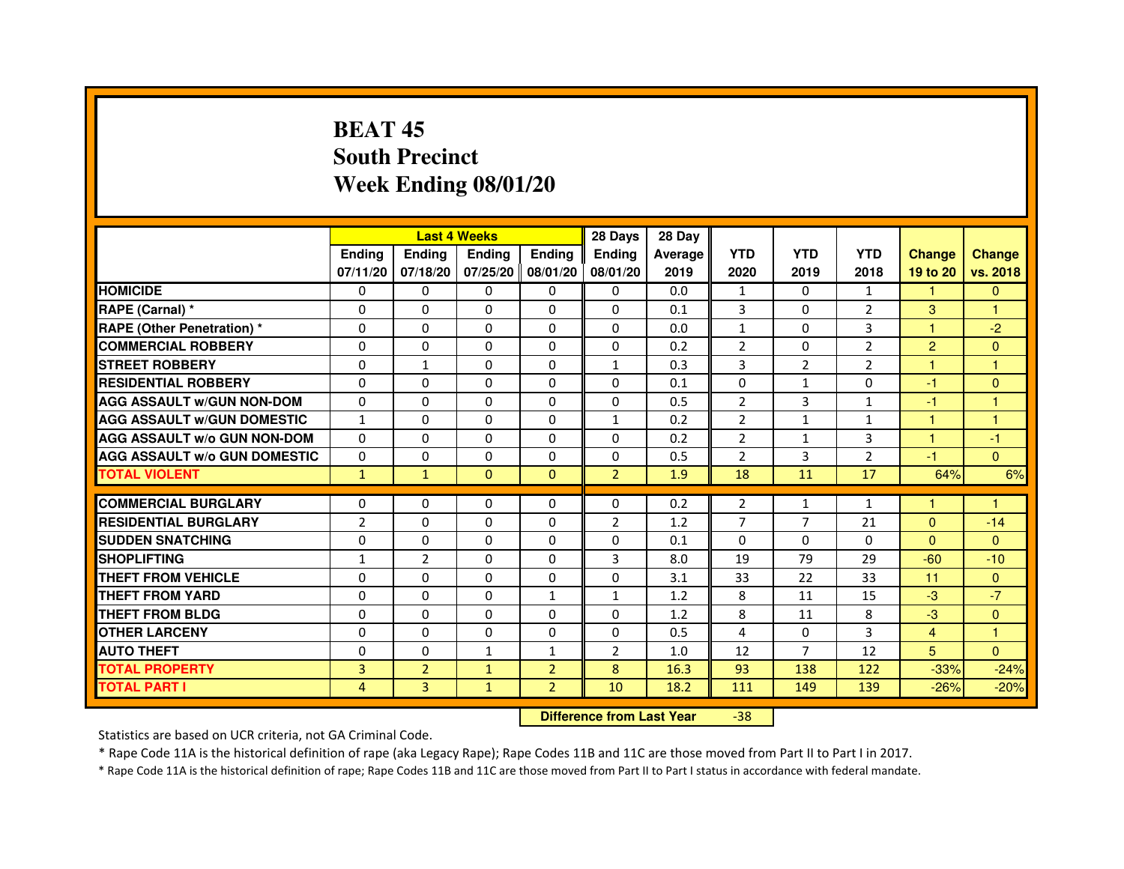## **BEAT 45 South PrecinctWeek Ending 08/01/20**

|                                     |                | <b>Last 4 Weeks</b> |               |                     | 28 Days        | 28 Day  |                |                |                |                |               |
|-------------------------------------|----------------|---------------------|---------------|---------------------|----------------|---------|----------------|----------------|----------------|----------------|---------------|
|                                     | <b>Endina</b>  | Ending              | <b>Endina</b> | <b>Endina</b>       | <b>Endina</b>  | Average | <b>YTD</b>     | <b>YTD</b>     | <b>YTD</b>     | <b>Change</b>  | <b>Change</b> |
|                                     | 07/11/20       | 07/18/20            |               | 07/25/20   08/01/20 | 08/01/20       | 2019    | 2020           | 2019           | 2018           | 19 to 20       | vs. 2018      |
| <b>HOMICIDE</b>                     | 0              | 0                   | 0             | 0                   | 0              | 0.0     | $\mathbf{1}$   | 0              | $\mathbf{1}$   | $\mathbf{1}$   | $\mathbf{0}$  |
| RAPE (Carnal) *                     | $\Omega$       | $\Omega$            | $\Omega$      | $\Omega$            | $\Omega$       | 0.1     | 3              | $\Omega$       | $\overline{2}$ | 3              | 1             |
| <b>RAPE (Other Penetration)*</b>    | $\Omega$       | $\Omega$            | $\Omega$      | $\Omega$            | $\Omega$       | 0.0     | $\mathbf{1}$   | $\Omega$       | 3              | 1              | $-2$          |
| <b>COMMERCIAL ROBBERY</b>           | 0              | 0                   | 0             | 0                   | 0              | 0.2     | $\overline{2}$ | 0              | $\overline{2}$ | $\overline{2}$ | $\Omega$      |
| <b>STREET ROBBERY</b>               | 0              | $\mathbf{1}$        | 0             | $\Omega$            | $\mathbf{1}$   | 0.3     | 3              | 2              | $\overline{2}$ | 1              | 1             |
| <b>RESIDENTIAL ROBBERY</b>          | 0              | $\Omega$            | 0             | $\Omega$            | $\Omega$       | 0.1     | $\Omega$       | $\mathbf{1}$   | $\Omega$       | $-1$           | $\Omega$      |
| <b>AGG ASSAULT w/GUN NON-DOM</b>    | $\Omega$       | $\Omega$            | $\Omega$      | $\mathbf{0}$        | $\Omega$       | 0.5     | $\overline{2}$ | 3              | $\mathbf{1}$   | $-1$           | 1             |
| <b>AGG ASSAULT W/GUN DOMESTIC</b>   | $\mathbf{1}$   | 0                   | $\Omega$      | $\Omega$            | $\mathbf{1}$   | 0.2     | $\mathcal{P}$  | $\mathbf{1}$   | $\mathbf{1}$   | $\mathbf{1}$   | 1             |
| <b>AGG ASSAULT W/o GUN NON-DOM</b>  | 0              | 0                   | $\Omega$      | $\Omega$            | $\Omega$       | 0.2     | $\overline{2}$ | $\mathbf{1}$   | 3              | 1              | $-1$          |
| <b>AGG ASSAULT W/o GUN DOMESTIC</b> | 0              | 0                   | 0             | $\mathbf{0}$        | 0              | 0.5     | $\overline{2}$ | 3              | 2              | $-1$           | $\Omega$      |
| <b>TOTAL VIOLENT</b>                | $\mathbf{1}$   | $\mathbf{1}$        | $\Omega$      | $\Omega$            | $\overline{2}$ | 1.9     | 18             | 11             | 17             | 64%            | 6%            |
|                                     |                |                     |               |                     |                |         |                |                |                |                |               |
| <b>COMMERCIAL BURGLARY</b>          | 0              | 0                   | 0             | 0                   | $\Omega$       | 0.2     | 2              | $\mathbf{1}$   | $\mathbf{1}$   | 1              | 1             |
| <b>RESIDENTIAL BURGLARY</b>         | $\overline{2}$ | $\Omega$            | 0             | $\Omega$            | $\overline{2}$ | 1.2     | 7              | 7              | 21             | $\Omega$       | $-14$         |
| <b>SUDDEN SNATCHING</b>             | 0              | $\Omega$            | $\Omega$      | $\Omega$            | $\Omega$       | 0.1     | $\Omega$       | $\Omega$       | $\Omega$       | $\Omega$       | $\Omega$      |
| <b>SHOPLIFTING</b>                  | $\mathbf{1}$   | $\overline{2}$      | $\Omega$      | $\mathbf{0}$        | 3              | 8.0     | 19             | 79             | 29             | $-60$          | $-10$         |
| <b>THEFT FROM VEHICLE</b>           | 0              | 0                   | 0             | $\mathbf{0}$        | 0              | 3.1     | 33             | 22             | 33             | 11             | $\Omega$      |
| <b>THEFT FROM YARD</b>              | $\Omega$       | 0                   | $\Omega$      | $\mathbf{1}$        | $\mathbf{1}$   | 1.2     | 8              | 11             | 15             | $-3$           | $-7$          |
| <b>THEFT FROM BLDG</b>              | 0              | $\Omega$            | 0             | $\mathbf{0}$        | $\Omega$       | 1.2     | 8              | 11             | 8              | $-3$           | $\Omega$      |
| <b>OTHER LARCENY</b>                | 0              | 0                   | $\Omega$      | $\Omega$            | $\Omega$       | 0.5     | $\overline{4}$ | $\Omega$       | 3              | $\overline{4}$ | 1             |
| <b>AUTO THEFT</b>                   | $\mathbf 0$    | 0                   | $\mathbf{1}$  | $\mathbf{1}$        | $\overline{2}$ | 1.0     | 12             | $\overline{7}$ | 12             | 5              | $\Omega$      |
| <b>TOTAL PROPERTY</b>               | 3              | $\overline{2}$      | $\mathbf{1}$  | $\overline{2}$      | 8              | 16.3    | 93             | 138            | 122            | $-33%$         | $-24%$        |
| <b>TOTAL PART I</b>                 | 4              | 3                   | $\mathbf{1}$  | $\overline{2}$      | 10             | 18.2    | 111            | 149            | 139            | $-26%$         | $-20%$        |

 **Difference from Last Year**-38

Statistics are based on UCR criteria, not GA Criminal Code.

\* Rape Code 11A is the historical definition of rape (aka Legacy Rape); Rape Codes 11B and 11C are those moved from Part II to Part I in 2017.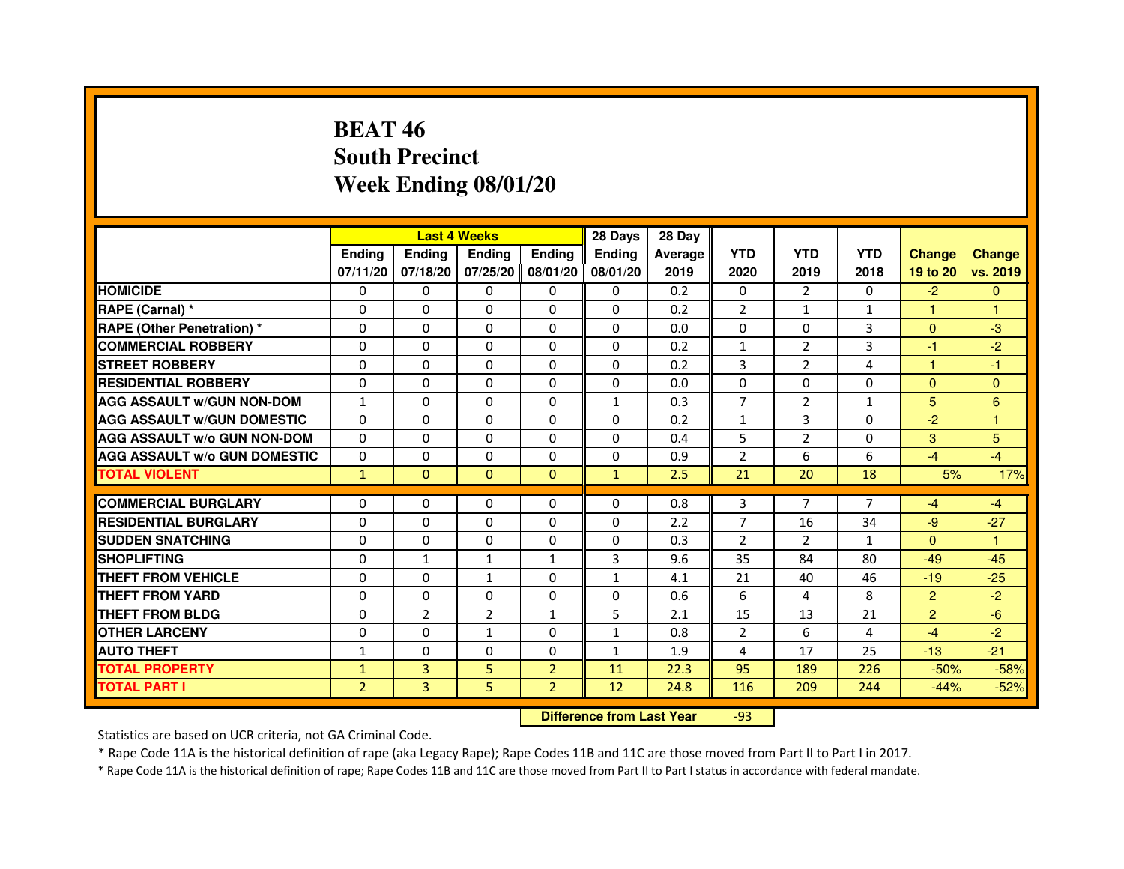## **BEAT 46 South PrecinctWeek Ending 08/01/20**

|                                     |                | <b>Last 4 Weeks</b> |                |                | 28 Days                          | 28 Day  |                |                |              |                |                |
|-------------------------------------|----------------|---------------------|----------------|----------------|----------------------------------|---------|----------------|----------------|--------------|----------------|----------------|
|                                     | <b>Ending</b>  | Ending              | <b>Ending</b>  | <b>Ending</b>  | <b>Ending</b>                    | Average | <b>YTD</b>     | <b>YTD</b>     | <b>YTD</b>   | <b>Change</b>  | <b>Change</b>  |
|                                     | 07/11/20       | 07/18/20            | 07/25/20       | 08/01/20       | 08/01/20                         | 2019    | 2020           | 2019           | 2018         | 19 to 20       | vs. 2019       |
| <b>HOMICIDE</b>                     | $\Omega$       | $\Omega$            | $\Omega$       | 0              | 0                                | 0.2     | 0              | $\mathcal{P}$  | $\Omega$     | $-2$           | $\mathbf{0}$   |
| RAPE (Carnal) *                     | 0              | 0                   | 0              | 0              | 0                                | 0.2     | 2              | $\mathbf{1}$   | 1            | 1              | 1              |
| RAPE (Other Penetration) *          | $\Omega$       | 0                   | $\Omega$       | $\Omega$       | $\Omega$                         | 0.0     | $\Omega$       | $\Omega$       | 3            | $\Omega$       | $-3$           |
| <b>COMMERCIAL ROBBERY</b>           | $\Omega$       | $\Omega$            | $\Omega$       | $\Omega$       | $\Omega$                         | 0.2     | $\mathbf{1}$   | $\overline{2}$ | 3            | $-1$           | $-2$           |
| <b>STREET ROBBERY</b>               | $\Omega$       | $\Omega$            | $\Omega$       | $\Omega$       | $\Omega$                         | 0.2     | 3              | $\overline{2}$ | 4            | 1              | $-1$           |
| <b>RESIDENTIAL ROBBERY</b>          | 0              | 0                   | $\Omega$       | 0              | 0                                | 0.0     | 0              | 0              | $\Omega$     | $\Omega$       | $\mathbf{0}$   |
| <b>AGG ASSAULT W/GUN NON-DOM</b>    | $\mathbf{1}$   | $\Omega$            | $\Omega$       | $\Omega$       | $\mathbf{1}$                     | 0.3     | $\overline{7}$ | $\overline{2}$ | $\mathbf{1}$ | 5              | $6\phantom{1}$ |
| <b>AGG ASSAULT W/GUN DOMESTIC</b>   | $\Omega$       | $\Omega$            | $\Omega$       | $\Omega$       | $\Omega$                         | 0.2     | $\mathbf{1}$   | 3              | $\Omega$     | $-2$           | $\mathbf{1}$   |
| <b>AGG ASSAULT W/o GUN NON-DOM</b>  | $\Omega$       | $\Omega$            | $\Omega$       | $\Omega$       | $\Omega$                         | 0.4     | 5              | $\overline{2}$ | $\Omega$     | 3              | 5              |
| <b>AGG ASSAULT W/o GUN DOMESTIC</b> | $\Omega$       | $\Omega$            | 0              | $\Omega$       | $\Omega$                         | 0.9     | $\overline{2}$ | 6              | 6            | $-4$           | $-4$           |
| <b>TOTAL VIOLENT</b>                | $\mathbf{1}$   | $\mathbf{0}$        | $\mathbf{0}$   | $\mathbf{0}$   | $\mathbf{1}$                     | 2.5     | 21             | 20             | 18           | 5%             | 17%            |
| <b>COMMERCIAL BURGLARY</b>          | 0              | 0                   | 0              | 0              | 0                                | 0.8     | 3              | 7              | 7            | $-4$           | $-4$           |
| <b>RESIDENTIAL BURGLARY</b>         | 0              | $\Omega$            | $\Omega$       | $\Omega$       | $\Omega$                         | 2.2     | $\overline{7}$ | 16             | 34           | $-9$           | $-27$          |
| <b>SUDDEN SNATCHING</b>             | $\Omega$       | $\Omega$            | $\Omega$       | $\Omega$       | $\Omega$                         | 0.3     | $\overline{2}$ | $\overline{2}$ | $\mathbf{1}$ | $\Omega$       | $\mathbf{1}$   |
| <b>SHOPLIFTING</b>                  | 0              | $\mathbf{1}$        | $\mathbf{1}$   | $\mathbf{1}$   | 3                                | 9.6     | 35             | 84             | 80           | $-49$          | $-45$          |
| THEFT FROM VEHICLE                  | 0              | 0                   | $\mathbf{1}$   | $\Omega$       | $\mathbf{1}$                     | 4.1     | 21             | 40             | 46           | $-19$          | $-25$          |
| <b>THEFT FROM YARD</b>              | $\Omega$       | $\Omega$            | $\Omega$       | $\Omega$       | $\Omega$                         | 0.6     | 6              | 4              | 8            | $\overline{2}$ | $-2$           |
| <b>THEFT FROM BLDG</b>              | $\Omega$       | $\overline{2}$      | $\overline{2}$ | $\mathbf{1}$   | 5                                | 2.1     | 15             | 13             | 21           | $\overline{2}$ | $-6$           |
| <b>OTHER LARCENY</b>                | 0              | $\Omega$            | 1              | 0              | $\mathbf{1}$                     | 0.8     | $\overline{2}$ | 6              | 4            | $-4$           | $-2$           |
| <b>AUTO THEFT</b>                   | $\mathbf{1}$   | $\Omega$            | $\Omega$       | $\Omega$       | $\mathbf{1}$                     | 1.9     | 4              | 17             | 25           | $-13$          | $-21$          |
| <b>TOTAL PROPERTY</b>               | $\mathbf{1}$   | 3                   | 5              | $\overline{2}$ | 11                               | 22.3    | 95             | 189            | 226          | $-50%$         | $-58%$         |
| <b>TOTAL PART I</b>                 | $\overline{2}$ | 3                   | 5              | $\overline{2}$ | 12                               | 24.8    | 116            | 209            | 244          | $-44%$         | $-52%$         |
|                                     |                |                     |                |                | <b>Difference from Last Year</b> |         | $-93$          |                |              |                |                |

 **Difference from Last Year**

Statistics are based on UCR criteria, not GA Criminal Code.

\* Rape Code 11A is the historical definition of rape (aka Legacy Rape); Rape Codes 11B and 11C are those moved from Part II to Part I in 2017.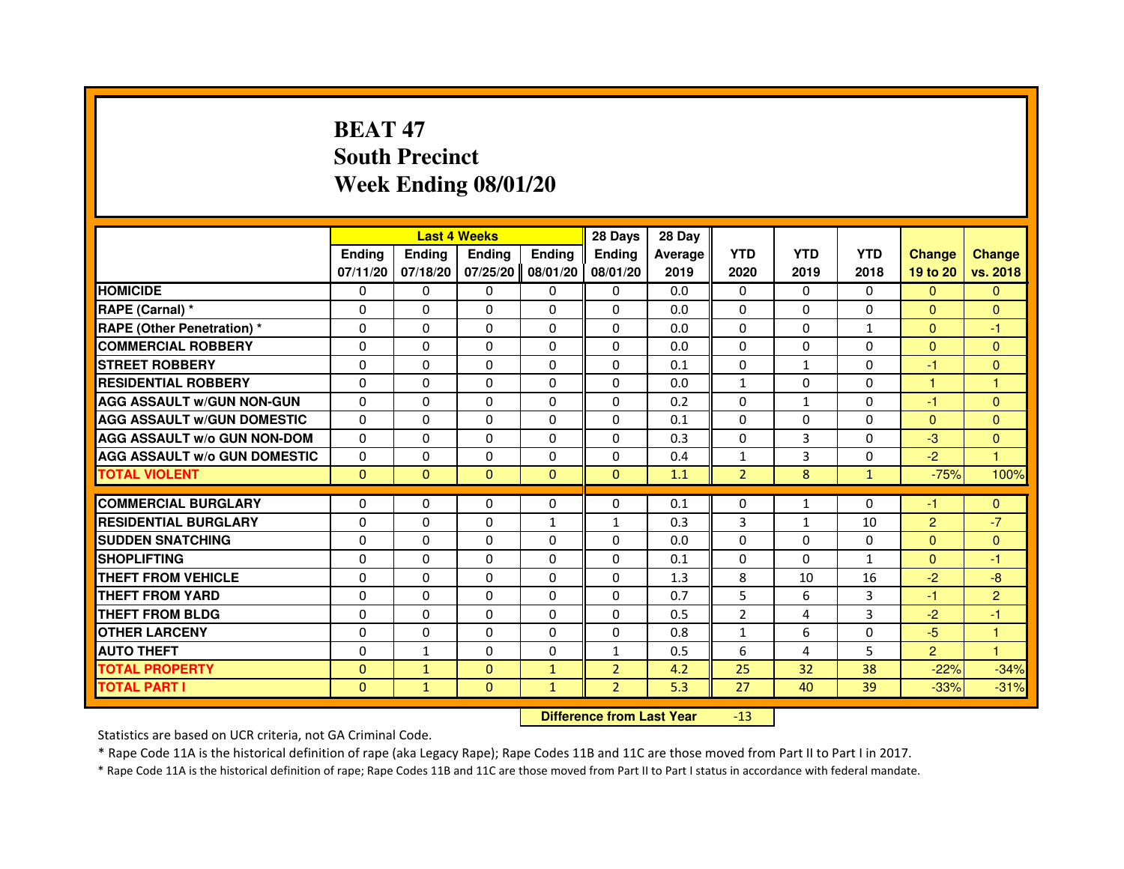## **BEAT 47 South PrecinctWeek Ending 08/01/20**

|                                     |               | <b>Last 4 Weeks</b> |               |               | 28 Days        | 28 Day  |                |              |              |                |                      |
|-------------------------------------|---------------|---------------------|---------------|---------------|----------------|---------|----------------|--------------|--------------|----------------|----------------------|
|                                     | <b>Endina</b> | <b>Endina</b>       | <b>Endina</b> | <b>Endina</b> | <b>Ending</b>  | Average | <b>YTD</b>     | <b>YTD</b>   | <b>YTD</b>   | <b>Change</b>  | <b>Change</b>        |
|                                     | 07/11/20      | 07/18/20            | 07/25/20      | 08/01/20      | 08/01/20       | 2019    | 2020           | 2019         | 2018         | 19 to 20       | vs. 2018             |
| <b>HOMICIDE</b>                     | $\Omega$      | $\Omega$            | $\Omega$      | $\Omega$      | $\mathbf{0}$   | 0.0     | $\Omega$       | $\Omega$     | $\Omega$     | $\mathbf{0}$   | $\mathbf{0}$         |
| RAPE (Carnal) *                     | $\Omega$      | $\Omega$            | $\Omega$      | $\Omega$      | $\Omega$       | 0.0     | $\Omega$       | $\Omega$     | $\Omega$     | $\Omega$       | $\mathbf{0}$         |
| <b>RAPE (Other Penetration)*</b>    | $\Omega$      | $\Omega$            | $\Omega$      | $\Omega$      | $\Omega$       | 0.0     | $\Omega$       | $\Omega$     | $\mathbf{1}$ | $\mathbf{0}$   | $-1$                 |
| <b>COMMERCIAL ROBBERY</b>           | 0             | $\Omega$            | $\Omega$      | $\Omega$      | $\Omega$       | 0.0     | $\Omega$       | $\Omega$     | $\Omega$     | $\Omega$       | $\Omega$             |
| <b>STREET ROBBERY</b>               | $\Omega$      | $\Omega$            | $\Omega$      | $\Omega$      | $\Omega$       | 0.1     | $\Omega$       | $\mathbf{1}$ | 0            | -1             | $\Omega$             |
| <b>RESIDENTIAL ROBBERY</b>          | $\Omega$      | $\Omega$            | $\Omega$      | $\Omega$      | $\Omega$       | 0.0     | $\mathbf{1}$   | $\Omega$     | 0            | $\mathbf{1}$   | 1                    |
| <b>AGG ASSAULT W/GUN NON-GUN</b>    | $\Omega$      | $\Omega$            | $\Omega$      | $\Omega$      | $\Omega$       | 0.2     | $\Omega$       | $\mathbf{1}$ | 0            | $-1$           | $\mathbf{0}$         |
| <b>AGG ASSAULT w/GUN DOMESTIC</b>   | $\Omega$      | $\Omega$            | $\Omega$      | $\Omega$      | $\Omega$       | 0.1     | $\Omega$       | $\Omega$     | $\Omega$     | $\mathbf{0}$   | $\mathbf{0}$         |
| <b>AGG ASSAULT W/o GUN NON-DOM</b>  | 0             | 0                   | $\Omega$      | 0             | 0              | 0.3     | 0              | 3            | 0            | $-3$           | $\Omega$             |
| <b>AGG ASSAULT W/o GUN DOMESTIC</b> | $\Omega$      | 0                   | $\Omega$      | 0             | $\Omega$       | 0.4     | $\mathbf{1}$   | 3            | 0            | $-2$           | $\blacktriangleleft$ |
| <b>TOTAL VIOLENT</b>                | $\Omega$      | $\mathbf{0}$        | $\Omega$      | $\Omega$      | $\mathbf{0}$   | 1.1     | $\overline{2}$ | 8            | $\mathbf{1}$ | $-75%$         | 100%                 |
|                                     |               |                     |               |               |                |         |                |              |              |                |                      |
| <b>COMMERCIAL BURGLARY</b>          | 0             | 0                   | 0             | 0             | $\Omega$       | 0.1     | $\Omega$       | $\mathbf{1}$ | $\Omega$     | -1             | $\mathbf{0}$         |
| <b>RESIDENTIAL BURGLARY</b>         | $\Omega$      | $\Omega$            | $\Omega$      | $\mathbf{1}$  | $\mathbf{1}$   | 0.3     | 3              | $\mathbf{1}$ | 10           | $\overline{2}$ | $-7$                 |
| <b>SUDDEN SNATCHING</b>             | $\Omega$      | $\Omega$            | $\Omega$      | $\Omega$      | $\Omega$       | 0.0     | $\Omega$       | 0            | 0            | $\Omega$       | $\mathbf{0}$         |
| <b>SHOPLIFTING</b>                  | $\mathbf 0$   | $\Omega$            | $\Omega$      | $\Omega$      | $\Omega$       | 0.1     | $\Omega$       | $\Omega$     | $\mathbf{1}$ | $\Omega$       | $-1$                 |
| <b>THEFT FROM VEHICLE</b>           | $\Omega$      | $\Omega$            | $\Omega$      | $\Omega$      | $\Omega$       | 1.3     | 8              | 10           | 16           | $-2$           | $-8$                 |
| <b>THEFT FROM YARD</b>              | 0             | 0                   | $\Omega$      | 0             | 0              | 0.7     | 5              | 6            | 3            | -1             | $\overline{2}$       |
| <b>THEFT FROM BLDG</b>              | 0             | 0                   | 0             | 0             | $\Omega$       | 0.5     | 2              | 4            | 3            | $-2$           | -1                   |
| <b>OTHER LARCENY</b>                | $\Omega$      | $\Omega$            | $\Omega$      | $\Omega$      | $\Omega$       | 0.8     | $\mathbf{1}$   | 6            | $\Omega$     | $-5$           | $\mathbf{1}$         |
| <b>AUTO THEFT</b>                   | $\Omega$      | $\mathbf{1}$        | $\Omega$      | $\Omega$      | $\mathbf{1}$   | 0.5     | 6              | 4            | 5            | $\overline{2}$ | $\mathbf{1}$         |
| <b>TOTAL PROPERTY</b>               | $\Omega$      | $\mathbf{1}$        | $\Omega$      | $\mathbf{1}$  | $\overline{2}$ | 4.2     | 25             | 32           | 38           | $-22%$         | $-34%$               |
| TOTAL PART I                        | $\Omega$      | $\mathbf{1}$        | $\Omega$      | $\mathbf{1}$  | $\overline{2}$ | 5.3     | 27             | 40           | 39           | $-33%$         | $-31%$               |

 **Difference from Last Year**-13

Statistics are based on UCR criteria, not GA Criminal Code.

\* Rape Code 11A is the historical definition of rape (aka Legacy Rape); Rape Codes 11B and 11C are those moved from Part II to Part I in 2017.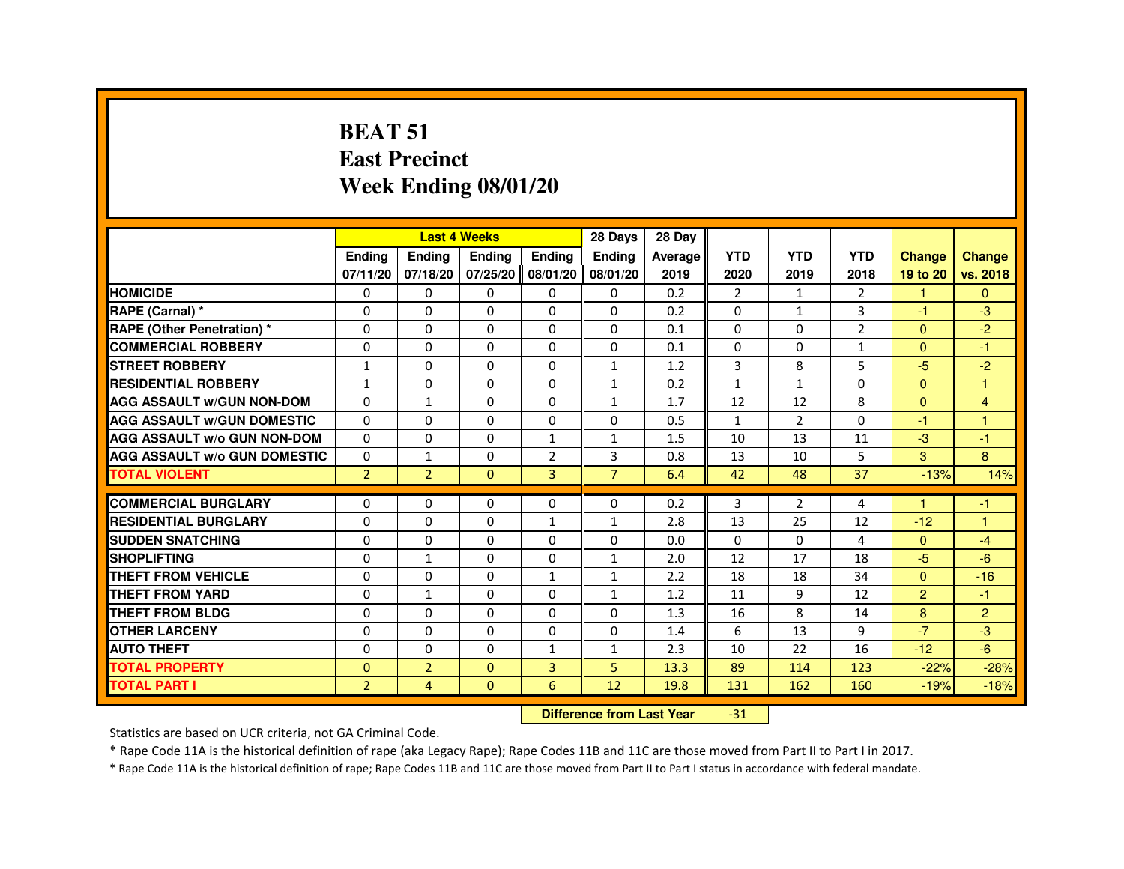#### **BEAT 51 East PrecinctWeek Ending 08/01/20**

|                                     |                |                | <b>Last 4 Weeks</b> |                   | 28 Days                          | 28 Day  |                |                |                |                |                |
|-------------------------------------|----------------|----------------|---------------------|-------------------|----------------------------------|---------|----------------|----------------|----------------|----------------|----------------|
|                                     | <b>Ending</b>  | <b>Ending</b>  | Ending              | <b>Ending</b>     | <b>Ending</b>                    | Average | <b>YTD</b>     | <b>YTD</b>     | <b>YTD</b>     | <b>Change</b>  | <b>Change</b>  |
|                                     | 07/11/20       | 07/18/20       |                     | 07/25/20 08/01/20 | 08/01/20                         | 2019    | 2020           | 2019           | 2018           | 19 to 20       | vs. 2018       |
| <b>HOMICIDE</b>                     | 0              | $\Omega$       | $\Omega$            | $\mathbf{0}$      | 0                                | 0.2     | $\overline{2}$ | $\mathbf{1}$   | $\overline{2}$ | $\mathbf{1}$   | $\Omega$       |
| RAPE (Carnal) *                     | 0              | 0              | 0                   | 0                 | 0                                | 0.2     | 0              | $\mathbf{1}$   | 3              | $-1$           | $-3$           |
| <b>RAPE (Other Penetration) *</b>   | 0              | $\Omega$       | 0                   | $\Omega$          | $\Omega$                         | 0.1     | $\Omega$       | $\Omega$       | $\overline{2}$ | $\mathbf{0}$   | $-2$           |
| <b>COMMERCIAL ROBBERY</b>           | $\Omega$       | $\Omega$       | $\Omega$            | $\Omega$          | $\Omega$                         | 0.1     | $\Omega$       | $\Omega$       | $\mathbf{1}$   | $\Omega$       | $-1$           |
| <b>STREET ROBBERY</b>               | 1              | 0              | $\Omega$            | 0                 | $\mathbf{1}$                     | 1.2     | 3              | 8              | 5              | $-5$           | $-2$           |
| <b>RESIDENTIAL ROBBERY</b>          | $\mathbf{1}$   | 0              | 0                   | 0                 | $\mathbf{1}$                     | 0.2     | 1              | $\mathbf{1}$   | $\Omega$       | $\Omega$       | $\overline{1}$ |
| <b>AGG ASSAULT w/GUN NON-DOM</b>    | $\Omega$       | $\mathbf{1}$   | 0                   | $\Omega$          | $\mathbf{1}$                     | 1.7     | 12             | 12             | 8              | $\overline{0}$ | $\overline{4}$ |
| <b>AGG ASSAULT W/GUN DOMESTIC</b>   | $\Omega$       | 0              | $\Omega$            | $\Omega$          | $\Omega$                         | 0.5     | $\mathbf{1}$   | $\overline{2}$ | $\Omega$       | $-1$           | $\overline{1}$ |
| <b>AGG ASSAULT w/o GUN NON-DOM</b>  | 0              | 0              | 0                   | $\mathbf{1}$      | 1                                | 1.5     | 10             | 13             | 11             | $-3$           | -1             |
| <b>AGG ASSAULT W/o GUN DOMESTIC</b> | $\Omega$       | $\mathbf{1}$   | 0                   | $\overline{2}$    | 3                                | 0.8     | 13             | 10             | 5              | 3              | 8              |
| <b>TOTAL VIOLENT</b>                | $\overline{2}$ | $\overline{2}$ | $\Omega$            | 3                 | $\overline{7}$                   | 6.4     | 42             | 48             | 37             | $-13%$         | 14%            |
| <b>COMMERCIAL BURGLARY</b>          | 0              | 0              | 0                   | 0                 | 0                                | 0.2     | 3              | $\overline{2}$ | 4              | 1              | -1             |
| <b>RESIDENTIAL BURGLARY</b>         | $\Omega$       | $\Omega$       | $\Omega$            | $\mathbf{1}$      | $\mathbf{1}$                     | 2.8     | 13             | 25             | 12             | $-12$          | $\overline{1}$ |
| <b>SUDDEN SNATCHING</b>             | 0              | $\Omega$       | $\Omega$            | $\Omega$          | $\Omega$                         | 0.0     | $\Omega$       | $\Omega$       | 4              | $\Omega$       | $-4$           |
| <b>SHOPLIFTING</b>                  | 0              | 1              | 0                   | 0                 | $\mathbf{1}$                     | 2.0     | 12             | 17             | 18             | $-5$           | $-6$           |
| THEFT FROM VEHICLE                  | 0              | 0              | 0                   | $\mathbf{1}$      | $\mathbf{1}$                     | 2.2     | 18             | 18             | 34             | $\mathbf{0}$   | $-16$          |
| <b>THEFT FROM YARD</b>              | $\mathbf 0$    | $\mathbf{1}$   | $\Omega$            | $\Omega$          | $\mathbf{1}$                     | 1.2     | 11             | 9              | 12             | $\overline{2}$ | $-1$           |
| THEFT FROM BLDG                     | 0              | $\Omega$       | $\Omega$            | $\Omega$          | $\Omega$                         | 1.3     | 16             | 8              | 14             | 8              | $\overline{2}$ |
| <b>OTHER LARCENY</b>                | $\Omega$       | $\Omega$       | $\Omega$            | $\Omega$          | $\Omega$                         | 1.4     | 6              | 13             | 9              | $-7$           | $-3$           |
| <b>AUTO THEFT</b>                   | 0              | 0              | 0                   | $\mathbf{1}$      | $\mathbf{1}$                     | 2.3     | 10             | 22             | 16             | $-12$          | $-6$           |
| <b>TOTAL PROPERTY</b>               | $\Omega$       | $\overline{2}$ | $\Omega$            | $\overline{3}$    | 5                                | 13.3    | 89             | 114            | 123            | $-22%$         | $-28%$         |
| <b>TOTAL PART I</b>                 | $\overline{2}$ | 4              | $\mathbf{0}$        | 6                 | 12                               | 19.8    | 131            | 162            | 160            | $-19%$         | $-18%$         |
|                                     |                |                |                     |                   | <b>Difference from Last Year</b> |         | $-31$          |                |                |                |                |

 **Difference from Last Year**

Statistics are based on UCR criteria, not GA Criminal Code.

\* Rape Code 11A is the historical definition of rape (aka Legacy Rape); Rape Codes 11B and 11C are those moved from Part II to Part I in 2017.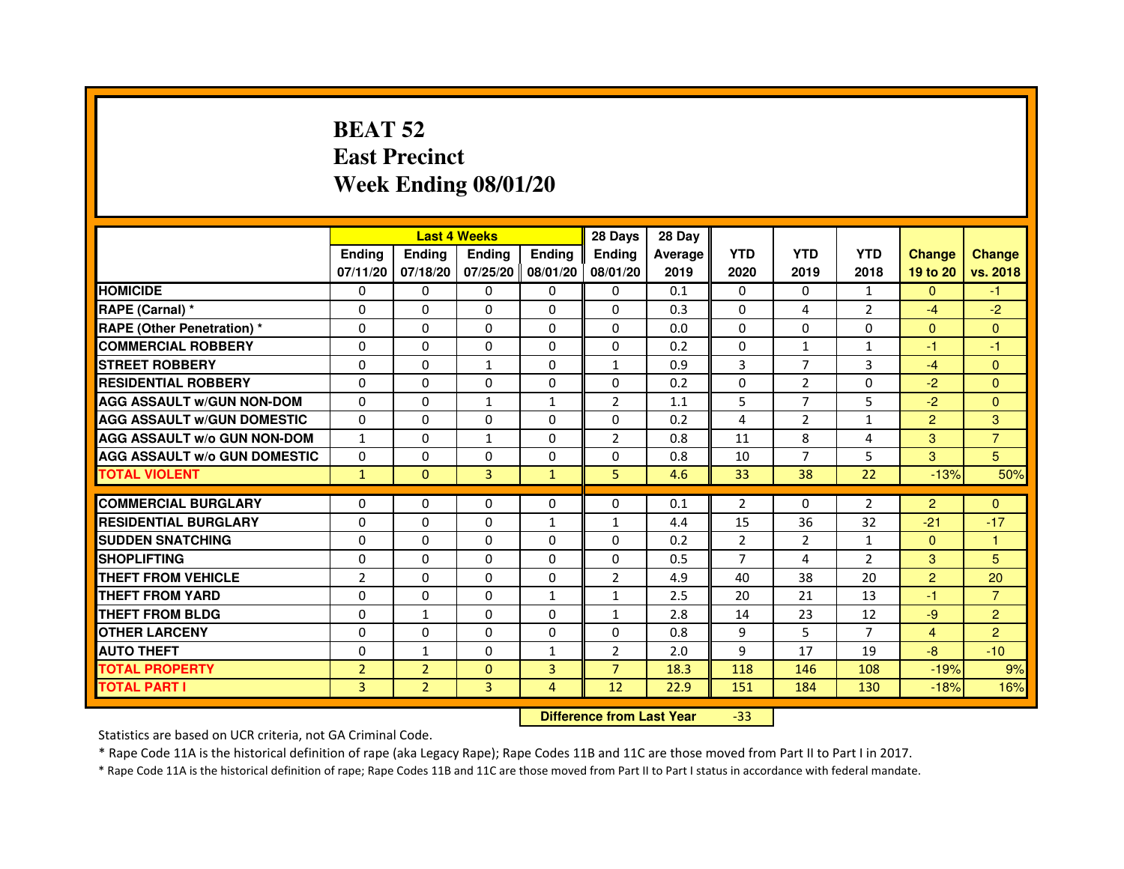## **BEAT 52 East PrecinctWeek Ending 08/01/20**

|                                     |                | <b>Last 4 Weeks</b> |               |                   | 28 Days                          | 28 Day  |                |                |                |                |                |
|-------------------------------------|----------------|---------------------|---------------|-------------------|----------------------------------|---------|----------------|----------------|----------------|----------------|----------------|
|                                     | <b>Ending</b>  | Ending              | <b>Ending</b> | <b>Ending</b>     | <b>Ending</b>                    | Average | <b>YTD</b>     | <b>YTD</b>     | <b>YTD</b>     | <b>Change</b>  | <b>Change</b>  |
|                                     | 07/11/20       | 07/18/20            |               | 07/25/20 08/01/20 | 08/01/20                         | 2019    | 2020           | 2019           | 2018           | 19 to 20       | vs. 2018       |
| <b>HOMICIDE</b>                     | 0              | 0                   | 0             | 0                 | 0                                | 0.1     | $\Omega$       | $\Omega$       | $\mathbf{1}$   | $\Omega$       | $-1$           |
| RAPE (Carnal) *                     | 0              | $\mathbf{0}$        | 0             | 0                 | 0                                | 0.3     | 0              | 4              | 2              | $-4$           | $-2$           |
| <b>RAPE (Other Penetration) *</b>   | 0              | 0                   | 0             | $\mathbf{0}$      | $\Omega$                         | 0.0     | $\Omega$       | $\mathbf{0}$   | $\Omega$       | $\Omega$       | $\Omega$       |
| <b>COMMERCIAL ROBBERY</b>           | $\mathbf 0$    | 0                   | $\Omega$      | $\mathbf{0}$      | $\mathbf{0}$                     | 0.2     | $\mathbf{0}$   | $\mathbf{1}$   | $\mathbf{1}$   | $-1$           | $-1$           |
| <b>STREET ROBBERY</b>               | 0              | $\Omega$            | $\mathbf{1}$  | $\mathbf{0}$      | $\mathbf{1}$                     | 0.9     | 3              | $\overline{7}$ | 3              | $-4$           | $\Omega$       |
| <b>RESIDENTIAL ROBBERY</b>          | 0              | 0                   | $\Omega$      | $\mathbf{0}$      | $\Omega$                         | 0.2     | $\Omega$       | 2              | $\Omega$       | $-2$           | $\mathbf{0}$   |
| <b>AGG ASSAULT W/GUN NON-DOM</b>    | $\Omega$       | $\Omega$            | $\mathbf{1}$  | $\mathbf{1}$      | $\overline{2}$                   | 1.1     | 5              | $\overline{7}$ | 5              | $-2$           | $\Omega$       |
| <b>AGG ASSAULT W/GUN DOMESTIC</b>   | $\Omega$       | $\Omega$            | $\Omega$      | $\Omega$          | $\Omega$                         | 0.2     | 4              | $\overline{2}$ | $\mathbf{1}$   | $\overline{2}$ | 3              |
| <b>AGG ASSAULT W/o GUN NON-DOM</b>  | $\mathbf{1}$   | $\Omega$            | $\mathbf{1}$  | $\mathbf{0}$      | 2                                | 0.8     | 11             | 8              | 4              | 3              | $\overline{7}$ |
| <b>AGG ASSAULT W/o GUN DOMESTIC</b> | $\Omega$       | 0                   | 0             | $\mathbf{0}$      | 0                                | 0.8     | 10             | 7              | 5              | 3              | 5              |
| <b>TOTAL VIOLENT</b>                | $\mathbf{1}$   | $\mathbf{0}$        | 3             | $\mathbf{1}$      | 5                                | 4.6     | 33             | 38             | 22             | $-13%$         | 50%            |
| <b>COMMERCIAL BURGLARY</b>          | 0              | 0                   | 0             | 0                 | 0                                | 0.1     | 2              | 0              | 2              | $\overline{2}$ | $\mathbf{0}$   |
| <b>RESIDENTIAL BURGLARY</b>         | 0              | 0                   | $\Omega$      | $\mathbf{1}$      | $\mathbf{1}$                     | 4.4     | 15             | 36             | 32             | $-21$          | $-17$          |
| <b>SUDDEN SNATCHING</b>             | 0              | $\Omega$            | $\Omega$      | $\Omega$          | $\Omega$                         | 0.2     | $\overline{2}$ | $\overline{2}$ | $\mathbf{1}$   | $\Omega$       | $\mathbf{1}$   |
| <b>SHOPLIFTING</b>                  | 0              | $\mathbf{0}$        | 0             | $\mathbf{0}$      | $\mathbf{0}$                     | 0.5     | 7              | 4              | 2              | 3              | 5              |
| THEFT FROM VEHICLE                  | $\overline{2}$ | 0                   | 0             | $\Omega$          | $\overline{2}$                   | 4.9     | 40             | 38             | 20             | $\overline{2}$ | 20             |
| <b>THEFT FROM YARD</b>              | $\Omega$       | 0                   | $\Omega$      | $\mathbf{1}$      | $\mathbf{1}$                     | 2.5     | 20             | 21             | 13             | $-1$           | $\overline{7}$ |
| <b>THEFT FROM BLDG</b>              | 0              | $\mathbf{1}$        | 0             | $\mathbf{0}$      | $\mathbf{1}$                     | 2.8     | 14             | 23             | 12             | $-9$           | $\overline{2}$ |
| <b>OTHER LARCENY</b>                | 0              | $\Omega$            | $\Omega$      | $\mathbf{0}$      | $\mathbf{0}$                     | 0.8     | 9              | 5              | $\overline{7}$ | $\overline{4}$ | $\overline{2}$ |
| <b>AUTO THEFT</b>                   | $\Omega$       | 1                   | $\Omega$      | $\mathbf{1}$      | $\overline{2}$                   | 2.0     | 9              | 17             | 19             | $-8$           | $-10$          |
| <b>TOTAL PROPERTY</b>               | $\overline{2}$ | $\overline{2}$      | $\Omega$      | 3                 | $\overline{7}$                   | 18.3    | 118            | 146            | 108            | $-19%$         | 9%             |
| <b>TOTAL PART I</b>                 | 3              | $\overline{2}$      | 3             | $\overline{4}$    | 12                               | 22.9    | 151            | 184            | 130            | $-18%$         | 16%            |
|                                     |                |                     |               |                   | <b>Difference from Last Year</b> |         | $-33$          |                |                |                |                |

 **Difference from Last Year**

Statistics are based on UCR criteria, not GA Criminal Code.

\* Rape Code 11A is the historical definition of rape (aka Legacy Rape); Rape Codes 11B and 11C are those moved from Part II to Part I in 2017.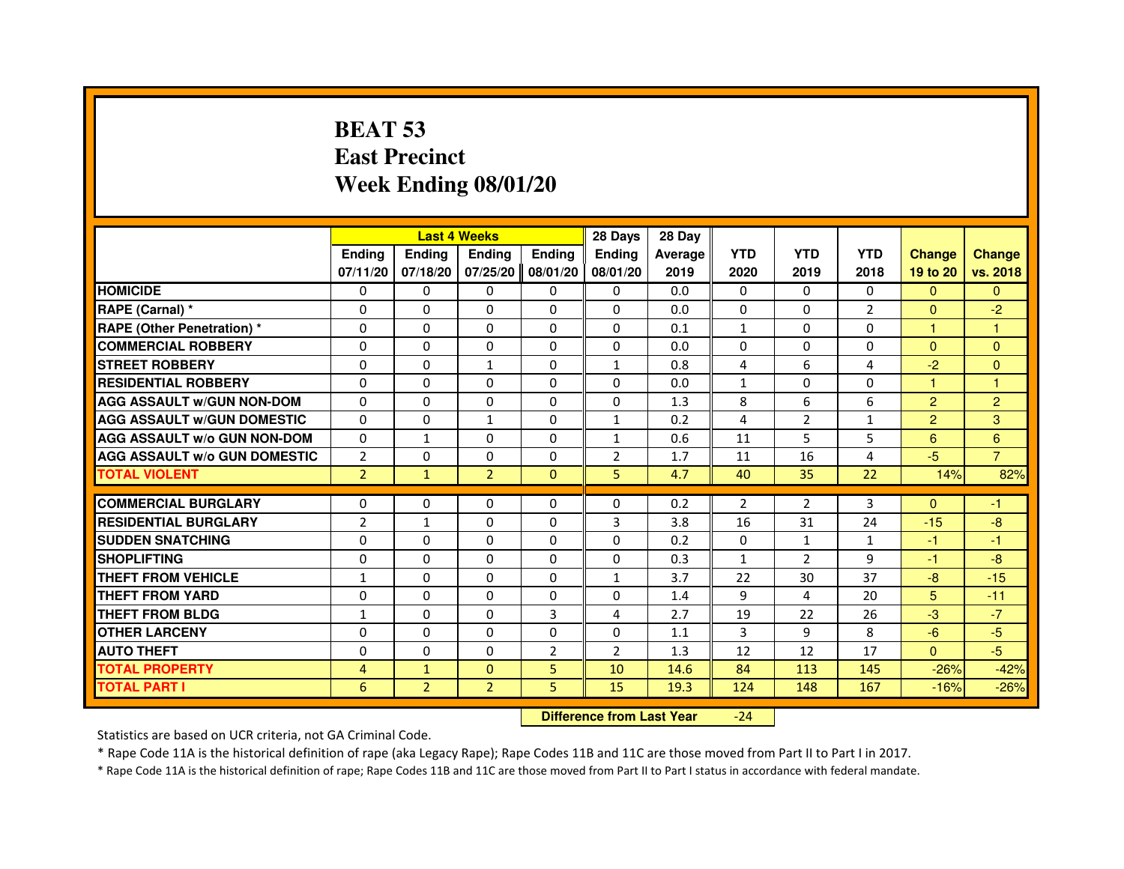## **BEAT 53 East PrecinctWeek Ending 08/01/20**

|                                     |                |                | <b>Last 4 Weeks</b> |                | 28 Days                          | 28 Day  |                |                |              |                |                |
|-------------------------------------|----------------|----------------|---------------------|----------------|----------------------------------|---------|----------------|----------------|--------------|----------------|----------------|
|                                     | <b>Ending</b>  | Ending         | Ending              | <b>Ending</b>  | Ending                           | Average | <b>YTD</b>     | <b>YTD</b>     | <b>YTD</b>   | <b>Change</b>  | <b>Change</b>  |
|                                     | 07/11/20       | 07/18/20       | 07/25/20            | 08/01/20       | 08/01/20                         | 2019    | 2020           | 2019           | 2018         | 19 to 20       | vs. 2018       |
| <b>HOMICIDE</b>                     | 0              | $\Omega$       | 0                   | 0              | $\mathbf{0}$                     | 0.0     | $\Omega$       | 0              | $\Omega$     | $\mathbf{0}$   | $\Omega$       |
| RAPE (Carnal) *                     | 0              | 0              | 0                   | 0              | 0                                | 0.0     | 0              | 0              | 2            | $\mathbf{0}$   | $-2$           |
| RAPE (Other Penetration) *          | $\Omega$       | $\Omega$       | $\Omega$            | $\Omega$       | $\Omega$                         | 0.1     | 1              | $\Omega$       | $\Omega$     | $\mathbf{1}$   | 1              |
| <b>COMMERCIAL ROBBERY</b>           | 0              | $\Omega$       | $\Omega$            | $\Omega$       | $\Omega$                         | 0.0     | $\Omega$       | $\Omega$       | $\Omega$     | $\Omega$       | $\mathbf{0}$   |
| <b>STREET ROBBERY</b>               | $\Omega$       | $\Omega$       | $\mathbf{1}$        | $\Omega$       | $\mathbf{1}$                     | 0.8     | 4              | 6              | 4            | $-2$           | $\Omega$       |
| <b>RESIDENTIAL ROBBERY</b>          | 0              | 0              | $\Omega$            | 0              | 0                                | 0.0     | $\mathbf{1}$   | $\Omega$       | $\Omega$     | $\mathbf{1}$   | 1              |
| <b>AGG ASSAULT w/GUN NON-DOM</b>    | $\Omega$       | $\Omega$       | 0                   | $\Omega$       | $\Omega$                         | 1.3     | 8              | 6              | 6            | $\overline{2}$ | $\overline{2}$ |
| <b>AGG ASSAULT W/GUN DOMESTIC</b>   | $\Omega$       | $\Omega$       | $\mathbf{1}$        | $\Omega$       | $\mathbf{1}$                     | 0.2     | $\overline{4}$ | $\overline{2}$ | $\mathbf{1}$ | $\overline{2}$ | 3              |
| <b>AGG ASSAULT W/o GUN NON-DOM</b>  | $\Omega$       | $\mathbf{1}$   | $\Omega$            | $\Omega$       | $\mathbf{1}$                     | 0.6     | 11             | 5.             | 5            | 6              | $6\phantom{1}$ |
| <b>AGG ASSAULT w/o GUN DOMESTIC</b> | $\overline{2}$ | $\Omega$       | 0                   | $\Omega$       | $\overline{2}$                   | 1.7     | 11             | 16             | 4            | $-5$           | $\overline{7}$ |
| <b>TOTAL VIOLENT</b>                | $\overline{2}$ | $\mathbf{1}$   | $\overline{2}$      | $\mathbf{0}$   | 5                                | 4.7     | 40             | 35             | 22           | 14%            | 82%            |
| <b>COMMERCIAL BURGLARY</b>          | 0              | 0              | 0                   | $\mathbf{0}$   | 0                                | 0.2     | 2              | 2              | 3            | $\Omega$       | $-1$           |
| <b>RESIDENTIAL BURGLARY</b>         | $\overline{2}$ | $\mathbf{1}$   | 0                   | $\Omega$       | 3                                | 3.8     | 16             | 31             | 24           | $-15$          | -8             |
| <b>SUDDEN SNATCHING</b>             | $\Omega$       | $\Omega$       | $\Omega$            | $\Omega$       | $\Omega$                         | 0.2     | $\Omega$       | $\mathbf{1}$   | $\mathbf{1}$ | $-1$           | $-1$           |
| <b>SHOPLIFTING</b>                  | 0              | $\Omega$       | 0                   | $\Omega$       | 0                                | 0.3     | $\mathbf{1}$   | $\overline{2}$ | 9            | $-1$           | $-8$           |
| THEFT FROM VEHICLE                  | 1              | 0              | 0                   | $\Omega$       | 1                                | 3.7     | 22             | 30             | 37           | $-8$           | $-15$          |
| <b>THEFT FROM YARD</b>              | $\Omega$       | $\Omega$       | $\Omega$            | $\Omega$       | $\Omega$                         | 1.4     | 9              | 4              | 20           | 5              | $-11$          |
| <b>THEFT FROM BLDG</b>              | $\mathbf{1}$   | $\Omega$       | $\Omega$            | 3              | $\overline{4}$                   | 2.7     | 19             | 22             | 26           | $-3$           | $-7$           |
| <b>OTHER LARCENY</b>                | 0              | 0              | 0                   | $\Omega$       | $\mathbf{0}$                     | 1.1     | 3              | 9              | 8            | $-6$           | $-5$           |
| <b>AUTO THEFT</b>                   | $\Omega$       | $\Omega$       | $\Omega$            | $\overline{2}$ | $\overline{2}$                   | 1.3     | 12             | 12             | 17           | $\mathbf{0}$   | $-5$           |
| <b>TOTAL PROPERTY</b>               | $\overline{4}$ | $\mathbf{1}$   | $\Omega$            | 5              | 10                               | 14.6    | 84             | 113            | 145          | $-26%$         | $-42%$         |
| <b>TOTAL PART I</b>                 | 6              | $\overline{2}$ | $\overline{2}$      | 5              | 15                               | 19.3    | 124            | 148            | 167          | $-16%$         | $-26%$         |
|                                     |                |                |                     |                | <b>Difference from Last Year</b> |         | $-24$          |                |              |                |                |

 **Difference from Last Year**

Statistics are based on UCR criteria, not GA Criminal Code.

\* Rape Code 11A is the historical definition of rape (aka Legacy Rape); Rape Codes 11B and 11C are those moved from Part II to Part I in 2017.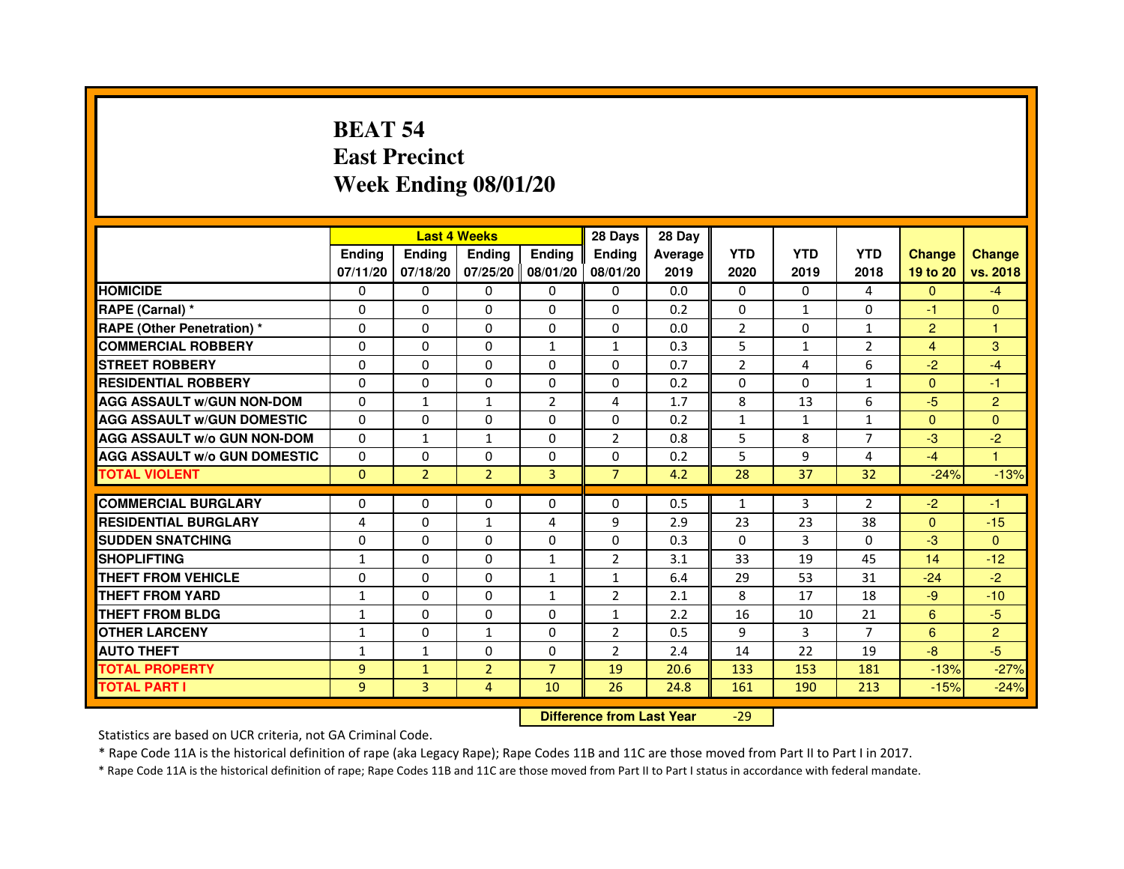## **BEAT 54 East PrecinctWeek Ending 08/01/20**

|                                     |               |                | <b>Last 4 Weeks</b> |                   | 28 Days        | 28 Day  |                |              |                |                |                |
|-------------------------------------|---------------|----------------|---------------------|-------------------|----------------|---------|----------------|--------------|----------------|----------------|----------------|
|                                     | <b>Endina</b> | Ending         | <b>Endina</b>       | <b>Ending</b>     | <b>Endina</b>  | Average | <b>YTD</b>     | <b>YTD</b>   | <b>YTD</b>     | <b>Change</b>  | <b>Change</b>  |
|                                     | 07/11/20      | 07/18/20       |                     | 07/25/20 08/01/20 | 08/01/20       | 2019    | 2020           | 2019         | 2018           | 19 to 20       | vs. 2018       |
| <b>HOMICIDE</b>                     | 0             | 0              | $\mathbf{0}$        | 0                 | 0              | 0.0     | $\mathbf{0}$   | $\Omega$     | 4              | $\Omega$       | $-4$           |
| RAPE (Carnal) *                     | $\Omega$      | $\Omega$       | $\mathbf 0$         | $\Omega$          | $\Omega$       | 0.2     | $\mathbf{0}$   | $\mathbf{1}$ | $\Omega$       | $-1$           | $\Omega$       |
| <b>RAPE (Other Penetration) *</b>   | 0             | 0              | $\Omega$            | $\Omega$          | 0              | 0.0     | $\overline{2}$ | 0            | $\mathbf{1}$   | $\overline{2}$ | 1              |
| <b>COMMERCIAL ROBBERY</b>           | 0             | $\Omega$       | 0                   | $\mathbf{1}$      | 1              | 0.3     | 5              | 1            | $\overline{2}$ | 4              | 3              |
| <b>STREET ROBBERY</b>               | $\Omega$      | 0              | $\Omega$            | 0                 | 0              | 0.7     | $\overline{2}$ | 4            | 6              | $-2$           | $-4$           |
| <b>RESIDENTIAL ROBBERY</b>          | 0             | 0              | 0                   | 0                 | 0              | 0.2     | 0              | $\Omega$     | $\mathbf{1}$   | $\Omega$       | $-1$           |
| <b>AGG ASSAULT w/GUN NON-DOM</b>    | $\Omega$      | $\mathbf{1}$   | $\mathbf{1}$        | $\overline{2}$    | 4              | 1.7     | 8              | 13           | 6              | $-5$           | $\overline{2}$ |
| <b>AGG ASSAULT W/GUN DOMESTIC</b>   | $\Omega$      | $\Omega$       | $\Omega$            | $\Omega$          | 0              | 0.2     | $\mathbf{1}$   | $\mathbf{1}$ | $\mathbf{1}$   | $\Omega$       | $\Omega$       |
| <b>AGG ASSAULT W/o GUN NON-DOM</b>  | $\Omega$      | $\mathbf{1}$   | $\mathbf{1}$        | 0                 | $\overline{2}$ | 0.8     | 5              | 8            | 7              | $-3$           | $-2$           |
| <b>AGG ASSAULT W/o GUN DOMESTIC</b> | $\Omega$      | $\Omega$       | $\Omega$            | 0                 | 0              | 0.2     | 5              | 9            | 4              | $-4$           | 1              |
| <b>TOTAL VIOLENT</b>                | $\mathbf{0}$  | $\overline{2}$ | $\overline{2}$      | 3                 | $\overline{7}$ | 4.2     | 28             | 37           | 32             | $-24%$         | $-13%$         |
|                                     |               |                |                     |                   |                |         |                |              |                |                |                |
| <b>COMMERCIAL BURGLARY</b>          | 0             | 0              | 0                   | 0                 | 0              | 0.5     | $\mathbf{1}$   | 3            | $\overline{2}$ | $-2$           | $-1$           |
| <b>RESIDENTIAL BURGLARY</b>         | 4             | 0              | $\mathbf{1}$        | 4                 | 9              | 2.9     | 23             | 23           | 38             | $\mathbf{0}$   | $-15$          |
| <b>SUDDEN SNATCHING</b>             | $\Omega$      | $\Omega$       | $\Omega$            | 0                 | 0              | 0.3     | $\Omega$       | 3            | $\Omega$       | $-3$           | $\Omega$       |
| <b>SHOPLIFTING</b>                  | $\mathbf{1}$  | $\Omega$       | $\Omega$            | $\mathbf{1}$      | $\overline{2}$ | 3.1     | 33             | 19           | 45             | 14             | $-12$          |
| THEFT FROM VEHICLE                  | 0             | $\Omega$       | $\Omega$            | $\mathbf{1}$      | $\mathbf{1}$   | 6.4     | 29             | 53           | 31             | $-24$          | $-2$           |
| <b>THEFT FROM YARD</b>              | $\mathbf{1}$  | $\Omega$       | $\Omega$            | 1                 | $\overline{2}$ | 2.1     | 8              | 17           | 18             | $-9$           | $-10$          |
| <b>THEFT FROM BLDG</b>              | 1             | $\Omega$       | $\Omega$            | 0                 | $\mathbf{1}$   | 2.2     | 16             | 10           | 21             | 6              | $-5$           |
| <b>OTHER LARCENY</b>                | $\mathbf{1}$  | $\Omega$       | $\mathbf{1}$        | $\Omega$          | $\overline{2}$ | 0.5     | 9              | 3            | $\overline{7}$ | 6              | $\overline{2}$ |
| <b>AUTO THEFT</b>                   | $\mathbf{1}$  | $\mathbf{1}$   | $\Omega$            | $\Omega$          | $\overline{2}$ | 2.4     | 14             | 22           | 19             | $-8$           | $-5$           |
| <b>TOTAL PROPERTY</b>               | 9             | $\mathbf{1}$   | $\overline{2}$      | $\overline{7}$    | 19             | 20.6    | 133            | 153          | 181            | $-13%$         | $-27%$         |
| <b>TOTAL PART I</b>                 | 9             | 3              | 4                   | 10                | 26             | 24.8    | 161            | 190          | 213            | $-15%$         | $-24%$         |

 **Difference from Last Year**-29

Statistics are based on UCR criteria, not GA Criminal Code.

\* Rape Code 11A is the historical definition of rape (aka Legacy Rape); Rape Codes 11B and 11C are those moved from Part II to Part I in 2017.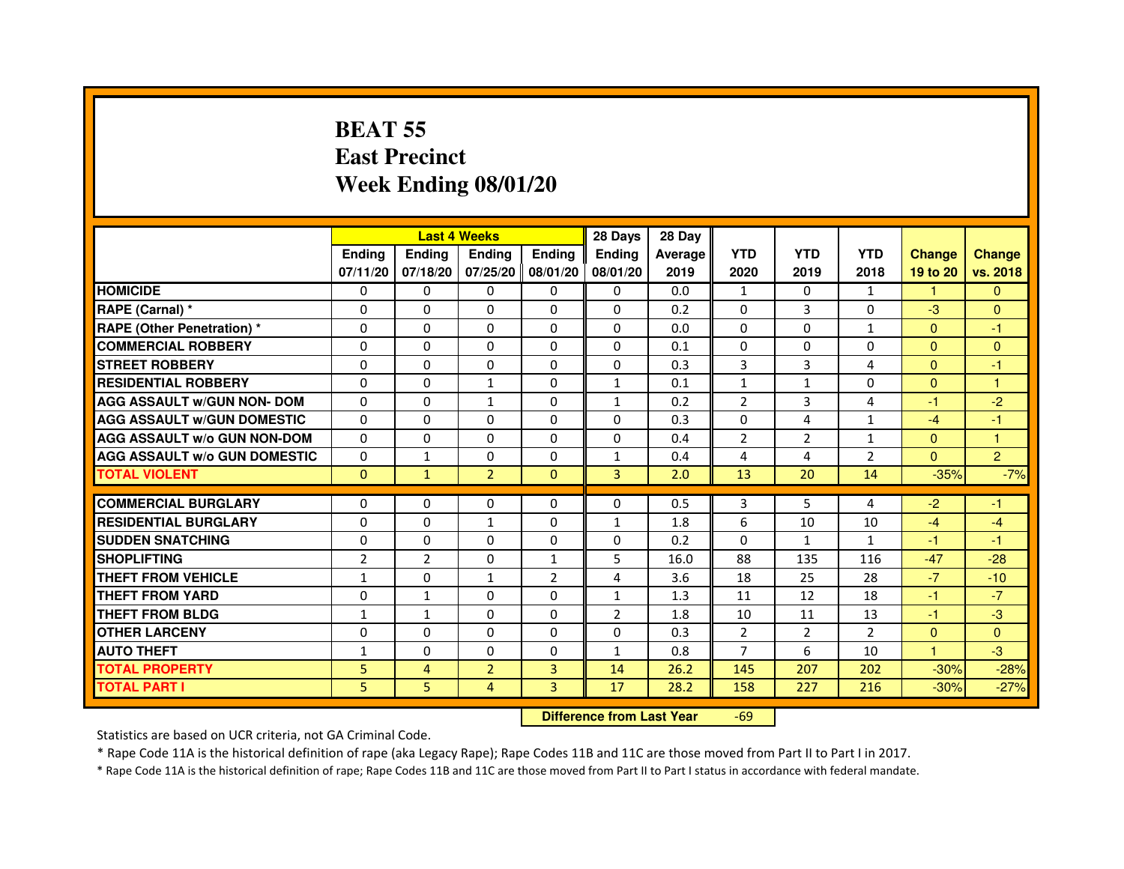## **BEAT 55 East PrecinctWeek Ending 08/01/20**

|                                     |                |                | <b>Last 4 Weeks</b> |                | 28 Days                          | 28 Day  |                |                |                |               |                |
|-------------------------------------|----------------|----------------|---------------------|----------------|----------------------------------|---------|----------------|----------------|----------------|---------------|----------------|
|                                     | <b>Ending</b>  | <b>Ending</b>  | Ending              | <b>Ending</b>  | Ending                           | Average | <b>YTD</b>     | <b>YTD</b>     | <b>YTD</b>     | <b>Change</b> | <b>Change</b>  |
|                                     | 07/11/20       | 07/18/20       | 07/25/20            | 08/01/20       | 08/01/20                         | 2019    | 2020           | 2019           | 2018           | 19 to 20      | vs. 2018       |
| <b>HOMICIDE</b>                     | $\Omega$       | $\Omega$       | 0                   | $\mathbf{0}$   | 0                                | 0.0     | $\mathbf{1}$   | $\Omega$       | $\mathbf{1}$   | $\mathbf{1}$  | $\Omega$       |
| RAPE (Carnal) *                     | $\Omega$       | $\mathbf{0}$   | 0                   | 0              | 0                                | 0.2     | 0              | 3              | 0              | $-3$          | $\mathbf{0}$   |
| RAPE (Other Penetration) *          | $\Omega$       | 0              | $\Omega$            | $\Omega$       | $\Omega$                         | 0.0     | $\Omega$       | $\Omega$       | $\mathbf{1}$   | $\Omega$      | $-1$           |
| <b>COMMERCIAL ROBBERY</b>           | $\Omega$       | $\Omega$       | $\Omega$            | $\Omega$       | $\Omega$                         | 0.1     | 0              | $\Omega$       | $\Omega$       | $\mathbf{0}$  | $\mathbf{0}$   |
| <b>STREET ROBBERY</b>               | $\Omega$       | $\Omega$       | $\Omega$            | $\Omega$       | $\Omega$                         | 0.3     | 3              | 3              | 4              | $\Omega$      | $-1$           |
| <b>RESIDENTIAL ROBBERY</b>          | 0              | 0              | $\mathbf{1}$        | 0              | $\mathbf{1}$                     | 0.1     | $\mathbf{1}$   | $\mathbf{1}$   | $\Omega$       | $\Omega$      | 1              |
| <b>AGG ASSAULT w/GUN NON- DOM</b>   | $\Omega$       | $\Omega$       | $\mathbf{1}$        | $\Omega$       | $\mathbf{1}$                     | 0.2     | $\overline{2}$ | 3              | 4              | $-1$          | $-2$           |
| <b>AGG ASSAULT W/GUN DOMESTIC</b>   | $\Omega$       | $\Omega$       | $\Omega$            | $\Omega$       | $\Omega$                         | 0.3     | $\Omega$       | 4              | $\mathbf{1}$   | $-4$          | $-1$           |
| <b>AGG ASSAULT W/o GUN NON-DOM</b>  | $\Omega$       | $\Omega$       | $\Omega$            | $\Omega$       | $\Omega$                         | 0.4     | $\overline{2}$ | $\overline{2}$ | $\mathbf{1}$   | $\Omega$      | $\mathbf{1}$   |
| <b>AGG ASSAULT W/o GUN DOMESTIC</b> | $\Omega$       | $\mathbf{1}$   | $\Omega$            | $\Omega$       | $\mathbf{1}$                     | 0.4     | 4              | 4              | $\overline{2}$ | $\Omega$      | $\overline{2}$ |
| <b>TOTAL VIOLENT</b>                | $\mathbf{0}$   | $\mathbf{1}$   | $\overline{2}$      | $\overline{0}$ | 3                                | 2.0     | 13             | 20             | 14             | $-35%$        | $-7%$          |
| <b>COMMERCIAL BURGLARY</b>          | $\mathbf{0}$   | 0              | 0                   | 0              | 0                                | 0.5     | 3              | 5              | 4              | $-2$          | $-1$           |
| <b>RESIDENTIAL BURGLARY</b>         | $\Omega$       | $\Omega$       | $\mathbf{1}$        | $\Omega$       | $\mathbf{1}$                     | 1.8     | 6              | 10             | 10             | $-4$          | $-4$           |
| <b>SUDDEN SNATCHING</b>             | $\Omega$       | $\Omega$       | $\Omega$            | $\Omega$       | $\Omega$                         | 0.2     | $\Omega$       | $\mathbf{1}$   | $\mathbf{1}$   | $-1$          | $-1$           |
| <b>SHOPLIFTING</b>                  | $\overline{2}$ | 2              | $\Omega$            | $\mathbf{1}$   | 5                                | 16.0    | 88             | 135            | 116            | $-47$         | $-28$          |
| THEFT FROM VEHICLE                  | 1              | 0              | $\mathbf{1}$        | $\overline{2}$ | 4                                | 3.6     | 18             | 25             | 28             | $-7$          | $-10$          |
| <b>THEFT FROM YARD</b>              | $\Omega$       | $\mathbf{1}$   | $\Omega$            | $\Omega$       | $\mathbf{1}$                     | 1.3     | 11             | 12             | 18             | $-1$          | $-7$           |
| <b>THEFT FROM BLDG</b>              | $\mathbf{1}$   | $\mathbf{1}$   | $\Omega$            | $\Omega$       | $\overline{2}$                   | 1.8     | 10             | 11             | 13             | $-1$          | $-3$           |
| <b>OTHER LARCENY</b>                | $\mathbf{0}$   | $\Omega$       | $\Omega$            | $\Omega$       | $\Omega$                         | 0.3     | $\overline{2}$ | $\overline{2}$ | $\overline{2}$ | $\mathbf{0}$  | $\Omega$       |
| <b>AUTO THEFT</b>                   | $\mathbf{1}$   | $\Omega$       | $\Omega$            | $\Omega$       | $\mathbf{1}$                     | 0.8     | $\overline{7}$ | 6              | 10             | $\mathbf{1}$  | $-3$           |
| <b>TOTAL PROPERTY</b>               | 5              | $\overline{4}$ | $\overline{2}$      | 3              | 14                               | 26.2    | 145            | 207            | 202            | $-30%$        | $-28%$         |
| <b>TOTAL PART I</b>                 | 5              | 5              | $\overline{4}$      | 3              | 17                               | 28.2    | 158            | 227            | 216            | $-30%$        | $-27%$         |
|                                     |                |                |                     |                | <b>Difference from Last Year</b> |         | $-69$          |                |                |               |                |

Statistics are based on UCR criteria, not GA Criminal Code.

\* Rape Code 11A is the historical definition of rape (aka Legacy Rape); Rape Codes 11B and 11C are those moved from Part II to Part I in 2017.